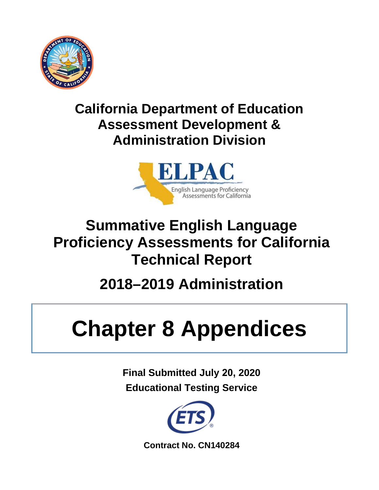

# **California Department of Education Assessment Development & Administration Division**



# **Summative English Language Proficiency Assessments for California Technical Report**

# **2018–2019 Administration**

# **Chapter 8 Appendices**

**Final Submitted July 20, 2020 Educational Testing Service** 



**Contract No. CN140284**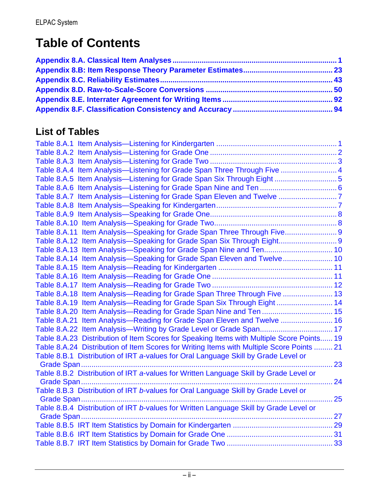# **Table of Contents**

## **List of Tables**

| Table 8.A.4 Item Analysis—Listening for Grade Span Three Through Five  4                  |  |
|-------------------------------------------------------------------------------------------|--|
| Table 8.A.5 Item Analysis—Listening for Grade Span Six Through Eight  5                   |  |
|                                                                                           |  |
|                                                                                           |  |
|                                                                                           |  |
|                                                                                           |  |
|                                                                                           |  |
| Table 8.A.11 Item Analysis-Speaking for Grade Span Three Through Five 9                   |  |
| Table 8.A.12 Item Analysis-Speaking for Grade Span Six Through Eight 9                    |  |
| Table 8.A.13 Item Analysis-Speaking for Grade Span Nine and Ten 10                        |  |
| Table 8.A.14 Item Analysis-Speaking for Grade Span Eleven and Twelve 10                   |  |
|                                                                                           |  |
|                                                                                           |  |
|                                                                                           |  |
| Table 8.A.18 Item Analysis-Reading for Grade Span Three Through Five  13                  |  |
| Table 8.A.19 Item Analysis-Reading for Grade Span Six Through Eight  14                   |  |
| Table 8.A.20 Item Analysis—Reading for Grade Span Nine and Ten  15                        |  |
| Table 8.A.21 Item Analysis—Reading for Grade Span Eleven and Twelve  16                   |  |
| Table 8.A.22 Item Analysis—Writing by Grade Level or Grade Span 17                        |  |
| Table 8.A.23 Distribution of Item Scores for Speaking Items with Multiple Score Points 19 |  |
| Table 8.A.24 Distribution of Item Scores for Writing Items with Multiple Score Points  21 |  |
| Table 8.B.1 Distribution of IRT a-values for Oral Language Skill by Grade Level or        |  |
| 23                                                                                        |  |
| Table 8.B.2 Distribution of IRT a-values for Written Language Skill by Grade Level or     |  |
| 24                                                                                        |  |
| Table 8.B.3 Distribution of IRT b-values for Oral Language Skill by Grade Level or        |  |
| 25                                                                                        |  |
| Table 8.B.4 Distribution of IRT b-values for Written Language Skill by Grade Level or     |  |
| Grade Span                                                                                |  |
|                                                                                           |  |
|                                                                                           |  |
|                                                                                           |  |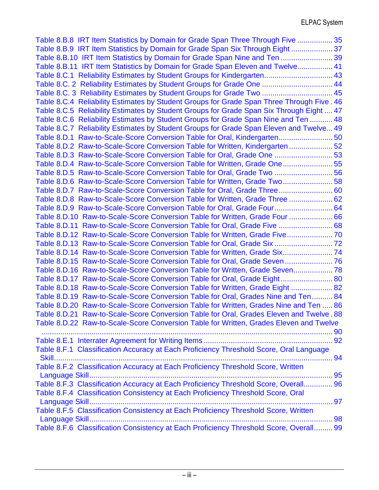| Table 8.B.8 IRT Item Statistics by Domain for Grade Span Three Through Five  35           |  |
|-------------------------------------------------------------------------------------------|--|
| Table 8.B.9 IRT Item Statistics by Domain for Grade Span Six Through Eight37              |  |
| Table 8.B.10 IRT Item Statistics by Domain for Grade Span Nine and Ten  39                |  |
| Table 8.B.11 IRT Item Statistics by Domain for Grade Span Eleven and Twelve 41            |  |
| Table 8.C.1 Reliability Estimates by Student Groups for Kindergarten 43                   |  |
| Table 8.C. 2 Reliability Estimates by Student Groups for Grade One  44                    |  |
| Table 8.C. 3 Reliability Estimates by Student Groups for Grade Two  45                    |  |
| Table 8.C.4 Reliability Estimates by Student Groups for Grade Span Three Through Five. 46 |  |
| Table 8.C.5 Reliability Estimates by Student Groups for Grade Span Six Through Eight  47  |  |
| Table 8.C.6 Reliability Estimates by Student Groups for Grade Span Nine and Ten  48       |  |
| Table 8.C.7 Reliability Estimates by Student Groups for Grade Span Eleven and Twelve 49   |  |
| Table 8.D.1 Raw-to-Scale-Score Conversion Table for Oral, Kindergarten 50                 |  |
| Table 8.D.2 Raw-to-Scale-Score Conversion Table for Written, Kindergarten  52             |  |
| Table 8.D.3 Raw-to-Scale-Score Conversion Table for Oral, Grade One 53                    |  |
| Table 8.D.4 Raw-to-Scale-Score Conversion Table for Written, Grade One55                  |  |
| Table 8.D.5 Raw-to-Scale-Score Conversion Table for Oral, Grade Two  56                   |  |
| Table 8.D.6 Raw-to-Scale-Score Conversion Table for Written, Grade Two58                  |  |
| Table 8.D.7 Raw-to-Scale-Score Conversion Table for Oral, Grade Three 60                  |  |
| Table 8.D.8 Raw-to-Scale-Score Conversion Table for Written, Grade Three  62              |  |
| Table 8.D.9 Raw-to-Scale-Score Conversion Table for Oral, Grade Four 64                   |  |
| Table 8.D.10 Raw-to-Scale-Score Conversion Table for Written, Grade Four  66              |  |
| Table 8.D.11 Raw-to-Scale-Score Conversion Table for Oral, Grade Five  68                 |  |
| Table 8.D.12 Raw-to-Scale-Score Conversion Table for Written, Grade Five70                |  |
|                                                                                           |  |
|                                                                                           |  |
| Table 8.D.15 Raw-to-Scale-Score Conversion Table for Oral, Grade Seven  76                |  |
| Table 8.D.16 Raw-to-Scale-Score Conversion Table for Written, Grade Seven 78              |  |
| Table 8.D.17 Raw-to-Scale-Score Conversion Table for Oral, Grade Eight 80                 |  |
| Table 8.D.18 Raw-to-Scale-Score Conversion Table for Written, Grade Eight  82             |  |
| Table 8.D.19 Raw-to-Scale-Score Conversion Table for Oral, Grades Nine and Ten 84         |  |
| Table 8.D.20 Raw-to-Scale-Score Conversion Table for Written, Grades Nine and Ten  86     |  |
| Table 8.D.21 Raw-to-Scale-Score Conversion Table for Oral, Grades Eleven and Twelve. 88   |  |
| Table 8.D.22 Raw-to-Scale-Score Conversion Table for Written, Grades Eleven and Twelve    |  |
|                                                                                           |  |
|                                                                                           |  |
| Table 8.F.1 Classification Accuracy at Each Proficiency Threshold Score, Oral Language    |  |
|                                                                                           |  |
| Table 8.F.2 Classification Accuracy at Each Proficiency Threshold Score, Written          |  |
|                                                                                           |  |
| Table 8.F.3 Classification Accuracy at Each Proficiency Threshold Score, Overall 96       |  |
| Table 8.F.4 Classification Consistency at Each Proficiency Threshold Score, Oral          |  |
|                                                                                           |  |
| Table 8.F.5 Classification Consistency at Each Proficiency Threshold Score, Written       |  |
|                                                                                           |  |
| Table 8.F.6 Classification Consistency at Each Proficiency Threshold Score, Overall 99    |  |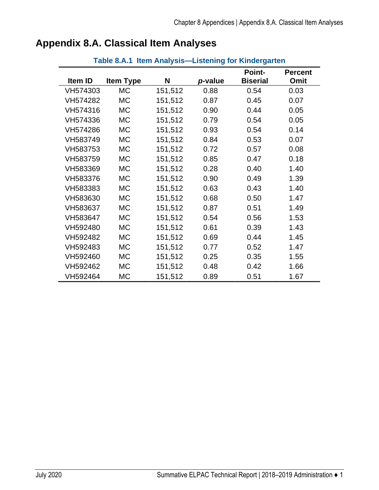| Table 8.A.1 Item Analysis-Listening for Kindergarten |                  |         |         |                                  |                        |  |
|------------------------------------------------------|------------------|---------|---------|----------------------------------|------------------------|--|
| Item ID                                              | <b>Item Type</b> | N       | p-value | <b>Point-</b><br><b>Biserial</b> | <b>Percent</b><br>Omit |  |
| VH574303                                             | <b>MC</b>        | 151,512 | 0.88    | 0.54                             | 0.03                   |  |
| VH574282                                             | <b>MC</b>        | 151,512 | 0.87    | 0.45                             | 0.07                   |  |
| VH574316                                             | <b>MC</b>        | 151,512 | 0.90    | 0.44                             | 0.05                   |  |
| VH574336                                             | <b>MC</b>        | 151,512 | 0.79    | 0.54                             | 0.05                   |  |
| VH574286                                             | <b>MC</b>        | 151,512 | 0.93    | 0.54                             | 0.14                   |  |
| VH583749                                             | <b>MC</b>        | 151,512 | 0.84    | 0.53                             | 0.07                   |  |
| VH583753                                             | <b>MC</b>        | 151,512 | 0.72    | 0.57                             | 0.08                   |  |
| VH583759                                             | <b>MC</b>        | 151,512 | 0.85    | 0.47                             | 0.18                   |  |
| VH583369                                             | <b>MC</b>        | 151,512 | 0.28    | 0.40                             | 1.40                   |  |
| VH583376                                             | <b>MC</b>        | 151,512 | 0.90    | 0.49                             | 1.39                   |  |
| VH583383                                             | <b>MC</b>        | 151,512 | 0.63    | 0.43                             | 1.40                   |  |
| VH583630                                             | <b>MC</b>        | 151,512 | 0.68    | 0.50                             | 1.47                   |  |
| VH583637                                             | <b>MC</b>        | 151,512 | 0.87    | 0.51                             | 1.49                   |  |
| VH583647                                             | <b>MC</b>        | 151,512 | 0.54    | 0.56                             | 1.53                   |  |
| VH592480                                             | <b>MC</b>        | 151,512 | 0.61    | 0.39                             | 1.43                   |  |
| VH592482                                             | <b>MC</b>        | 151,512 | 0.69    | 0.44                             | 1.45                   |  |
| VH592483                                             | <b>MC</b>        | 151,512 | 0.77    | 0.52                             | 1.47                   |  |
| VH592460                                             | <b>MC</b>        | 151,512 | 0.25    | 0.35                             | 1.55                   |  |
| VH592462                                             | <b>MC</b>        | 151,512 | 0.48    | 0.42                             | 1.66                   |  |
| VH592464                                             | <b>MC</b>        | 151,512 | 0.89    | 0.51                             | 1.67                   |  |

## <span id="page-4-1"></span><span id="page-4-0"></span>**Appendix 8.A. Classical Item Analyses**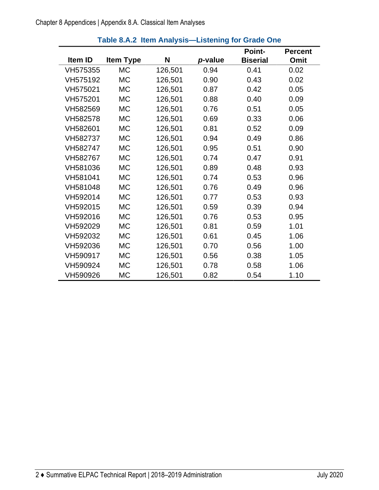<span id="page-5-0"></span>

|          |                  |         |         | <b>Point-</b>   | <b>Percent</b> |
|----------|------------------|---------|---------|-----------------|----------------|
| Item ID  | <b>Item Type</b> | N       | p-value | <b>Biserial</b> | Omit           |
| VH575355 | <b>MC</b>        | 126,501 | 0.94    | 0.41            | 0.02           |
| VH575192 | <b>MC</b>        | 126,501 | 0.90    | 0.43            | 0.02           |
| VH575021 | <b>MC</b>        | 126,501 | 0.87    | 0.42            | 0.05           |
| VH575201 | <b>MC</b>        | 126,501 | 0.88    | 0.40            | 0.09           |
| VH582569 | <b>MC</b>        | 126,501 | 0.76    | 0.51            | 0.05           |
| VH582578 | <b>MC</b>        | 126,501 | 0.69    | 0.33            | 0.06           |
| VH582601 | <b>MC</b>        | 126,501 | 0.81    | 0.52            | 0.09           |
| VH582737 | <b>MC</b>        | 126,501 | 0.94    | 0.49            | 0.86           |
| VH582747 | <b>MC</b>        | 126,501 | 0.95    | 0.51            | 0.90           |
| VH582767 | <b>MC</b>        | 126,501 | 0.74    | 0.47            | 0.91           |
| VH581036 | <b>MC</b>        | 126,501 | 0.89    | 0.48            | 0.93           |
| VH581041 | <b>MC</b>        | 126,501 | 0.74    | 0.53            | 0.96           |
| VH581048 | <b>MC</b>        | 126,501 | 0.76    | 0.49            | 0.96           |
| VH592014 | <b>MC</b>        | 126,501 | 0.77    | 0.53            | 0.93           |
| VH592015 | <b>MC</b>        | 126,501 | 0.59    | 0.39            | 0.94           |
| VH592016 | <b>MC</b>        | 126,501 | 0.76    | 0.53            | 0.95           |
| VH592029 | <b>MC</b>        | 126,501 | 0.81    | 0.59            | 1.01           |
| VH592032 | <b>MC</b>        | 126,501 | 0.61    | 0.45            | 1.06           |
| VH592036 | <b>MC</b>        | 126,501 | 0.70    | 0.56            | 1.00           |
| VH590917 | <b>MC</b>        | 126,501 | 0.56    | 0.38            | 1.05           |
| VH590924 | <b>MC</b>        | 126,501 | 0.78    | 0.58            | 1.06           |
| VH590926 | <b>MC</b>        | 126,501 | 0.82    | 0.54            | 1.10           |

#### **Table 8.A.2 Item Analysis—Listening for Grade One**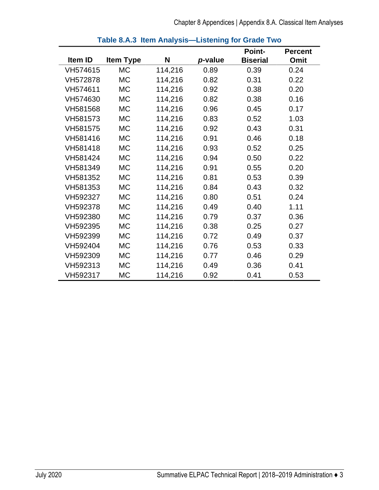<span id="page-6-0"></span>

|          |                  |         |         | <b>Point-</b>   | <b>Percent</b> |
|----------|------------------|---------|---------|-----------------|----------------|
| Item ID  | <b>Item Type</b> | N       | p-value | <b>Biserial</b> | Omit           |
| VH574615 | <b>MC</b>        | 114,216 | 0.89    | 0.39            | 0.24           |
| VH572878 | <b>MC</b>        | 114,216 | 0.82    | 0.31            | 0.22           |
| VH574611 | <b>MC</b>        | 114,216 | 0.92    | 0.38            | 0.20           |
| VH574630 | <b>MC</b>        | 114,216 | 0.82    | 0.38            | 0.16           |
| VH581568 | <b>MC</b>        | 114,216 | 0.96    | 0.45            | 0.17           |
| VH581573 | МC               | 114,216 | 0.83    | 0.52            | 1.03           |
| VH581575 | <b>MC</b>        | 114,216 | 0.92    | 0.43            | 0.31           |
| VH581416 | <b>MC</b>        | 114,216 | 0.91    | 0.46            | 0.18           |
| VH581418 | <b>MC</b>        | 114,216 | 0.93    | 0.52            | 0.25           |
| VH581424 | <b>MC</b>        | 114,216 | 0.94    | 0.50            | 0.22           |
| VH581349 | <b>MC</b>        | 114,216 | 0.91    | 0.55            | 0.20           |
| VH581352 | <b>MC</b>        | 114,216 | 0.81    | 0.53            | 0.39           |
| VH581353 | <b>MC</b>        | 114,216 | 0.84    | 0.43            | 0.32           |
| VH592327 | МC               | 114,216 | 0.80    | 0.51            | 0.24           |
| VH592378 | <b>MC</b>        | 114,216 | 0.49    | 0.40            | 1.11           |
| VH592380 | <b>MC</b>        | 114,216 | 0.79    | 0.37            | 0.36           |
| VH592395 | <b>MC</b>        | 114,216 | 0.38    | 0.25            | 0.27           |
| VH592399 | <b>MC</b>        | 114,216 | 0.72    | 0.49            | 0.37           |
| VH592404 | <b>MC</b>        | 114,216 | 0.76    | 0.53            | 0.33           |
| VH592309 | <b>MC</b>        | 114,216 | 0.77    | 0.46            | 0.29           |
| VH592313 | МC               | 114,216 | 0.49    | 0.36            | 0.41           |
| VH592317 | MC               | 114,216 | 0.92    | 0.41            | 0.53           |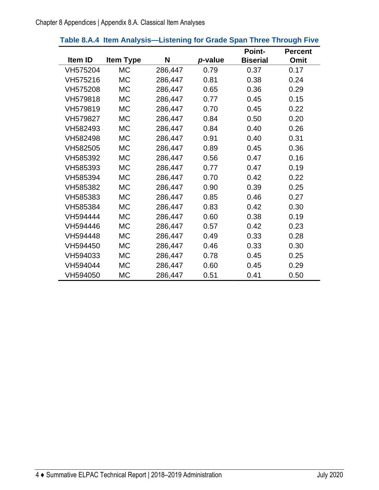|          |                  |         |         | <b>Point-</b>   | <b>Percent</b> |
|----------|------------------|---------|---------|-----------------|----------------|
| Item ID  | <b>Item Type</b> | N       | p-value | <b>Biserial</b> | Omit           |
| VH575204 | <b>MC</b>        | 286,447 | 0.79    | 0.37            | 0.17           |
| VH575216 | <b>MC</b>        | 286,447 | 0.81    | 0.38            | 0.24           |
| VH575208 | <b>MC</b>        | 286,447 | 0.65    | 0.36            | 0.29           |
| VH579818 | <b>MC</b>        | 286,447 | 0.77    | 0.45            | 0.15           |
| VH579819 | <b>MC</b>        | 286,447 | 0.70    | 0.45            | 0.22           |
| VH579827 | <b>MC</b>        | 286,447 | 0.84    | 0.50            | 0.20           |
| VH582493 | <b>MC</b>        | 286,447 | 0.84    | 0.40            | 0.26           |
| VH582498 | <b>MC</b>        | 286,447 | 0.91    | 0.40            | 0.31           |
| VH582505 | <b>MC</b>        | 286,447 | 0.89    | 0.45            | 0.36           |
| VH585392 | <b>MC</b>        | 286,447 | 0.56    | 0.47            | 0.16           |
| VH585393 | <b>MC</b>        | 286,447 | 0.77    | 0.47            | 0.19           |
| VH585394 | <b>MC</b>        | 286,447 | 0.70    | 0.42            | 0.22           |
| VH585382 | <b>MC</b>        | 286,447 | 0.90    | 0.39            | 0.25           |
| VH585383 | <b>MC</b>        | 286,447 | 0.85    | 0.46            | 0.27           |
| VH585384 | <b>MC</b>        | 286,447 | 0.83    | 0.42            | 0.30           |
| VH594444 | <b>MC</b>        | 286,447 | 0.60    | 0.38            | 0.19           |
| VH594446 | <b>MC</b>        | 286,447 | 0.57    | 0.42            | 0.23           |
| VH594448 | <b>MC</b>        | 286,447 | 0.49    | 0.33            | 0.28           |
| VH594450 | <b>MC</b>        | 286,447 | 0.46    | 0.33            | 0.30           |
| VH594033 | <b>MC</b>        | 286,447 | 0.78    | 0.45            | 0.25           |
| VH594044 | <b>MC</b>        | 286,447 | 0.60    | 0.45            | 0.29           |
| VH594050 | МC               | 286,447 | 0.51    | 0.41            | 0.50           |

#### <span id="page-7-0"></span>**Table 8.A.4 Item Analysis—Listening for Grade Span Three Through Five**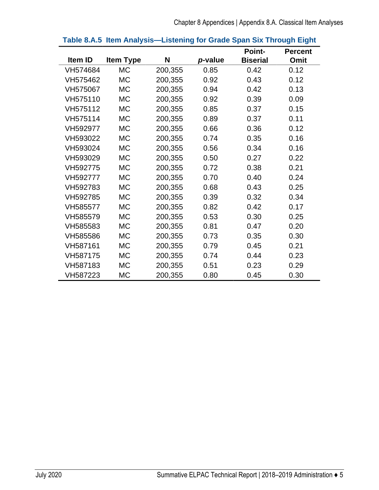<span id="page-8-0"></span>

|          |                  |         |         | <b>Point-</b>   | <b>Percent</b> |
|----------|------------------|---------|---------|-----------------|----------------|
| Item ID  | <b>Item Type</b> | N       | p-value | <b>Biserial</b> | Omit           |
| VH574684 | <b>MC</b>        | 200,355 | 0.85    | 0.42            | 0.12           |
| VH575462 | <b>MC</b>        | 200,355 | 0.92    | 0.43            | 0.12           |
| VH575067 | <b>MC</b>        | 200,355 | 0.94    | 0.42            | 0.13           |
| VH575110 | <b>MC</b>        | 200,355 | 0.92    | 0.39            | 0.09           |
| VH575112 | <b>MC</b>        | 200,355 | 0.85    | 0.37            | 0.15           |
| VH575114 | <b>MC</b>        | 200,355 | 0.89    | 0.37            | 0.11           |
| VH592977 | <b>MC</b>        | 200,355 | 0.66    | 0.36            | 0.12           |
| VH593022 | <b>MC</b>        | 200,355 | 0.74    | 0.35            | 0.16           |
| VH593024 | <b>MC</b>        | 200,355 | 0.56    | 0.34            | 0.16           |
| VH593029 | <b>MC</b>        | 200,355 | 0.50    | 0.27            | 0.22           |
| VH592775 | <b>MC</b>        | 200,355 | 0.72    | 0.38            | 0.21           |
| VH592777 | <b>MC</b>        | 200,355 | 0.70    | 0.40            | 0.24           |
| VH592783 | <b>MC</b>        | 200,355 | 0.68    | 0.43            | 0.25           |
| VH592785 | <b>MC</b>        | 200,355 | 0.39    | 0.32            | 0.34           |
| VH585577 | <b>MC</b>        | 200,355 | 0.82    | 0.42            | 0.17           |
| VH585579 | <b>MC</b>        | 200,355 | 0.53    | 0.30            | 0.25           |
| VH585583 | <b>MC</b>        | 200,355 | 0.81    | 0.47            | 0.20           |
| VH585586 | <b>MC</b>        | 200,355 | 0.73    | 0.35            | 0.30           |
| VH587161 | <b>MC</b>        | 200,355 | 0.79    | 0.45            | 0.21           |
| VH587175 | <b>MC</b>        | 200,355 | 0.74    | 0.44            | 0.23           |
| VH587183 | <b>MC</b>        | 200,355 | 0.51    | 0.23            | 0.29           |
| VH587223 | <b>MC</b>        | 200,355 | 0.80    | 0.45            | 0.30           |

#### **Table 8.A.5 Item Analysis—Listening for Grade Span Six Through Eight**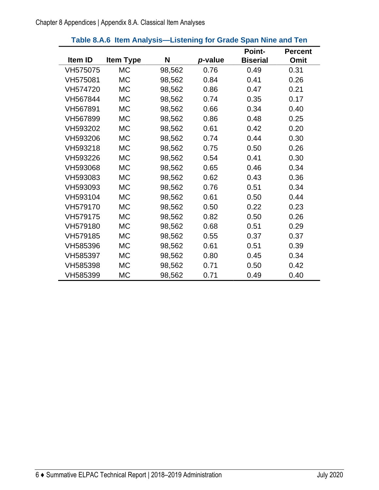<span id="page-9-0"></span>

|                |                  |        |         | <b>Point-</b>   | <b>Percent</b> |
|----------------|------------------|--------|---------|-----------------|----------------|
| <b>Item ID</b> | <b>Item Type</b> | N      | p-value | <b>Biserial</b> | Omit           |
| VH575075       | <b>MC</b>        | 98,562 | 0.76    | 0.49            | 0.31           |
| VH575081       | <b>MC</b>        | 98,562 | 0.84    | 0.41            | 0.26           |
| VH574720       | <b>MC</b>        | 98,562 | 0.86    | 0.47            | 0.21           |
| VH567844       | <b>MC</b>        | 98,562 | 0.74    | 0.35            | 0.17           |
| VH567891       | <b>MC</b>        | 98,562 | 0.66    | 0.34            | 0.40           |
| VH567899       | <b>MC</b>        | 98,562 | 0.86    | 0.48            | 0.25           |
| VH593202       | <b>MC</b>        | 98,562 | 0.61    | 0.42            | 0.20           |
| VH593206       | <b>MC</b>        | 98,562 | 0.74    | 0.44            | 0.30           |
| VH593218       | <b>MC</b>        | 98,562 | 0.75    | 0.50            | 0.26           |
| VH593226       | <b>MC</b>        | 98,562 | 0.54    | 0.41            | 0.30           |
| VH593068       | <b>MC</b>        | 98,562 | 0.65    | 0.46            | 0.34           |
| VH593083       | <b>MC</b>        | 98,562 | 0.62    | 0.43            | 0.36           |
| VH593093       | <b>MC</b>        | 98,562 | 0.76    | 0.51            | 0.34           |
| VH593104       | <b>MC</b>        | 98,562 | 0.61    | 0.50            | 0.44           |
| VH579170       | <b>MC</b>        | 98,562 | 0.50    | 0.22            | 0.23           |
| VH579175       | <b>MC</b>        | 98,562 | 0.82    | 0.50            | 0.26           |
| VH579180       | <b>MC</b>        | 98,562 | 0.68    | 0.51            | 0.29           |
| VH579185       | <b>MC</b>        | 98,562 | 0.55    | 0.37            | 0.37           |
| VH585396       | <b>MC</b>        | 98,562 | 0.61    | 0.51            | 0.39           |
| VH585397       | <b>MC</b>        | 98,562 | 0.80    | 0.45            | 0.34           |
| VH585398       | <b>MC</b>        | 98,562 | 0.71    | 0.50            | 0.42           |
| VH585399       | <b>MC</b>        | 98,562 | 0.71    | 0.49            | 0.40           |

#### **Table 8.A.6 Item Analysis—Listening for Grade Span Nine and Ten**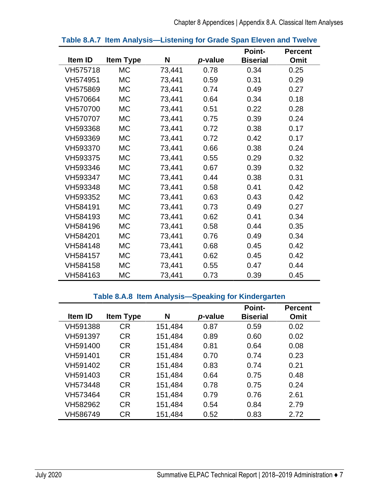<span id="page-10-0"></span>

|          |                  |        |         | <b>Point-</b>   | <b>Percent</b> |
|----------|------------------|--------|---------|-----------------|----------------|
| Item ID  | <b>Item Type</b> | N      | p-value | <b>Biserial</b> | Omit           |
| VH575718 | <b>MC</b>        | 73,441 | 0.78    | 0.34            | 0.25           |
| VH574951 | <b>MC</b>        | 73,441 | 0.59    | 0.31            | 0.29           |
| VH575869 | <b>MC</b>        | 73,441 | 0.74    | 0.49            | 0.27           |
| VH570664 | <b>MC</b>        | 73,441 | 0.64    | 0.34            | 0.18           |
| VH570700 | <b>MC</b>        | 73,441 | 0.51    | 0.22            | 0.28           |
| VH570707 | МC               | 73,441 | 0.75    | 0.39            | 0.24           |
| VH593368 | МC               | 73,441 | 0.72    | 0.38            | 0.17           |
| VH593369 | <b>MC</b>        | 73,441 | 0.72    | 0.42            | 0.17           |
| VH593370 | <b>MC</b>        | 73,441 | 0.66    | 0.38            | 0.24           |
| VH593375 | <b>MC</b>        | 73,441 | 0.55    | 0.29            | 0.32           |
| VH593346 | МC               | 73,441 | 0.67    | 0.39            | 0.32           |
| VH593347 | <b>MC</b>        | 73,441 | 0.44    | 0.38            | 0.31           |
| VH593348 | <b>MC</b>        | 73,441 | 0.58    | 0.41            | 0.42           |
| VH593352 | <b>MC</b>        | 73,441 | 0.63    | 0.43            | 0.42           |
| VH584191 | <b>MC</b>        | 73,441 | 0.73    | 0.49            | 0.27           |
| VH584193 | <b>MC</b>        | 73,441 | 0.62    | 0.41            | 0.34           |
| VH584196 | <b>MC</b>        | 73,441 | 0.58    | 0.44            | 0.35           |
| VH584201 | <b>MC</b>        | 73,441 | 0.76    | 0.49            | 0.34           |
| VH584148 | <b>MC</b>        | 73,441 | 0.68    | 0.45            | 0.42           |
| VH584157 | МC               | 73,441 | 0.62    | 0.45            | 0.42           |
| VH584158 | <b>MC</b>        | 73,441 | 0.55    | 0.47            | 0.44           |
| VH584163 | <b>MC</b>        | 73,441 | 0.73    | 0.39            | 0.45           |

#### **Table 8.A.7 Item Analysis—Listening for Grade Span Eleven and Twelve**

#### **Table 8.A.8 Item Analysis—Speaking for Kindergarten**

<span id="page-10-1"></span>

|                |                  |         |         | <b>Point-</b>   | <b>Percent</b> |
|----------------|------------------|---------|---------|-----------------|----------------|
| <b>Item ID</b> | <b>Item Type</b> | N       | p-value | <b>Biserial</b> | Omit           |
| VH591388       | <b>CR</b>        | 151,484 | 0.87    | 0.59            | 0.02           |
| VH591397       | <b>CR</b>        | 151,484 | 0.89    | 0.60            | 0.02           |
| VH591400       | <b>CR</b>        | 151,484 | 0.81    | 0.64            | 0.08           |
| VH591401       | <b>CR</b>        | 151,484 | 0.70    | 0.74            | 0.23           |
| VH591402       | <b>CR</b>        | 151,484 | 0.83    | 0.74            | 0.21           |
| VH591403       | <b>CR</b>        | 151,484 | 0.64    | 0.75            | 0.48           |
| VH573448       | <b>CR</b>        | 151,484 | 0.78    | 0.75            | 0.24           |
| VH573464       | <b>CR</b>        | 151,484 | 0.79    | 0.76            | 2.61           |
| VH582962       | <b>CR</b>        | 151,484 | 0.54    | 0.84            | 2.79           |
| VH586749       | CR.              | 151,484 | 0.52    | 0.83            | 2.72           |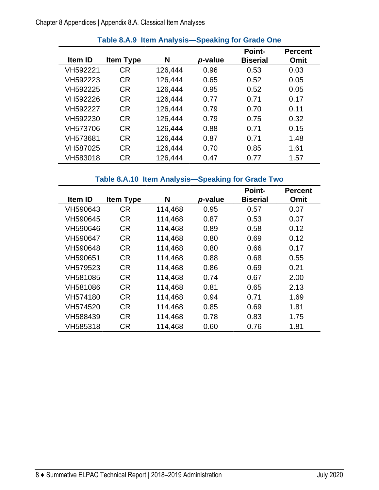<span id="page-11-0"></span>

|                |                  |         |         | <b>Point-</b>   | <b>Percent</b> |
|----------------|------------------|---------|---------|-----------------|----------------|
| <b>Item ID</b> | <b>Item Type</b> | N       | p-value | <b>Biserial</b> | Omit           |
| VH592221       | <b>CR</b>        | 126,444 | 0.96    | 0.53            | 0.03           |
| VH592223       | <b>CR</b>        | 126,444 | 0.65    | 0.52            | 0.05           |
| VH592225       | <b>CR</b>        | 126,444 | 0.95    | 0.52            | 0.05           |
| VH592226       | <b>CR</b>        | 126,444 | 0.77    | 0.71            | 0.17           |
| VH592227       | <b>CR</b>        | 126,444 | 0.79    | 0.70            | 0.11           |
| VH592230       | <b>CR</b>        | 126,444 | 0.79    | 0.75            | 0.32           |
| VH573706       | <b>CR</b>        | 126,444 | 0.88    | 0.71            | 0.15           |
| VH573681       | <b>CR</b>        | 126,444 | 0.87    | 0.71            | 1.48           |
| VH587025       | <b>CR</b>        | 126,444 | 0.70    | 0.85            | 1.61           |
| VH583018       | СR               | 126,444 | 0.47    | 0.77            | 1.57           |

#### **Table 8.A.9 Item Analysis—Speaking for Grade One**

#### **Table 8.A.10 Item Analysis—Speaking for Grade Two**

<span id="page-11-1"></span>

|          |                  |         |         | <b>Point-</b>   | <b>Percent</b> |
|----------|------------------|---------|---------|-----------------|----------------|
| Item ID  | <b>Item Type</b> | N       | p-value | <b>Biserial</b> | Omit           |
| VH590643 | <b>CR</b>        | 114,468 | 0.95    | 0.57            | 0.07           |
| VH590645 | <b>CR</b>        | 114,468 | 0.87    | 0.53            | 0.07           |
| VH590646 | <b>CR</b>        | 114,468 | 0.89    | 0.58            | 0.12           |
| VH590647 | <b>CR</b>        | 114,468 | 0.80    | 0.69            | 0.12           |
| VH590648 | <b>CR</b>        | 114,468 | 0.80    | 0.66            | 0.17           |
| VH590651 | <b>CR</b>        | 114,468 | 0.88    | 0.68            | 0.55           |
| VH579523 | <b>CR</b>        | 114,468 | 0.86    | 0.69            | 0.21           |
| VH581085 | <b>CR</b>        | 114,468 | 0.74    | 0.67            | 2.00           |
| VH581086 | <b>CR</b>        | 114,468 | 0.81    | 0.65            | 2.13           |
| VH574180 | <b>CR</b>        | 114,468 | 0.94    | 0.71            | 1.69           |
| VH574520 | <b>CR</b>        | 114,468 | 0.85    | 0.69            | 1.81           |
| VH588439 | <b>CR</b>        | 114,468 | 0.78    | 0.83            | 1.75           |
| VH585318 | <b>CR</b>        | 114,468 | 0.60    | 0.76            | 1.81           |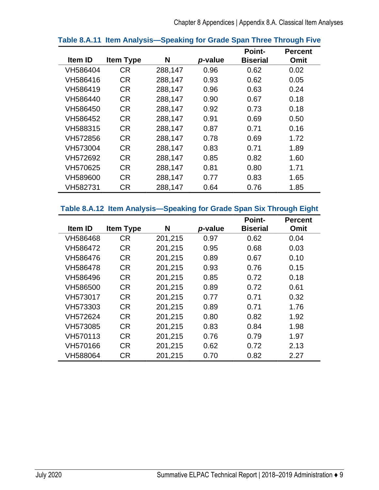|          |                  |         |         | <b>Point-</b>   | <b>Percent</b> |
|----------|------------------|---------|---------|-----------------|----------------|
| Item ID  | <b>Item Type</b> | N       | p-value | <b>Biserial</b> | Omit           |
| VH586404 | <b>CR</b>        | 288,147 | 0.96    | 0.62            | 0.02           |
| VH586416 | <b>CR</b>        | 288,147 | 0.93    | 0.62            | 0.05           |
| VH586419 | <b>CR</b>        | 288,147 | 0.96    | 0.63            | 0.24           |
| VH586440 | <b>CR</b>        | 288,147 | 0.90    | 0.67            | 0.18           |
| VH586450 | <b>CR</b>        | 288,147 | 0.92    | 0.73            | 0.18           |
| VH586452 | <b>CR</b>        | 288,147 | 0.91    | 0.69            | 0.50           |
| VH588315 | <b>CR</b>        | 288,147 | 0.87    | 0.71            | 0.16           |
| VH572856 | <b>CR</b>        | 288,147 | 0.78    | 0.69            | 1.72           |
| VH573004 | <b>CR</b>        | 288,147 | 0.83    | 0.71            | 1.89           |
| VH572692 | <b>CR</b>        | 288,147 | 0.85    | 0.82            | 1.60           |
| VH570625 | <b>CR</b>        | 288,147 | 0.81    | 0.80            | 1.71           |
| VH589600 | <b>CR</b>        | 288,147 | 0.77    | 0.83            | 1.65           |
| VH582731 | <b>CR</b>        | 288,147 | 0.64    | 0.76            | 1.85           |

#### <span id="page-12-0"></span>**Table 8.A.11 Item Analysis—Speaking for Grade Span Three Through Five**

#### <span id="page-12-1"></span>**Table 8.A.12 Item Analysis—Speaking for Grade Span Six Through Eight**

|          |                  |         |         | <b>Point-</b>   | <b>Percent</b> |
|----------|------------------|---------|---------|-----------------|----------------|
| Item ID  | <b>Item Type</b> | N       | p-value | <b>Biserial</b> | Omit           |
| VH586468 | <b>CR</b>        | 201,215 | 0.97    | 0.62            | 0.04           |
| VH586472 | <b>CR</b>        | 201,215 | 0.95    | 0.68            | 0.03           |
| VH586476 | <b>CR</b>        | 201,215 | 0.89    | 0.67            | 0.10           |
| VH586478 | <b>CR</b>        | 201,215 | 0.93    | 0.76            | 0.15           |
| VH586496 | <b>CR</b>        | 201,215 | 0.85    | 0.72            | 0.18           |
| VH586500 | <b>CR</b>        | 201,215 | 0.89    | 0.72            | 0.61           |
| VH573017 | <b>CR</b>        | 201,215 | 0.77    | 0.71            | 0.32           |
| VH573303 | <b>CR</b>        | 201,215 | 0.89    | 0.71            | 1.76           |
| VH572624 | <b>CR</b>        | 201,215 | 0.80    | 0.82            | 1.92           |
| VH573085 | <b>CR</b>        | 201,215 | 0.83    | 0.84            | 1.98           |
| VH570113 | <b>CR</b>        | 201,215 | 0.76    | 0.79            | 1.97           |
| VH570166 | <b>CR</b>        | 201,215 | 0.62    | 0.72            | 2.13           |
| VH588064 | <b>CR</b>        | 201,215 | 0.70    | 0.82            | 2.27           |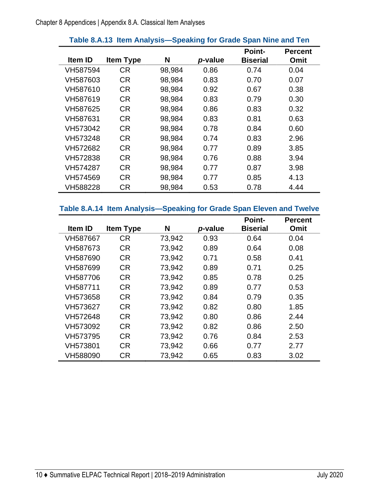<span id="page-13-0"></span>

|                |                  |        |         | <b>Point-</b>   | <b>Percent</b> |
|----------------|------------------|--------|---------|-----------------|----------------|
| <b>Item ID</b> | <b>Item Type</b> | N      | p-value | <b>Biserial</b> | Omit           |
| VH587594       | <b>CR</b>        | 98,984 | 0.86    | 0.74            | 0.04           |
| VH587603       | <b>CR</b>        | 98,984 | 0.83    | 0.70            | 0.07           |
| VH587610       | <b>CR</b>        | 98,984 | 0.92    | 0.67            | 0.38           |
| VH587619       | <b>CR</b>        | 98,984 | 0.83    | 0.79            | 0.30           |
| VH587625       | <b>CR</b>        | 98,984 | 0.86    | 0.83            | 0.32           |
| VH587631       | <b>CR</b>        | 98,984 | 0.83    | 0.81            | 0.63           |
| VH573042       | <b>CR</b>        | 98,984 | 0.78    | 0.84            | 0.60           |
| VH573248       | <b>CR</b>        | 98,984 | 0.74    | 0.83            | 2.96           |
| VH572682       | <b>CR</b>        | 98,984 | 0.77    | 0.89            | 3.85           |
| VH572838       | CR.              | 98,984 | 0.76    | 0.88            | 3.94           |
| VH574287       | <b>CR</b>        | 98,984 | 0.77    | 0.87            | 3.98           |
| VH574569       | <b>CR</b>        | 98,984 | 0.77    | 0.85            | 4.13           |
| VH588228       | <b>CR</b>        | 98,984 | 0.53    | 0.78            | 4.44           |

#### **Table 8.A.13 Item Analysis—Speaking for Grade Span Nine and Ten**

## <span id="page-13-1"></span>**Table 8.A.14 Item Analysis—Speaking for Grade Span Eleven and Twelve**

|                |                  |        |         | <b>Point-</b>   | <b>Percent</b> |
|----------------|------------------|--------|---------|-----------------|----------------|
| <b>Item ID</b> | <b>Item Type</b> | N      | p-value | <b>Biserial</b> | Omit           |
| VH587667       | <b>CR</b>        | 73,942 | 0.93    | 0.64            | 0.04           |
| VH587673       | <b>CR</b>        | 73,942 | 0.89    | 0.64            | 0.08           |
| VH587690       | <b>CR</b>        | 73,942 | 0.71    | 0.58            | 0.41           |
| VH587699       | <b>CR</b>        | 73,942 | 0.89    | 0.71            | 0.25           |
| VH587706       | <b>CR</b>        | 73,942 | 0.85    | 0.78            | 0.25           |
| VH587711       | <b>CR</b>        | 73,942 | 0.89    | 0.77            | 0.53           |
| VH573658       | <b>CR</b>        | 73,942 | 0.84    | 0.79            | 0.35           |
| VH573627       | CR.              | 73,942 | 0.82    | 0.80            | 1.85           |
| VH572648       | <b>CR</b>        | 73,942 | 0.80    | 0.86            | 2.44           |
| VH573092       | <b>CR</b>        | 73,942 | 0.82    | 0.86            | 2.50           |
| VH573795       | <b>CR</b>        | 73,942 | 0.76    | 0.84            | 2.53           |
| VH573801       | <b>CR</b>        | 73,942 | 0.66    | 0.77            | 2.77           |
| VH588090       | <b>CR</b>        | 73,942 | 0.65    | 0.83            | 3.02           |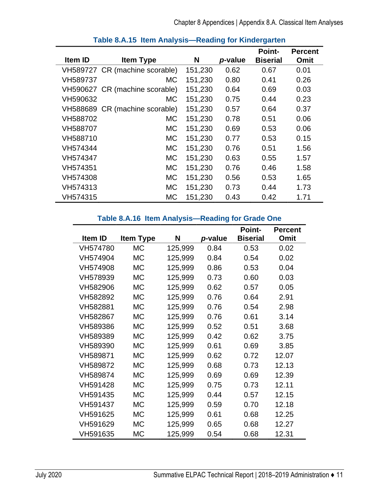<span id="page-14-0"></span>

| Item ID  | <b>Item Type</b>               | N       | p-value | <b>Point-</b><br><b>Biserial</b> | <b>Percent</b><br>Omit |
|----------|--------------------------------|---------|---------|----------------------------------|------------------------|
|          | VH589727 CR (machine scorable) | 151,230 | 0.62    | 0.67                             | 0.01                   |
| VH589737 | MC.                            | 151,230 | 0.80    | 0.41                             | 0.26                   |
|          | VH590627 CR (machine scorable) | 151,230 | 0.64    | 0.69                             | 0.03                   |
| VH590632 | <b>MC</b>                      | 151,230 | 0.75    | 0.44                             | 0.23                   |
|          | VH588689 CR (machine scorable) | 151,230 | 0.57    | 0.64                             | 0.37                   |
| VH588702 | <b>MC</b>                      | 151,230 | 0.78    | 0.51                             | 0.06                   |
| VH588707 | <b>MC</b>                      | 151,230 | 0.69    | 0.53                             | 0.06                   |
| VH588710 | <b>MC</b>                      | 151,230 | 0.77    | 0.53                             | 0.15                   |
| VH574344 | <b>MC</b>                      | 151,230 | 0.76    | 0.51                             | 1.56                   |
| VH574347 | <b>MC</b>                      | 151,230 | 0.63    | 0.55                             | 1.57                   |
| VH574351 | <b>MC</b>                      | 151,230 | 0.76    | 0.46                             | 1.58                   |
| VH574308 | <b>MC</b>                      | 151,230 | 0.56    | 0.53                             | 1.65                   |
| VH574313 | <b>MC</b>                      | 151,230 | 0.73    | 0.44                             | 1.73                   |
| VH574315 | <b>MC</b>                      | 151,230 | 0.43    | 0.42                             | 1.71                   |

#### **Table 8.A.15 Item Analysis—Reading for Kindergarten**

#### **Table 8.A.16 Item Analysis—Reading for Grade One**

<span id="page-14-1"></span>

|          |                  |         |         | <b>Point-</b>   | <b>Percent</b> |
|----------|------------------|---------|---------|-----------------|----------------|
| Item ID  | <b>Item Type</b> | N       | p-value | <b>Biserial</b> | Omit           |
| VH574780 | <b>MC</b>        | 125,999 | 0.84    | 0.53            | 0.02           |
| VH574904 | <b>MC</b>        | 125,999 | 0.84    | 0.54            | 0.02           |
| VH574908 | <b>MC</b>        | 125,999 | 0.86    | 0.53            | 0.04           |
| VH578939 | <b>MC</b>        | 125,999 | 0.73    | 0.60            | 0.03           |
| VH582906 | МC               | 125,999 | 0.62    | 0.57            | 0.05           |
| VH582892 | <b>MC</b>        | 125,999 | 0.76    | 0.64            | 2.91           |
| VH582881 | <b>MC</b>        | 125,999 | 0.76    | 0.54            | 2.98           |
| VH582867 | <b>MC</b>        | 125,999 | 0.76    | 0.61            | 3.14           |
| VH589386 | МC               | 125,999 | 0.52    | 0.51            | 3.68           |
| VH589389 | <b>MC</b>        | 125,999 | 0.42    | 0.62            | 3.75           |
| VH589390 | <b>MC</b>        | 125,999 | 0.61    | 0.69            | 3.85           |
| VH589871 | МC               | 125,999 | 0.62    | 0.72            | 12.07          |
| VH589872 | <b>MC</b>        | 125,999 | 0.68    | 0.73            | 12.13          |
| VH589874 | <b>MC</b>        | 125,999 | 0.69    | 0.69            | 12.39          |
| VH591428 | <b>MC</b>        | 125,999 | 0.75    | 0.73            | 12.11          |
| VH591435 | <b>MC</b>        | 125,999 | 0.44    | 0.57            | 12.15          |
| VH591437 | <b>MC</b>        | 125,999 | 0.59    | 0.70            | 12.18          |
| VH591625 | <b>MC</b>        | 125,999 | 0.61    | 0.68            | 12.25          |
| VH591629 | <b>MC</b>        | 125,999 | 0.65    | 0.68            | 12.27          |
| VH591635 | МC               | 125,999 | 0.54    | 0.68            | 12.31          |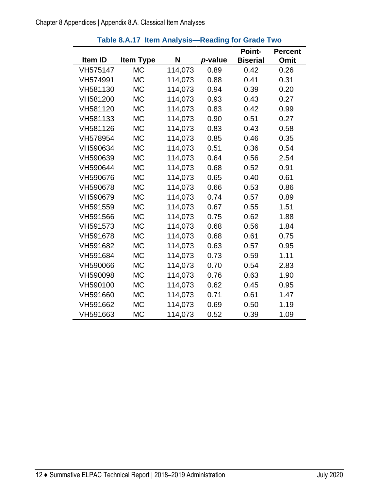<span id="page-15-0"></span>

|          |                  |         |         | <b>Point-</b>   | <b>Percent</b> |
|----------|------------------|---------|---------|-----------------|----------------|
| Item ID  | <b>Item Type</b> | N       | p-value | <b>Biserial</b> | Omit           |
| VH575147 | <b>MC</b>        | 114,073 | 0.89    | 0.42            | 0.26           |
| VH574991 | <b>MC</b>        | 114,073 | 0.88    | 0.41            | 0.31           |
| VH581130 | <b>MC</b>        | 114,073 | 0.94    | 0.39            | 0.20           |
| VH581200 | <b>MC</b>        | 114,073 | 0.93    | 0.43            | 0.27           |
| VH581120 | <b>MC</b>        | 114,073 | 0.83    | 0.42            | 0.99           |
| VH581133 | <b>MC</b>        | 114,073 | 0.90    | 0.51            | 0.27           |
| VH581126 | <b>MC</b>        | 114,073 | 0.83    | 0.43            | 0.58           |
| VH578954 | <b>MC</b>        | 114,073 | 0.85    | 0.46            | 0.35           |
| VH590634 | <b>MC</b>        | 114,073 | 0.51    | 0.36            | 0.54           |
| VH590639 | <b>MC</b>        | 114,073 | 0.64    | 0.56            | 2.54           |
| VH590644 | <b>MC</b>        | 114,073 | 0.68    | 0.52            | 0.91           |
| VH590676 | <b>MC</b>        | 114,073 | 0.65    | 0.40            | 0.61           |
| VH590678 | <b>MC</b>        | 114,073 | 0.66    | 0.53            | 0.86           |
| VH590679 | <b>MC</b>        | 114,073 | 0.74    | 0.57            | 0.89           |
| VH591559 | <b>MC</b>        | 114,073 | 0.67    | 0.55            | 1.51           |
| VH591566 | <b>MC</b>        | 114,073 | 0.75    | 0.62            | 1.88           |
| VH591573 | <b>MC</b>        | 114,073 | 0.68    | 0.56            | 1.84           |
| VH591678 | <b>MC</b>        | 114,073 | 0.68    | 0.61            | 0.75           |
| VH591682 | <b>MC</b>        | 114,073 | 0.63    | 0.57            | 0.95           |
| VH591684 | <b>MC</b>        | 114,073 | 0.73    | 0.59            | 1.11           |
| VH590066 | МC               | 114,073 | 0.70    | 0.54            | 2.83           |
| VH590098 | <b>MC</b>        | 114,073 | 0.76    | 0.63            | 1.90           |
| VH590100 | <b>MC</b>        | 114,073 | 0.62    | 0.45            | 0.95           |
| VH591660 | <b>MC</b>        | 114,073 | 0.71    | 0.61            | 1.47           |
| VH591662 | <b>MC</b>        | 114,073 | 0.69    | 0.50            | 1.19           |
| VH591663 | <b>MC</b>        | 114,073 | 0.52    | 0.39            | 1.09           |

#### **Table 8.A.17 Item Analysis—Reading for Grade Two**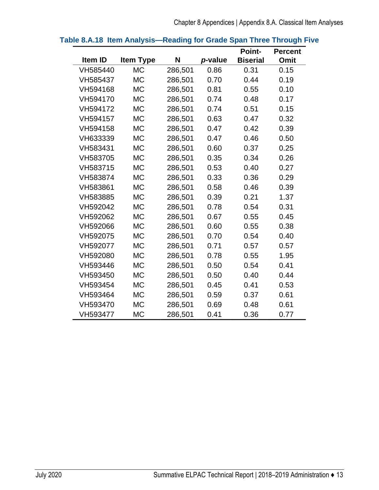|                |                  |         |         | <b>Point-</b>   | <b>Percent</b> |
|----------------|------------------|---------|---------|-----------------|----------------|
| <b>Item ID</b> | <b>Item Type</b> | N       | p-value | <b>Biserial</b> | Omit           |
| VH585440       | <b>MC</b>        | 286,501 | 0.86    | 0.31            | 0.15           |
| VH585437       | <b>MC</b>        | 286,501 | 0.70    | 0.44            | 0.19           |
| VH594168       | <b>MC</b>        | 286,501 | 0.81    | 0.55            | 0.10           |
| VH594170       | <b>MC</b>        | 286,501 | 0.74    | 0.48            | 0.17           |
| VH594172       | <b>MC</b>        | 286,501 | 0.74    | 0.51            | 0.15           |
| VH594157       | <b>MC</b>        | 286,501 | 0.63    | 0.47            | 0.32           |
| VH594158       | <b>MC</b>        | 286,501 | 0.47    | 0.42            | 0.39           |
| VH633339       | <b>MC</b>        | 286,501 | 0.47    | 0.46            | 0.50           |
| VH583431       | <b>MC</b>        | 286,501 | 0.60    | 0.37            | 0.25           |
| VH583705       | <b>MC</b>        | 286,501 | 0.35    | 0.34            | 0.26           |
| VH583715       | <b>MC</b>        | 286,501 | 0.53    | 0.40            | 0.27           |
| VH583874       | <b>MC</b>        | 286,501 | 0.33    | 0.36            | 0.29           |
| VH583861       | <b>MC</b>        | 286,501 | 0.58    | 0.46            | 0.39           |
| VH583885       | <b>MC</b>        | 286,501 | 0.39    | 0.21            | 1.37           |
| VH592042       | <b>MC</b>        | 286,501 | 0.78    | 0.54            | 0.31           |
| VH592062       | <b>MC</b>        | 286,501 | 0.67    | 0.55            | 0.45           |
| VH592066       | <b>MC</b>        | 286,501 | 0.60    | 0.55            | 0.38           |
| VH592075       | <b>MC</b>        | 286,501 | 0.70    | 0.54            | 0.40           |
| VH592077       | <b>MC</b>        | 286,501 | 0.71    | 0.57            | 0.57           |
| VH592080       | <b>MC</b>        | 286,501 | 0.78    | 0.55            | 1.95           |
| VH593446       | <b>MC</b>        | 286,501 | 0.50    | 0.54            | 0.41           |
| VH593450       | <b>MC</b>        | 286,501 | 0.50    | 0.40            | 0.44           |
| VH593454       | <b>MC</b>        | 286,501 | 0.45    | 0.41            | 0.53           |
| VH593464       | <b>MC</b>        | 286,501 | 0.59    | 0.37            | 0.61           |
| VH593470       | <b>MC</b>        | 286,501 | 0.69    | 0.48            | 0.61           |
| VH593477       | <b>MC</b>        | 286,501 | 0.41    | 0.36            | 0.77           |

#### <span id="page-16-0"></span>**Table 8.A.18 Item Analysis—Reading for Grade Span Three Through Five**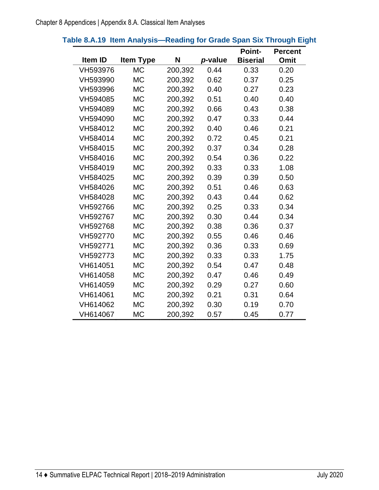<span id="page-17-0"></span>

|  |  |  |  | Table 8.A.19 Item Analysis—Reading for Grade Span Six Through Eight |
|--|--|--|--|---------------------------------------------------------------------|
|--|--|--|--|---------------------------------------------------------------------|

|          |                  |         |         | <b>Point-</b>   | <b>Percent</b> |
|----------|------------------|---------|---------|-----------------|----------------|
| Item ID  | <b>Item Type</b> | N       | p-value | <b>Biserial</b> | Omit           |
| VH593976 | <b>MC</b>        | 200,392 | 0.44    | 0.33            | 0.20           |
| VH593990 | <b>MC</b>        | 200,392 | 0.62    | 0.37            | 0.25           |
| VH593996 | <b>MC</b>        | 200,392 | 0.40    | 0.27            | 0.23           |
| VH594085 | <b>MC</b>        | 200,392 | 0.51    | 0.40            | 0.40           |
| VH594089 | <b>MC</b>        | 200,392 | 0.66    | 0.43            | 0.38           |
| VH594090 | <b>MC</b>        | 200,392 | 0.47    | 0.33            | 0.44           |
| VH584012 | <b>MC</b>        | 200,392 | 0.40    | 0.46            | 0.21           |
| VH584014 | <b>MC</b>        | 200,392 | 0.72    | 0.45            | 0.21           |
| VH584015 | <b>MC</b>        | 200,392 | 0.37    | 0.34            | 0.28           |
| VH584016 | <b>MC</b>        | 200,392 | 0.54    | 0.36            | 0.22           |
| VH584019 | <b>MC</b>        | 200,392 | 0.33    | 0.33            | 1.08           |
| VH584025 | <b>MC</b>        | 200,392 | 0.39    | 0.39            | 0.50           |
| VH584026 | <b>MC</b>        | 200,392 | 0.51    | 0.46            | 0.63           |
| VH584028 | <b>MC</b>        | 200,392 | 0.43    | 0.44            | 0.62           |
| VH592766 | <b>MC</b>        | 200,392 | 0.25    | 0.33            | 0.34           |
| VH592767 | <b>MC</b>        | 200,392 | 0.30    | 0.44            | 0.34           |
| VH592768 | <b>MC</b>        | 200,392 | 0.38    | 0.36            | 0.37           |
| VH592770 | <b>MC</b>        | 200,392 | 0.55    | 0.46            | 0.46           |
| VH592771 | <b>MC</b>        | 200,392 | 0.36    | 0.33            | 0.69           |
| VH592773 | <b>MC</b>        | 200,392 | 0.33    | 0.33            | 1.75           |
| VH614051 | <b>MC</b>        | 200,392 | 0.54    | 0.47            | 0.48           |
| VH614058 | <b>MC</b>        | 200,392 | 0.47    | 0.46            | 0.49           |
| VH614059 | <b>MC</b>        | 200,392 | 0.29    | 0.27            | 0.60           |
| VH614061 | <b>MC</b>        | 200,392 | 0.21    | 0.31            | 0.64           |
| VH614062 | <b>MC</b>        | 200,392 | 0.30    | 0.19            | 0.70           |
| VH614067 | <b>MC</b>        | 200,392 | 0.57    | 0.45            | 0.77           |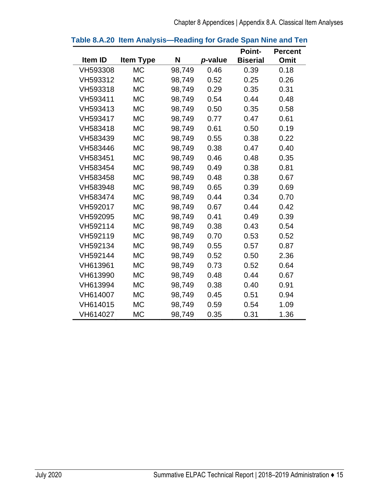|          |                  |        |         | <b>Point-</b>   | <b>Percent</b> |
|----------|------------------|--------|---------|-----------------|----------------|
| Item ID  | <b>Item Type</b> | N      | p-value | <b>Biserial</b> | <b>Omit</b>    |
| VH593308 | <b>MC</b>        | 98,749 | 0.46    | 0.39            | 0.18           |
| VH593312 | <b>MC</b>        | 98,749 | 0.52    | 0.25            | 0.26           |
| VH593318 | <b>MC</b>        | 98,749 | 0.29    | 0.35            | 0.31           |
| VH593411 | <b>MC</b>        | 98,749 | 0.54    | 0.44            | 0.48           |
| VH593413 | <b>MC</b>        | 98,749 | 0.50    | 0.35            | 0.58           |
| VH593417 | <b>MC</b>        | 98,749 | 0.77    | 0.47            | 0.61           |
| VH583418 | <b>MC</b>        | 98,749 | 0.61    | 0.50            | 0.19           |
| VH583439 | <b>MC</b>        | 98,749 | 0.55    | 0.38            | 0.22           |
| VH583446 | <b>MC</b>        | 98,749 | 0.38    | 0.47            | 0.40           |
| VH583451 | <b>MC</b>        | 98,749 | 0.46    | 0.48            | 0.35           |
| VH583454 | <b>MC</b>        | 98,749 | 0.49    | 0.38            | 0.81           |
| VH583458 | <b>MC</b>        | 98,749 | 0.48    | 0.38            | 0.67           |
| VH583948 | <b>MC</b>        | 98,749 | 0.65    | 0.39            | 0.69           |
| VH583474 | <b>MC</b>        | 98,749 | 0.44    | 0.34            | 0.70           |
| VH592017 | <b>MC</b>        | 98,749 | 0.67    | 0.44            | 0.42           |
| VH592095 | <b>MC</b>        | 98,749 | 0.41    | 0.49            | 0.39           |
| VH592114 | <b>MC</b>        | 98,749 | 0.38    | 0.43            | 0.54           |
| VH592119 | <b>MC</b>        | 98,749 | 0.70    | 0.53            | 0.52           |
| VH592134 | <b>MC</b>        | 98,749 | 0.55    | 0.57            | 0.87           |
| VH592144 | <b>MC</b>        | 98,749 | 0.52    | 0.50            | 2.36           |
| VH613961 | <b>MC</b>        | 98,749 | 0.73    | 0.52            | 0.64           |
| VH613990 | <b>MC</b>        | 98,749 | 0.48    | 0.44            | 0.67           |
| VH613994 | <b>MC</b>        | 98,749 | 0.38    | 0.40            | 0.91           |
| VH614007 | <b>MC</b>        | 98,749 | 0.45    | 0.51            | 0.94           |
| VH614015 | <b>MC</b>        | 98,749 | 0.59    | 0.54            | 1.09           |
| VH614027 | <b>MC</b>        | 98,749 | 0.35    | 0.31            | 1.36           |

#### <span id="page-18-0"></span>**Table 8.A.20 Item Analysis—Reading for Grade Span Nine and Ten**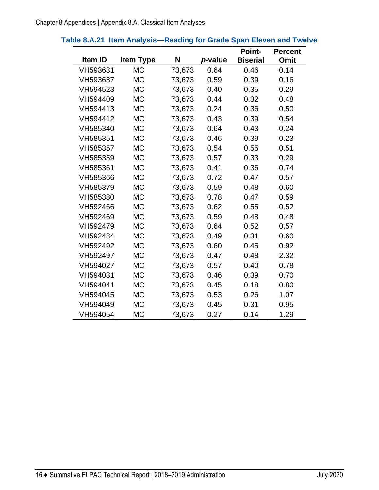<span id="page-19-0"></span>

|                |                  |        |         | <b>Point-</b>   | <b>Percent</b> |
|----------------|------------------|--------|---------|-----------------|----------------|
| <b>Item ID</b> | <b>Item Type</b> | N      | p-value | <b>Biserial</b> | Omit           |
| VH593631       | <b>MC</b>        | 73,673 | 0.64    | 0.46            | 0.14           |
| VH593637       | <b>MC</b>        | 73,673 | 0.59    | 0.39            | 0.16           |
| VH594523       | <b>MC</b>        | 73,673 | 0.40    | 0.35            | 0.29           |
| VH594409       | <b>MC</b>        | 73,673 | 0.44    | 0.32            | 0.48           |
| VH594413       | <b>MC</b>        | 73,673 | 0.24    | 0.36            | 0.50           |
| VH594412       | <b>MC</b>        | 73,673 | 0.43    | 0.39            | 0.54           |
| VH585340       | <b>MC</b>        | 73,673 | 0.64    | 0.43            | 0.24           |
| VH585351       | <b>MC</b>        | 73,673 | 0.46    | 0.39            | 0.23           |
| VH585357       | <b>MC</b>        | 73,673 | 0.54    | 0.55            | 0.51           |
| VH585359       | <b>MC</b>        | 73,673 | 0.57    | 0.33            | 0.29           |
| VH585361       | <b>MC</b>        | 73,673 | 0.41    | 0.36            | 0.74           |
| VH585366       | <b>MC</b>        | 73,673 | 0.72    | 0.47            | 0.57           |
| VH585379       | <b>MC</b>        | 73,673 | 0.59    | 0.48            | 0.60           |
| VH585380       | <b>MC</b>        | 73,673 | 0.78    | 0.47            | 0.59           |
| VH592466       | <b>MC</b>        | 73,673 | 0.62    | 0.55            | 0.52           |
| VH592469       | <b>MC</b>        | 73,673 | 0.59    | 0.48            | 0.48           |
| VH592479       | <b>MC</b>        | 73,673 | 0.64    | 0.52            | 0.57           |
| VH592484       | <b>MC</b>        | 73,673 | 0.49    | 0.31            | 0.60           |
| VH592492       | <b>MC</b>        | 73,673 | 0.60    | 0.45            | 0.92           |
| VH592497       | <b>MC</b>        | 73,673 | 0.47    | 0.48            | 2.32           |
| VH594027       | <b>MC</b>        | 73,673 | 0.57    | 0.40            | 0.78           |
| VH594031       | <b>MC</b>        | 73,673 | 0.46    | 0.39            | 0.70           |
| VH594041       | <b>MC</b>        | 73,673 | 0.45    | 0.18            | 0.80           |
| VH594045       | <b>MC</b>        | 73,673 | 0.53    | 0.26            | 1.07           |
| VH594049       | <b>MC</b>        | 73,673 | 0.45    | 0.31            | 0.95           |
| VH594054       | МC               | 73,673 | 0.27    | 0.14            | 1.29           |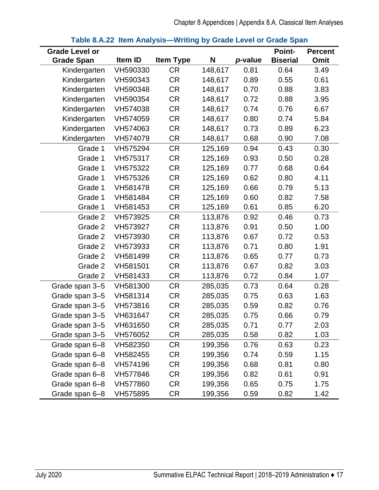<span id="page-20-0"></span>

| <b>Grade Level or</b> |          |                  |         |         | <b>Point-</b>   | <b>Percent</b> |
|-----------------------|----------|------------------|---------|---------|-----------------|----------------|
| <b>Grade Span</b>     | Item ID  | <b>Item Type</b> | N       | p-value | <b>Biserial</b> | Omit           |
| Kindergarten          | VH590330 | <b>CR</b>        | 148,617 | 0.81    | 0.64            | 3.49           |
| Kindergarten          | VH590343 | <b>CR</b>        | 148,617 | 0.89    | 0.55            | 0.61           |
| Kindergarten          | VH590348 | <b>CR</b>        | 148,617 | 0.70    | 0.88            | 3.83           |
| Kindergarten          | VH590354 | <b>CR</b>        | 148,617 | 0.72    | 0.88            | 3.95           |
| Kindergarten          | VH574038 | <b>CR</b>        | 148,617 | 0.74    | 0.76            | 6.67           |
| Kindergarten          | VH574059 | <b>CR</b>        | 148,617 | 0.80    | 0.74            | 5.84           |
| Kindergarten          | VH574063 | <b>CR</b>        | 148,617 | 0.73    | 0.89            | 6.23           |
| Kindergarten          | VH574079 | <b>CR</b>        | 148,617 | 0.68    | 0.90            | 7.08           |
| Grade 1               | VH575294 | <b>CR</b>        | 125,169 | 0.94    | 0.43            | 0.30           |
| Grade 1               | VH575317 | <b>CR</b>        | 125,169 | 0.93    | 0.50            | 0.28           |
| Grade 1               | VH575322 | <b>CR</b>        | 125,169 | 0.77    | 0.68            | 0.64           |
| Grade 1               | VH575326 | <b>CR</b>        | 125,169 | 0.62    | 0.80            | 4.11           |
| Grade 1               | VH581478 | <b>CR</b>        | 125,169 | 0.66    | 0.79            | 5.13           |
| Grade 1               | VH581484 | CR               | 125,169 | 0.60    | 0.82            | 7.58           |
| Grade 1               | VH581453 | <b>CR</b>        | 125,169 | 0.61    | 0.85            | 6.20           |
| Grade 2               | VH573925 | <b>CR</b>        | 113,876 | 0.92    | 0.46            | 0.73           |
| Grade 2               | VH573927 | <b>CR</b>        | 113,876 | 0.91    | 0.50            | 1.00           |
| Grade 2               | VH573930 | <b>CR</b>        | 113,876 | 0.67    | 0.72            | 0.53           |
| Grade 2               | VH573933 | <b>CR</b>        | 113,876 | 0.71    | 0.80            | 1.91           |
| Grade 2               | VH581499 | <b>CR</b>        | 113,876 | 0.65    | 0.77            | 0.73           |
| Grade 2               | VH581501 | <b>CR</b>        | 113,876 | 0.67    | 0.82            | 3.03           |
| Grade 2               | VH581433 | <b>CR</b>        | 113,876 | 0.72    | 0.84            | 1.07           |
| Grade span 3-5        | VH581300 | <b>CR</b>        | 285,035 | 0.73    | 0.64            | 0.28           |
| Grade span 3-5        | VH581314 | <b>CR</b>        | 285,035 | 0.75    | 0.63            | 1.63           |
| Grade span 3-5        | VH573816 | <b>CR</b>        | 285,035 | 0.59    | 0.82            | 0.76           |
| Grade span 3-5        | VH631647 | <b>CR</b>        | 285,035 | 0.75    | 0.66            | 0.79           |
| Grade span 3-5        | VH631650 | <b>CR</b>        | 285,035 | 0.71    | 0.77            | 2.03           |
| Grade span 3-5        | VH576052 | CR               | 285,035 | 0.58    | 0.82            | 1.03           |
| Grade span 6-8        | VH582350 | CR               | 199,356 | 0.76    | 0.63            | 0.23           |
| Grade span 6-8        | VH582455 | CR               | 199,356 | 0.74    | 0.59            | 1.15           |
| Grade span 6-8        | VH574196 | CR               | 199,356 | 0.68    | 0.81            | 0.80           |
| Grade span 6-8        | VH577846 | CR               | 199,356 | 0.82    | 0.61            | 0.91           |
| Grade span 6-8        | VH577860 | CR               | 199,356 | 0.65    | 0.75            | 1.75           |
| Grade span 6-8        | VH575895 | CR               | 199,356 | 0.59    | 0.82            | 1.42           |

#### **Table 8.A.22 Item Analysis—Writing by Grade Level or Grade Span**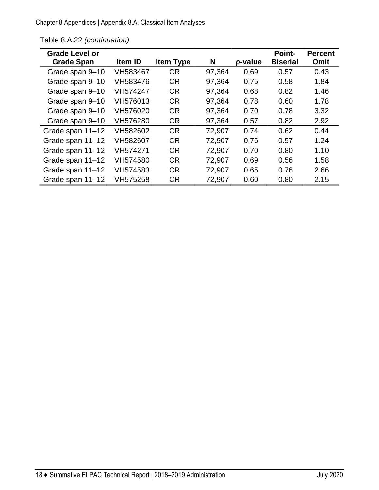Chapter 8 Appendices | Appendix 8.A. Classical Item Analyses

| <b>Grade Level or</b> |          |                  |        |         | <b>Point-</b>   | <b>Percent</b> |
|-----------------------|----------|------------------|--------|---------|-----------------|----------------|
| <b>Grade Span</b>     | Item ID  | <b>Item Type</b> | N      | p-value | <b>Biserial</b> | <b>Omit</b>    |
| Grade span 9-10       | VH583467 | <b>CR</b>        | 97,364 | 0.69    | 0.57            | 0.43           |
| Grade span 9-10       | VH583476 | <b>CR</b>        | 97,364 | 0.75    | 0.58            | 1.84           |
| Grade span 9-10       | VH574247 | <b>CR</b>        | 97,364 | 0.68    | 0.82            | 1.46           |
| Grade span 9-10       | VH576013 | <b>CR</b>        | 97,364 | 0.78    | 0.60            | 1.78           |
| Grade span 9-10       | VH576020 | <b>CR</b>        | 97,364 | 0.70    | 0.78            | 3.32           |
| Grade span 9-10       | VH576280 | <b>CR</b>        | 97,364 | 0.57    | 0.82            | 2.92           |
| Grade span 11-12      | VH582602 | <b>CR</b>        | 72,907 | 0.74    | 0.62            | 0.44           |
| Grade span 11-12      | VH582607 | <b>CR</b>        | 72,907 | 0.76    | 0.57            | 1.24           |
| Grade span 11-12      | VH574271 | <b>CR</b>        | 72,907 | 0.70    | 0.80            | 1.10           |
| Grade span 11-12      | VH574580 | <b>CR</b>        | 72,907 | 0.69    | 0.56            | 1.58           |
| Grade span 11-12      | VH574583 | <b>CR</b>        | 72,907 | 0.65    | 0.76            | 2.66           |
| Grade span 11-12      | VH575258 | <b>CR</b>        | 72,907 | 0.60    | 0.80            | 2.15           |

Table 8.A.22 *(continuation)*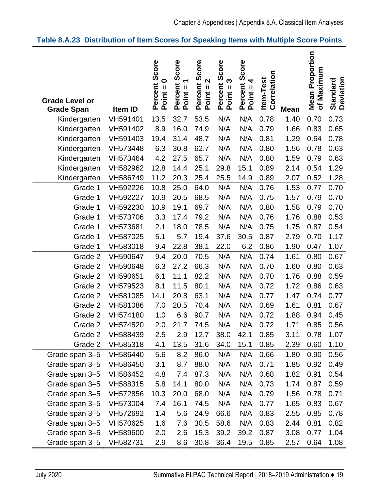#### <span id="page-22-0"></span>**Table 8.A.23 Distribution of Item Scores for Speaking Items with Multiple Score Points**

| <b>Grade Level or</b><br><b>Grade Span</b> | Item ID  | Percent Score<br>$\bullet$<br>$\mathbf{I}$<br>Point | Score<br>᠆<br>Percent<br>$\mathbf{H}% =\mathbf{H}+\mathbf{H}+\mathbf{H}+\mathbf{H}+\mathbf{H}+\mathbf{H}+\mathbf{H}+\mathbf{H}+\mathbf{H}+\mathbf{H}+\mathbf{H}+\mathbf{H}+\mathbf{H}+\mathbf{H}+\mathbf{H}+\mathbf{H}+\mathbf{H}+\mathbf{H}+\mathbf{H}+\mathbf{H}+\mathbf{H}+\mathbf{H}+\mathbf{H}+\mathbf{H}+\mathbf{H}+\mathbf{H}+\mathbf{H}+\mathbf{H}+\mathbf{H}+\mathbf{H}+\mathbf{H}+\mathbf{H}+\mathbf{H}+\mathbf{H}+\mathbf{H}+\mathbf$<br>Point | Score<br>$\mathbf{\Omega}$<br>Percent<br>$\mathbf{I}$<br>Point: | Score<br>S<br>Percent<br>$Point = 3$ | Percent Score<br>Point = 4 | Correlation<br><b>Item-Test</b> | <b>Mean</b> | <b>Mean Proportion</b><br>of Maximum | <b>Standard<br/>Deviation</b> |
|--------------------------------------------|----------|-----------------------------------------------------|-----------------------------------------------------------------------------------------------------------------------------------------------------------------------------------------------------------------------------------------------------------------------------------------------------------------------------------------------------------------------------------------------------------------------------------------------------------|-----------------------------------------------------------------|--------------------------------------|----------------------------|---------------------------------|-------------|--------------------------------------|-------------------------------|
| Kindergarten                               | VH591401 | 13.5                                                | 32.7                                                                                                                                                                                                                                                                                                                                                                                                                                                      | 53.5                                                            | N/A                                  | N/A                        | 0.78                            | 1.40        | 0.70                                 | 0.73                          |
| Kindergarten                               | VH591402 | 8.9                                                 | 16.0                                                                                                                                                                                                                                                                                                                                                                                                                                                      | 74.9                                                            | N/A                                  | N/A                        | 0.79                            | 1.66        | 0.83                                 | 0.65                          |
| Kindergarten                               | VH591403 | 19.4                                                | 31.4                                                                                                                                                                                                                                                                                                                                                                                                                                                      | 48.7                                                            | N/A                                  | N/A                        | 0.81                            | 1.29        | 0.64                                 | 0.78                          |
| Kindergarten                               | VH573448 | 6.3                                                 | 30.8                                                                                                                                                                                                                                                                                                                                                                                                                                                      | 62.7                                                            | N/A                                  | N/A                        | 0.80                            | 1.56        | 0.78                                 | 0.63                          |
| Kindergarten                               | VH573464 | 4.2                                                 | 27.5                                                                                                                                                                                                                                                                                                                                                                                                                                                      | 65.7                                                            | N/A                                  | N/A                        | 0.80                            | 1.59        | 0.79                                 | 0.63                          |
| Kindergarten                               | VH582962 | 12.8                                                | 14.4                                                                                                                                                                                                                                                                                                                                                                                                                                                      | 25.1                                                            | 29.8                                 | 15.1                       | 0.89                            | 2.14        | 0.54                                 | 1.29                          |
| Kindergarten                               | VH586749 | 11.2                                                | 20.3                                                                                                                                                                                                                                                                                                                                                                                                                                                      | 25.4                                                            | 25.5                                 | 14.9                       | 0.89                            | 2.07        | 0.52                                 | 1.28                          |
| Grade 1                                    | VH592226 | 10.8                                                | 25.0                                                                                                                                                                                                                                                                                                                                                                                                                                                      | 64.0                                                            | N/A                                  | N/A                        | 0.76                            | 1.53        | 0.77                                 | 0.70                          |
| Grade 1                                    | VH592227 | 10.9                                                | 20.5                                                                                                                                                                                                                                                                                                                                                                                                                                                      | 68.5                                                            | N/A                                  | N/A                        | 0.75                            | 1.57        | 0.79                                 | 0.70                          |
| Grade 1                                    | VH592230 | 10.9                                                | 19.1                                                                                                                                                                                                                                                                                                                                                                                                                                                      | 69.7                                                            | N/A                                  | N/A                        | 0.80                            | 1.58        | 0.79                                 | 0.70                          |
| Grade 1                                    | VH573706 | 3.3                                                 | 17.4                                                                                                                                                                                                                                                                                                                                                                                                                                                      | 79.2                                                            | N/A                                  | N/A                        | 0.76                            | 1.76        | 0.88                                 | 0.53                          |
| Grade 1                                    | VH573681 | 2.1                                                 | 18.0                                                                                                                                                                                                                                                                                                                                                                                                                                                      | 78.5                                                            | N/A                                  | N/A                        | 0.75                            | 1.75        | 0.87                                 | 0.54                          |
| Grade 1                                    | VH587025 | 5.1                                                 | 5.7                                                                                                                                                                                                                                                                                                                                                                                                                                                       | 19.4                                                            | 37.6                                 | 30.5                       | 0.87                            | 2.79        | 0.70                                 | 1.17                          |
| Grade 1                                    | VH583018 | 9.4                                                 | 22.8                                                                                                                                                                                                                                                                                                                                                                                                                                                      | 38.1                                                            | 22.0                                 | 6.2                        | 0.86                            | 1.90        | 0.47                                 | 1.07                          |
| Grade 2                                    | VH590647 | 9.4                                                 | 20.0                                                                                                                                                                                                                                                                                                                                                                                                                                                      | 70.5                                                            | N/A                                  | N/A                        | 0.74                            | 1.61        | 0.80                                 | 0.67                          |
| Grade 2                                    | VH590648 | 6.3                                                 | 27.2                                                                                                                                                                                                                                                                                                                                                                                                                                                      | 66.3                                                            | N/A                                  | N/A                        | 0.70                            | 1.60        | 0.80                                 | 0.63                          |
| Grade 2                                    | VH590651 | 6.1                                                 | 11.1                                                                                                                                                                                                                                                                                                                                                                                                                                                      | 82.2                                                            | N/A                                  | N/A                        | 0.70                            | 1.76        | 0.88                                 | 0.59                          |
| Grade 2                                    | VH579523 | 8.1                                                 | 11.5                                                                                                                                                                                                                                                                                                                                                                                                                                                      | 80.1                                                            | N/A                                  | N/A                        | 0.72                            | 1.72        | 0.86                                 | 0.63                          |
| Grade 2                                    | VH581085 | 14.1                                                | 20.8                                                                                                                                                                                                                                                                                                                                                                                                                                                      | 63.1                                                            | N/A                                  | N/A                        | 0.77                            | 1.47        | 0.74                                 | 0.77                          |
| Grade 2                                    | VH581086 | 7.0                                                 | 20.5                                                                                                                                                                                                                                                                                                                                                                                                                                                      | 70.4                                                            | N/A                                  | N/A                        | 0.69                            | 1.61        | 0.81                                 | 0.67                          |
| Grade 2                                    | VH574180 | 1.0                                                 | 6.6                                                                                                                                                                                                                                                                                                                                                                                                                                                       | 90.7                                                            | N/A                                  | N/A                        | 0.72                            | 1.88        | 0.94                                 | 0.45                          |
| Grade 2                                    | VH574520 | 2.0                                                 | 21.7                                                                                                                                                                                                                                                                                                                                                                                                                                                      | 74.5                                                            | N/A                                  | N/A                        | 0.72                            | 1.71        | 0.85                                 | 0.56                          |
| Grade 2                                    | VH588439 | 2.5                                                 | 2.9                                                                                                                                                                                                                                                                                                                                                                                                                                                       | 12.7                                                            | 38.0                                 | 42.1                       | 0.85                            | 3.11        | 0.78                                 | 1.07                          |
| Grade 2                                    | VH585318 | 4.1                                                 | 13.5                                                                                                                                                                                                                                                                                                                                                                                                                                                      | 31.6                                                            | 34.0                                 | 15.1                       | 0.85                            | 2.39        | 0.60                                 | 1.10                          |
| Grade span 3-5                             | VH586440 | 5.6                                                 | 8.2                                                                                                                                                                                                                                                                                                                                                                                                                                                       | 86.0                                                            | N/A                                  | N/A                        | 0.66                            | 1.80        | 0.90                                 | 0.56                          |
| Grade span 3-5                             | VH586450 | 3.1                                                 | 8.7                                                                                                                                                                                                                                                                                                                                                                                                                                                       | 88.0                                                            | N/A                                  | N/A                        | 0.71                            | 1.85        | 0.92                                 | 0.49                          |
| Grade span 3-5                             | VH586452 | 4.8                                                 | 7.4                                                                                                                                                                                                                                                                                                                                                                                                                                                       | 87.3                                                            | N/A                                  | N/A                        | 0.68                            | 1.82        | 0.91                                 | 0.54                          |
| Grade span 3-5                             | VH588315 | 5.8                                                 | 14.1                                                                                                                                                                                                                                                                                                                                                                                                                                                      | 80.0                                                            | N/A                                  | N/A                        | 0.73                            | 1.74        | 0.87                                 | 0.59                          |
| Grade span 3-5                             | VH572856 | 10.3                                                | 20.0                                                                                                                                                                                                                                                                                                                                                                                                                                                      | 68.0                                                            | N/A                                  | N/A                        | 0.79                            | 1.56        | 0.78                                 | 0.71                          |
| Grade span 3-5                             | VH573004 | 7.4                                                 | 16.1                                                                                                                                                                                                                                                                                                                                                                                                                                                      | 74.5                                                            | N/A                                  | N/A                        | 0.77                            | 1.65        | 0.83                                 | 0.67                          |
| Grade span 3-5                             | VH572692 | 1.4                                                 | 5.6                                                                                                                                                                                                                                                                                                                                                                                                                                                       | 24.9                                                            | 66.6                                 | N/A                        | 0.83                            | 2.55        | 0.85                                 | 0.78                          |
| Grade span 3-5                             | VH570625 | 1.6                                                 | 7.6                                                                                                                                                                                                                                                                                                                                                                                                                                                       | 30.5                                                            | 58.6                                 | N/A                        | 0.83                            | 2.44        | 0.81                                 | 0.82                          |
| Grade span 3-5                             | VH589600 | 2.0                                                 | 2.6                                                                                                                                                                                                                                                                                                                                                                                                                                                       | 15.3                                                            | 39.2                                 | 39.2                       | 0.87                            | 3.08        | 0.77                                 | 1.04                          |
| Grade span 3-5                             | VH582731 | 2.9                                                 | 8.6                                                                                                                                                                                                                                                                                                                                                                                                                                                       | 30.8                                                            | 36.4                                 | 19.5                       | 0.85                            | 2.57        | 0.64                                 | 1.08                          |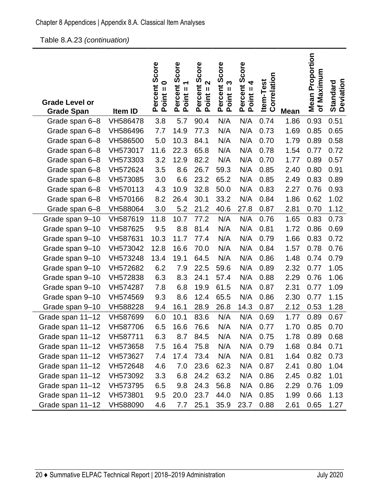Table 8.A.23 *(continuation)* 

| <b>Grade Level or</b><br><b>Grade Span</b> | Item ID  | Percent Score<br>$\bullet$<br>$Point = 1$ | Score<br>ے<br>Percent :<br>Point = 1 | Score<br>$\mathbf{\Omega}$<br>Percent<br>$\mathbf{I}$<br>Point: | Score<br>S<br>Percent<br>$Point =$ | Score<br>4<br>Percent :<br>Point = 4 | Correlation<br><b>Item-Test</b> | <b>Mean</b> | <b>Mean Proportion</b><br>Maximum<br>$\mathbf{\dot{o}}$ | <b>Standard<br/>Deviation</b> |
|--------------------------------------------|----------|-------------------------------------------|--------------------------------------|-----------------------------------------------------------------|------------------------------------|--------------------------------------|---------------------------------|-------------|---------------------------------------------------------|-------------------------------|
| Grade span 6-8                             | VH586478 | 3.8                                       | 5.7                                  | 90.4                                                            | N/A                                | N/A                                  | 0.74                            | 1.86        | 0.93                                                    | 0.51                          |
| Grade span 6-8                             | VH586496 | 7.7                                       | 14.9                                 | 77.3                                                            | N/A                                | N/A                                  | 0.73                            | 1.69        | 0.85                                                    | 0.65                          |
| Grade span 6-8                             | VH586500 | 5.0                                       | 10.3                                 | 84.1                                                            | N/A                                | N/A                                  | 0.70                            | 1.79        | 0.89                                                    | 0.58                          |
| Grade span 6-8                             | VH573017 | 11.6                                      | 22.3                                 | 65.8                                                            | N/A                                | N/A                                  | 0.78                            | 1.54        | 0.77                                                    | 0.72                          |
| Grade span 6-8                             | VH573303 | 3.2                                       | 12.9                                 | 82.2                                                            | N/A                                | N/A                                  | 0.70                            | 1.77        | 0.89                                                    | 0.57                          |
| Grade span 6-8                             | VH572624 | 3.5                                       | 8.6                                  | 26.7                                                            | 59.3                               | N/A                                  | 0.85                            | 2.40        | 0.80                                                    | 0.91                          |
| Grade span 6-8                             | VH573085 | 3.0                                       | 6.6                                  | 23.2                                                            | 65.2                               | N/A                                  | 0.85                            | 2.49        | 0.83                                                    | 0.89                          |
| Grade span 6-8                             | VH570113 | 4.3                                       | 10.9                                 | 32.8                                                            | 50.0                               | N/A                                  | 0.83                            | 2.27        | 0.76                                                    | 0.93                          |
| Grade span 6-8                             | VH570166 | 8.2                                       | 26.4                                 | 30.1                                                            | 33.2                               | N/A                                  | 0.84                            | 1.86        | 0.62                                                    | 1.02                          |
| Grade span 6-8                             | VH588064 | 3.0                                       | 5.2                                  | 21.2                                                            | 40.6                               | 27.8                                 | 0.87                            | 2.81        | 0.70                                                    | 1.12                          |
| Grade span 9-10                            | VH587619 | 11.8                                      | 10.7                                 | 77.2                                                            | N/A                                | N/A                                  | 0.76                            | 1.65        | 0.83                                                    | 0.73                          |
| Grade span 9-10                            | VH587625 | 9.5                                       | 8.8                                  | 81.4                                                            | N/A                                | N/A                                  | 0.81                            | 1.72        | 0.86                                                    | 0.69                          |
| Grade span 9-10                            | VH587631 | 10.3                                      | 11.7                                 | 77.4                                                            | N/A                                | N/A                                  | 0.79                            | 1.66        | 0.83                                                    | 0.72                          |
| Grade span 9-10                            | VH573042 | 12.8                                      | 16.6                                 | 70.0                                                            | N/A                                | N/A                                  | 0.84                            | 1.57        | 0.78                                                    | 0.76                          |
| Grade span 9-10                            | VH573248 | 13.4                                      | 19.1                                 | 64.5                                                            | N/A                                | N/A                                  | 0.86                            | 1.48        | 0.74                                                    | 0.79                          |
| Grade span 9-10                            | VH572682 | 6.2                                       | 7.9                                  | 22.5                                                            | 59.6                               | N/A                                  | 0.89                            | 2.32        | 0.77                                                    | 1.05                          |
| Grade span 9-10                            | VH572838 | 6.3                                       | 8.3                                  | 24.1                                                            | 57.4                               | N/A                                  | 0.88                            | 2.29        | 0.76                                                    | 1.06                          |
| Grade span 9-10                            | VH574287 | 7.8                                       | 6.8                                  | 19.9                                                            | 61.5                               | N/A                                  | 0.87                            | 2.31        | 0.77                                                    | 1.09                          |
| Grade span 9-10                            | VH574569 | 9.3                                       | 8.6                                  | 12.4                                                            | 65.5                               | N/A                                  | 0.86                            | 2.30        | 0.77                                                    | 1.15                          |
| Grade span 9-10                            | VH588228 | 9.4                                       | 16.1                                 | 28.9                                                            | 26.8                               | 14.3                                 | 0.87                            | 2.12        | 0.53                                                    | 1.28                          |
| Grade span 11-12                           | VH587699 | 6.0                                       | 10.1                                 | 83.6                                                            | N/A                                | N/A                                  | 0.69                            | 1.77        | 0.89                                                    | 0.67                          |
| Grade span 11-12                           | VH587706 | 6.5                                       | 16.6                                 | 76.6                                                            | N/A                                | N/A                                  | 0.77                            | 1.70        | 0.85                                                    | 0.70                          |
| Grade span 11-12                           | VH587711 | 6.3                                       | 8.7                                  | 84.5                                                            | N/A                                | N/A                                  | 0.75                            | 1.78        | 0.89                                                    | 0.68                          |
| Grade span 11-12                           | VH573658 | 7.5                                       | 16.4                                 | 75.8                                                            | N/A                                | N/A                                  | 0.79                            | 1.68        | 0.84                                                    | 0.71                          |
| Grade span 11-12                           | VH573627 | 7.4                                       | 17.4                                 | 73.4                                                            | N/A                                | N/A                                  | 0.81                            | 1.64        | 0.82                                                    | 0.73                          |
| Grade span 11-12                           | VH572648 | 4.6                                       | 7.0                                  | 23.6                                                            | 62.3                               | N/A                                  | 0.87                            | 2.41        | 0.80                                                    | 1.04                          |
| Grade span 11-12                           | VH573092 | 3.3                                       | 6.8                                  | 24.2                                                            | 63.2                               | N/A                                  | 0.86                            | 2.45        | 0.82                                                    | 1.01                          |
| Grade span 11-12                           | VH573795 | 6.5                                       | 9.8                                  | 24.3                                                            | 56.8                               | N/A                                  | 0.86                            | 2.29        | 0.76                                                    | 1.09                          |
| Grade span 11-12                           | VH573801 | 9.5                                       | 20.0                                 | 23.7                                                            | 44.0                               | N/A                                  | 0.85                            | 1.99        | 0.66                                                    | 1.13                          |
| Grade span 11-12                           | VH588090 | 4.6                                       | 7.7                                  | 25.1                                                            | 35.9                               | 23.7                                 | 0.88                            | 2.61        | 0.65                                                    | 1.27                          |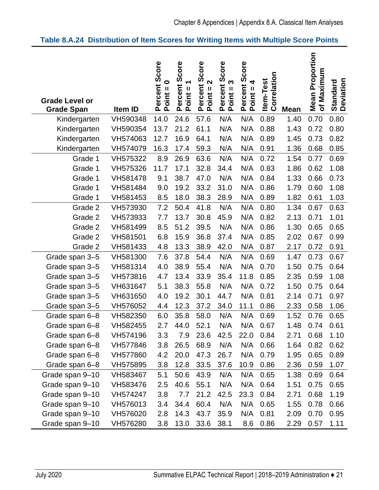#### <span id="page-24-0"></span>**Table 8.A.24 Distribution of Item Scores for Writing Items with Multiple Score Points**

| <b>Grade Level or</b><br><b>Grade Span</b> | Item ID  | Score<br>$\bullet$<br>Percent<br>Ш<br>Point: | Score<br>$\overline{\phantom{0}}$<br>Percent<br>$Point =$ | Score<br>2<br>Percent :<br>Point = 2 | Score<br>Percent S<br>Point = 3 | Percent Score<br>Point = 4 | Correlation<br><b>Item-Test</b> | <b>Mean</b> | <b>Mean Proportion</b><br>Maximum<br>$\delta$ | <b>Standard<br/>Deviation</b> |
|--------------------------------------------|----------|----------------------------------------------|-----------------------------------------------------------|--------------------------------------|---------------------------------|----------------------------|---------------------------------|-------------|-----------------------------------------------|-------------------------------|
| Kindergarten                               | VH590348 | 14.0                                         | 24.6                                                      | 57.6                                 | N/A                             | N/A                        | 0.89                            | 1.40        | 0.70                                          | 0.80                          |
| Kindergarten                               | VH590354 | 13.7                                         | 21.2                                                      | 61.1                                 | N/A                             | N/A                        | 0.88                            | 1.43        | 0.72                                          | 0.80                          |
| Kindergarten                               | VH574063 | 12.7                                         | 16.9                                                      | 64.1                                 | N/A                             | N/A                        | 0.89                            | 1.45        | 0.73                                          | 0.82                          |
| Kindergarten                               | VH574079 | 16.3                                         | 17.4                                                      | 59.3                                 | N/A                             | N/A                        | 0.91                            | 1.36        | 0.68                                          | 0.85                          |
| Grade 1                                    | VH575322 | 8.9                                          | 26.9                                                      | 63.6                                 | N/A                             | N/A                        | 0.72                            | 1.54        | 0.77                                          | 0.69                          |
| Grade 1                                    | VH575326 | 11.7                                         | 17.1                                                      | 32.8                                 | 34.4                            | N/A                        | 0.83                            | 1.86        | 0.62                                          | 1.08                          |
| Grade 1                                    | VH581478 | 9.1                                          | 38.7                                                      | 47.0                                 | N/A                             | N/A                        | 0.84                            | 1.33        | 0.66                                          | 0.73                          |
| Grade 1                                    | VH581484 | 9.0                                          | 19.2                                                      | 33.2                                 | 31.0                            | N/A                        | 0.86                            | 1.79        | 0.60                                          | 1.08                          |
| Grade 1                                    | VH581453 | 8.5                                          | 18.0                                                      | 38.3                                 | 28.9                            | N/A                        | 0.89                            | 1.82        | 0.61                                          | 1.03                          |
| Grade 2                                    | VH573930 | 7.2                                          | 50.4                                                      | 41.8                                 | N/A                             | N/A                        | 0.80                            | 1.34        | 0.67                                          | 0.63                          |
| Grade 2                                    | VH573933 | 7.7                                          | 13.7                                                      | 30.8                                 | 45.9                            | N/A                        | 0.82                            | 2.13        | 0.71                                          | 1.01                          |
| Grade 2                                    | VH581499 | 8.5                                          | 51.2                                                      | 39.5                                 | N/A                             | N/A                        | 0.86                            | 1.30        | 0.65                                          | 0.65                          |
| Grade 2                                    | VH581501 | 6.8                                          | 15.9                                                      | 36.8                                 | 37.4                            | N/A                        | 0.85                            | 2.02        | 0.67                                          | 0.99                          |
| Grade 2                                    | VH581433 | 4.8                                          | 13.3                                                      | 38.9                                 | 42.0                            | N/A                        | 0.87                            | 2.17        | 0.72                                          | 0.91                          |
| Grade span 3-5                             | VH581300 | 7.6                                          | 37.8                                                      | 54.4                                 | N/A                             | N/A                        | 0.69                            | 1.47        | 0.73                                          | 0.67                          |
| Grade span 3-5                             | VH581314 | 4.0                                          | 38.9                                                      | 55.4                                 | N/A                             | N/A                        | 0.70                            | 1.50        | 0.75                                          | 0.64                          |
| Grade span 3-5                             | VH573816 | 4.7                                          | 13.4                                                      | 33.9                                 | 35.4                            | 11.8                       | 0.85                            | 2.35        | 0.59                                          | 1.08                          |
| Grade span 3-5                             | VH631647 | 5.1                                          | 38.3                                                      | 55.8                                 | N/A                             | N/A                        | 0.72                            | 1.50        | 0.75                                          | 0.64                          |
| Grade span 3-5                             | VH631650 | 4.0                                          | 19.2                                                      | 30.1                                 | 44.7                            | N/A                        | 0.81                            | 2.14        | 0.71                                          | 0.97                          |
| Grade span 3-5                             | VH576052 | 4.4                                          | 12.3                                                      | 37.2                                 | 34.0                            | 11.1                       | 0.86                            | 2.33        | 0.58                                          | 1.06                          |
| Grade span 6-8                             | VH582350 | 6.0                                          | 35.8                                                      | 58.0                                 | N/A                             | N/A                        | 0.69                            | 1.52        | 0.76                                          | 0.65                          |
| Grade span 6-8                             | VH582455 | 2.7                                          | 44.0                                                      | 52.1                                 | N/A                             | N/A                        | 0.67                            | 1.48        | 0.74                                          | 0.61                          |
| Grade span 6-8                             | VH574196 | 3.3                                          | 7.9                                                       | 23.6                                 | 42.5                            | 22.0                       | 0.84                            | 2.71        | 0.68                                          | 1.10                          |
| Grade span 6-8                             | VH577846 | 3.8                                          | 26.5                                                      | 68.9                                 | N/A                             | N/A                        | 0.66                            | 1.64        | 0.82                                          | 0.62                          |
| Grade span 6-8                             | VH577860 | 4.2                                          | 20.0                                                      | 47.3                                 | 26.7                            | N/A                        | 0.79                            | 1.95        | 0.65                                          | 0.89                          |
| Grade span 6-8                             | VH575895 | 3.8                                          | 12.8                                                      | 33.5                                 | 37.6                            | 10.9                       | 0.86                            | 2.36        | 0.59                                          | 1.07                          |
| Grade span 9-10                            | VH583467 | 5.1                                          | 50.6                                                      | 43.9                                 | N/A                             | N/A                        | 0.65                            | 1.38        | 0.69                                          | 0.64                          |
| Grade span 9-10                            | VH583476 | 2.5                                          | 40.6                                                      | 55.1                                 | N/A                             | N/A                        | 0.64                            | 1.51        | 0.75                                          | 0.65                          |
| Grade span 9-10                            | VH574247 | 3.8                                          | 7.7                                                       | 21.2                                 | 42.5                            | 23.3                       | 0.84                            | 2.71        | 0.68                                          | 1.19                          |
| Grade span 9-10                            | VH576013 | 3.4                                          | 34.4                                                      | 60.4                                 | N/A                             | N/A                        | 0.65                            | 1.55        | 0.78                                          | 0.66                          |
| Grade span 9-10                            | VH576020 | 2.8                                          | 14.3                                                      | 43.7                                 | 35.9                            | N/A                        | 0.81                            | 2.09        | 0.70                                          | 0.95                          |
| Grade span 9-10                            | VH576280 | 3.8                                          | 13.0                                                      | 33.6                                 | 38.1                            | 8.6                        | 0.86                            | 2.29        | 0.57                                          | 1.11                          |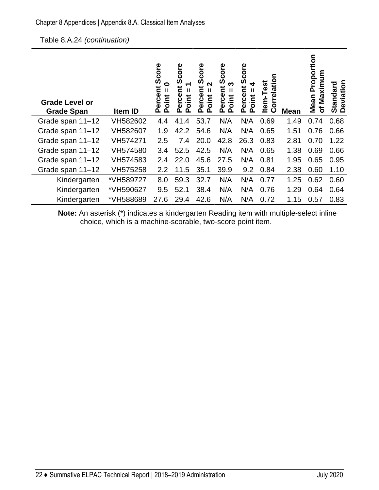| <b>Grade Level or</b><br><b>Grade Span</b> | Item ID   | Score<br>0<br>Ĕ<br>Ш<br>ercel<br>oint<br>൨<br>൨ | core<br>Ŏ<br>ミ<br>Ш<br>erce<br>oint<br>n<br>൨ | Score<br>ี่<br>Ĕ<br>Ш<br>Percer<br>oint<br>n | ၑ<br>g<br>Ō<br>ო<br>՟<br>Ш<br>Perce<br>oint<br>൨ | Score<br>┓<br>Ĕ<br>Ш<br>Percer<br><b>Jint</b><br>൨ | c<br>rrelatio<br>ēst<br>ltem-T<br>ပြ | <b>Mean</b> | roportion<br>ξ<br>xim<br>Δ.<br>g<br>Mean<br>৳ | Deviation<br><b>Standard</b> |
|--------------------------------------------|-----------|-------------------------------------------------|-----------------------------------------------|----------------------------------------------|--------------------------------------------------|----------------------------------------------------|--------------------------------------|-------------|-----------------------------------------------|------------------------------|
| Grade span 11-12                           | VH582602  | 4.4                                             | 41.4                                          | 53.7                                         | N/A                                              | N/A                                                | 0.69                                 | 1.49        | 0.74                                          | 0.68                         |
| Grade span 11-12                           | VH582607  | 1.9                                             | 42.2                                          | 54.6                                         | N/A                                              | N/A                                                | 0.65                                 | 1.51        | 0.76                                          | 0.66                         |
| Grade span 11-12                           | VH574271  | 2.5                                             | 7.4                                           | 20.0                                         | 42.8                                             | 26.3                                               | 0.83                                 | 2.81        | 0.70                                          | 1.22                         |
| Grade span 11-12                           | VH574580  | 3.4                                             | 52.5                                          | 42.5                                         | N/A                                              | N/A                                                | 0.65                                 | 1.38        | 0.69                                          | 0.66                         |
| Grade span 11-12                           | VH574583  | 2.4                                             | 22.0                                          | 45.6                                         | 27.5                                             | N/A                                                | 0.81                                 | 1.95        | 0.65                                          | 0.95                         |
| Grade span 11-12                           | VH575258  | 2.2                                             | 11.5                                          | 35.1                                         | 39.9                                             | 9.2                                                | 0.84                                 | 2.38        | 0.60                                          | 1.10                         |
| Kindergarten                               | *VH589727 | 8.0                                             | 59.3                                          | 32.7                                         | N/A                                              | N/A                                                | 0.77                                 | 1.25        | 0.62                                          | 0.60                         |
| Kindergarten                               | *VH590627 | 9.5                                             | 52.1                                          | 38.4                                         | N/A                                              | N/A                                                | 0.76                                 | 1.29        | 0.64                                          | 0.64                         |
| Kindergarten                               | *VH588689 | 27.6                                            | 29.4                                          | 42.6                                         | N/A                                              | N/A                                                | 0.72                                 | 1.15        | 0.57                                          | 0.83                         |

**Note:** An asterisk (\*) indicates a kindergarten Reading item with multiple-select inline choice, which is a machine-scorable, two-score point item.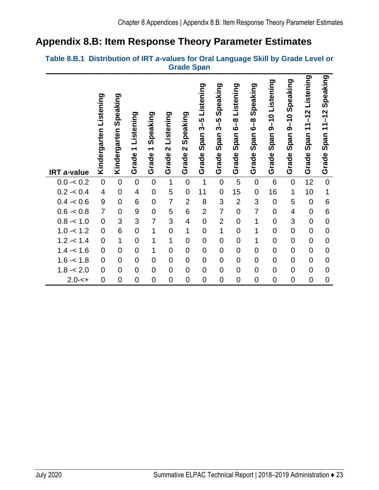### <span id="page-26-0"></span>**Appendix 8.B: Item Response Theory Parameter Estimates**

#### <span id="page-26-1"></span>**Table 8.B.1 Distribution of IRT** *a***-values for Oral Language Skill by Grade Level or Grade Span**

| <b>IRT a-value</b> | Listening<br>Kindergarten | Speaking<br>Kindergarten | Listening<br>$\overline{\phantom{0}}$<br>Grade | Speaking<br>$\overline{\phantom{0}}$<br>Grade | Listening<br>$\mathbf{\Omega}$<br>Grade | Speaking<br>$\mathbf{\Omega}$<br>Grade | Listening<br>3–5<br>გ<br>Span<br>Grade | Speaking<br>3-5<br>Span<br>Grade | Listening<br><u>ထို</u><br>Span<br>Grade | Speaking<br><u>ဖိ</u><br>Span<br>Grade | Listening<br>$9 - 10$<br>Span<br>Grade | Speaking<br>$9 - 10$<br>Span<br>Grade | Listening<br>$11 - 12$<br>Span<br>Grade | Speaking<br>$\frac{2}{1}$<br>$\frac{1}{\tau}$<br>Span<br>Grade |
|--------------------|---------------------------|--------------------------|------------------------------------------------|-----------------------------------------------|-----------------------------------------|----------------------------------------|----------------------------------------|----------------------------------|------------------------------------------|----------------------------------------|----------------------------------------|---------------------------------------|-----------------------------------------|----------------------------------------------------------------|
| $0.0 - 0.2$        | $\overline{0}$            | $\overline{0}$           | $\overline{0}$                                 | $\overline{0}$                                | $\overline{1}$                          | $\overline{0}$                         | 1                                      | $\overline{0}$                   | 5                                        | $\overline{0}$                         | 6                                      | $\mathbf 0$                           | 12                                      | $\overline{0}$                                                 |
| $0.2 - 0.4$        | $\overline{4}$            | $\overline{0}$           | $\overline{\mathcal{A}}$                       | $\mathbf 0$                                   | 5                                       | $\mathbf 0$                            | 11                                     | $\mathbf 0$                      | 15                                       | $\overline{0}$                         | 16                                     | 1                                     | 10                                      | 1                                                              |
| $0.4 - 0.6$        | 9                         | $\overline{0}$           | 6                                              | $\mathbf 0$                                   | $\overline{7}$                          | $\overline{2}$                         | 8                                      | 3                                | $\overline{2}$                           | 3                                      | $\overline{0}$                         | 5                                     | $\overline{0}$                          | 6                                                              |
| $0.6 - 0.8$        | $\overline{7}$            | $\overline{0}$           | 9                                              | $\mathbf 0$                                   | 5                                       | 6                                      | $\overline{2}$                         | $\overline{7}$                   | $\mathbf 0$                              | $\overline{7}$                         | $\overline{0}$                         | $\overline{\mathbf{4}}$               | $\mathbf 0$                             | 6                                                              |
| $0.8 - 1.0$        | $\overline{0}$            | 3                        | 3                                              | $\overline{7}$                                | 3                                       | 4                                      | $\mathbf 0$                            | $\overline{2}$                   | $\mathbf 0$                              | 1                                      | $\mathbf 0$                            | 3                                     | $\mathbf 0$                             | $\mathbf 0$                                                    |
| $1.0 - 1.2$        | $\overline{0}$            | 6                        | $\overline{0}$                                 | 1                                             | $\overline{0}$                          | 1                                      | $\overline{0}$                         | $\overline{1}$                   | $\mathbf 0$                              | 1                                      | $\overline{0}$                         | $\mathbf 0$                           | $\mathbf 0$                             | $\overline{0}$                                                 |
| $1.2 - 1.4$        | $\overline{0}$            | $\mathbf{1}$             | $\mathbf 0$                                    | 1                                             | $\mathbf{1}$                            | $\overline{0}$                         | $\overline{0}$                         | $\overline{0}$                   | $\mathbf 0$                              | 1                                      | $\overline{0}$                         | $\mathbf 0$                           | $\overline{0}$                          | $\overline{0}$                                                 |
| $1.4 - 1.6$        | $\overline{0}$            | $\overline{0}$           | $\mathbf 0$                                    | 1                                             | $\overline{0}$                          | 0                                      | $\overline{0}$                         | $\mathbf 0$                      | $\mathbf 0$                              | $\mathbf 0$                            | $\mathbf 0$                            | $\overline{0}$                        | $\mathbf 0$                             | $\overline{0}$                                                 |
| $1.6 - 1.8$        | $\overline{0}$            | $\overline{0}$           | $\mathbf 0$                                    | $\mathbf 0$                                   | $\mathbf 0$                             | $\overline{0}$                         | $\overline{0}$                         | $\mathbf 0$                      | $\mathbf 0$                              | $\overline{0}$                         | $\mathbf 0$                            | $\overline{0}$                        | $\mathbf 0$                             | $\overline{0}$                                                 |
| $1.8 - 2.0$        | $\overline{0}$            | $\overline{0}$           | $\mathbf 0$                                    | $\mathbf 0$                                   | $\mathbf 0$                             | 0                                      | $\overline{0}$                         | $\mathbf 0$                      | $\mathbf 0$                              | $\overline{0}$                         | $\overline{0}$                         | $\overline{0}$                        | $\mathbf 0$                             | $\overline{0}$                                                 |
| $2.0 - 5 +$        | $\overline{0}$            | $\overline{0}$           | $\overline{0}$                                 | $\overline{0}$                                | $\overline{0}$                          | $\overline{0}$                         | $\overline{0}$                         | $\overline{0}$                   | $\overline{0}$                           | $\overline{0}$                         | $\overline{0}$                         | $\overline{0}$                        | $\mathbf 0$                             | $\mathbf 0$                                                    |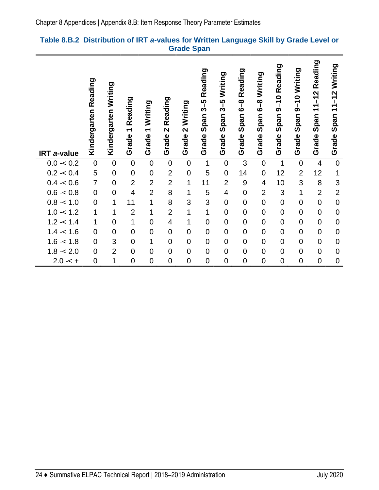#### <span id="page-27-0"></span>**Table 8.B.2 Distribution of IRT** *a***-values for Written Language Skill by Grade Level or Grade Span**

| <b>IRT</b> a-value | Reading<br>Kindergarten | Kindergarten Writing | Reading<br>$\overline{\phantom{0}}$<br>Grade | Writing<br>$\overline{\phantom{0}}$<br>Grade | Reading<br>$\mathbf{\Omega}$<br>Grade | Writing<br>$\overline{\mathbf{C}}$<br>Grade | Reading<br>$3 - 5$<br>Span:<br>Grade | Writing<br>$3 - 5$<br>Span:<br>Grade | Reading<br>Span 6-8<br>Grade | Writing<br>$\overline{\mathbf{6}}$ –8<br>Span<br>Grade | Reading<br>$9 - 10$<br>Span<br>Grade | Span 9-10 Writing<br>Grade | Reading<br>$11 - 12$<br>Span<br>Grade | Writing<br>$11 - 12$<br>Span <sup>-</sup><br>Grade |
|--------------------|-------------------------|----------------------|----------------------------------------------|----------------------------------------------|---------------------------------------|---------------------------------------------|--------------------------------------|--------------------------------------|------------------------------|--------------------------------------------------------|--------------------------------------|----------------------------|---------------------------------------|----------------------------------------------------|
| $0.0 - 0.2$        | $\mathbf 0$             | $\mathbf 0$          | $\mathbf 0$                                  | $\mathbf 0$                                  | $\mathbf 0$                           | $\mathbf 0$                                 | $\mathbf 1$                          | $\pmb{0}$                            | 3                            | $\pmb{0}$                                              | $\mathbf 1$                          | $\mathbf 0$                | $\overline{4}$                        | $\boldsymbol{0}$                                   |
| $0.2 - 0.4$        | 5                       | $\overline{0}$       | $\mathbf 0$                                  | $\mathbf 0$                                  | $\overline{2}$                        | $\mathbf 0$                                 | 5                                    | $\mathbf 0$                          | 14                           | $\mathbf 0$                                            | 12                                   | $\overline{2}$             | 12                                    | $\mathbf 1$                                        |
| $0.4 - 0.6$        | $\overline{7}$          | $\overline{0}$       | $\overline{2}$                               | $\overline{2}$                               | $\overline{2}$                        | $\overline{1}$                              | 11                                   | $\overline{2}$                       | 9                            | $\overline{4}$                                         | 10                                   | 3                          | 8                                     | 3                                                  |
| $0.6 - 0.8$        | $\boldsymbol{0}$        | $\overline{0}$       | $\overline{4}$                               | $\overline{2}$                               | 8                                     | 1                                           | 5                                    | $\overline{\mathcal{A}}$             | $\overline{0}$               | $\overline{2}$                                         | 3                                    | $\mathbf{1}$               | $\overline{2}$                        | $\overline{2}$                                     |
| $0.8 - 1.0$        | $\pmb{0}$               | 1                    | 11                                           | $\overline{1}$                               | 8                                     | 3                                           | 3                                    | $\pmb{0}$                            | $\mathbf 0$                  | $\mathbf 0$                                            | $\pmb{0}$                            | $\mathbf 0$                | $\overline{0}$                        | $\mathbf 0$                                        |
| $1.0 - 1.2$        | $\mathbf{1}$            | 1                    | $\overline{2}$                               | 1                                            | $\overline{2}$                        | $\overline{1}$                              | $\mathbf{1}$                         | $\pmb{0}$                            | $\mathbf 0$                  | $\overline{0}$                                         | $\mathbf 0$                          | $\mathbf 0$                | $\overline{0}$                        | $\mathbf 0$                                        |
| $1.2 - 1.4$        | $\mathbf{1}$            | $\overline{0}$       | $\mathbf{1}$                                 | $\mathbf 0$                                  | $\overline{\mathcal{A}}$              | 1                                           | $\boldsymbol{0}$                     | $\pmb{0}$                            | $\mathbf 0$                  | $\mathbf 0$                                            | $\boldsymbol{0}$                     | $\pmb{0}$                  | $\overline{0}$                        | $\mathbf 0$                                        |
| $1.4 - 1.6$        | $\mathbf 0$             | $\overline{0}$       | $\mathbf 0$                                  | $\overline{0}$                               | $\mathbf 0$                           | $\overline{0}$                              | $\boldsymbol{0}$                     | $\boldsymbol{0}$                     | $\mathbf 0$                  | $\overline{0}$                                         | $\mathbf 0$                          | $\mathbf 0$                | $\overline{0}$                        | $\mathbf 0$                                        |
| $1.6 - 1.8$        | $\mathbf 0$             | 3                    | $\mathbf 0$                                  | 1                                            | $\mathbf 0$                           | $\mathbf 0$                                 | $\mathbf 0$                          | $\pmb{0}$                            | $\mathbf 0$                  | $\mathbf 0$                                            | $\mathbf 0$                          | $\mathbf 0$                | $\overline{0}$                        | $\mathbf 0$                                        |
| $1.8 - 2.0$        | $\mathbf 0$             | $\overline{2}$       | $\overline{0}$                               | $\mathbf 0$                                  | $\mathbf 0$                           | $\overline{0}$                              | $\mathbf 0$                          | $\pmb{0}$                            | $\overline{0}$               | $\mathbf 0$                                            | $\mathbf 0$                          | $\mathbf 0$                | $\overline{0}$                        | $\mathbf 0$                                        |
| $2.0 - 5 +$        | $\mathbf 0$             | 1                    | $\overline{0}$                               | $\overline{0}$                               | $\mathbf 0$                           | $\overline{0}$                              | $\mathbf 0$                          | $\mathbf 0$                          | $\mathbf 0$                  | $\overline{0}$                                         | $\mathbf 0$                          | $\mathbf 0$                | $\overline{0}$                        | $\mathbf 0$                                        |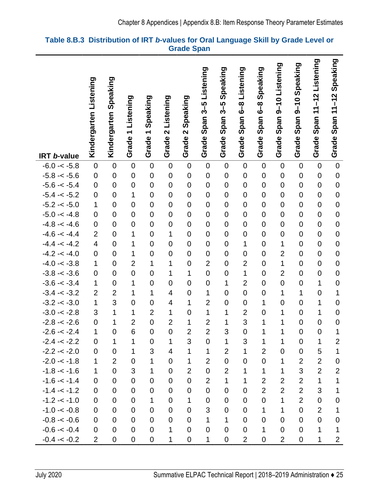|                                  | Listening                     | Kindergarten Speaking            |                            |                            |                            |                            | Listening                  | Speaking                 | Listening                        | Speaking                   | 9-10 Listening                | 9-10 Speaking                   | Listening                     | Speaking                         |
|----------------------------------|-------------------------------|----------------------------------|----------------------------|----------------------------|----------------------------|----------------------------|----------------------------|--------------------------|----------------------------------|----------------------------|-------------------------------|---------------------------------|-------------------------------|----------------------------------|
|                                  |                               |                                  |                            |                            |                            |                            |                            |                          |                                  |                            |                               |                                 | $11 - 12$                     |                                  |
|                                  |                               |                                  | Listening                  | Speaking                   | Listening                  | Speaking                   | Span 3-5                   | ე<br>3<br>3              | စ<br>6<br>စ                      | <b>8</b><br>6              |                               |                                 |                               | Span $11-12$                     |
|                                  | Kindergarten                  |                                  |                            |                            |                            |                            |                            | Span                     | Span                             | Span <sup>®</sup>          | Span <sup>-</sup>             | Span <sub>5</sub>               | Span ·                        |                                  |
|                                  |                               |                                  | $\overline{\phantom{0}}$   | $\blacktriangledown$       | $\mathbf{\Omega}$          | $\mathbf{\Omega}$          |                            |                          |                                  |                            |                               |                                 |                               |                                  |
|                                  |                               |                                  | Grade                      | Grade                      | Grade                      | Grade                      | Grade                      | Grade                    | Grade                            | Grade                      | Grade                         | Grade                           | Grade                         | Grade                            |
| IRT b-value                      |                               |                                  |                            |                            |                            |                            |                            |                          |                                  |                            |                               |                                 |                               |                                  |
| $-6.0 - < -5.8$                  | $\pmb{0}$                     | $\mathbf 0$                      | $\mathbf 0$                | $\boldsymbol{0}$           | $\pmb{0}$                  | $\mathbf 0$                | $\mathbf 0$                | $\pmb{0}$                | $\mathbf 0$                      | $\boldsymbol{0}$           | $\mathbf 0$                   | $\boldsymbol{0}$                | $\mathbf 0$                   | $\mathbf 0$                      |
| $-5.8 - 5.6$                     | $\boldsymbol{0}$              | $\mathbf 0$                      | $\overline{0}$             | $\boldsymbol{0}$           | $\mathbf 0$                | $\mathbf 0$                | $\mathbf 0$                | $\pmb{0}$                | $\mathbf 0$                      | $\mathbf 0$                | $\mathbf 0$                   | $\mathbf 0$                     | $\mathbf 0$                   | $\mathbf 0$                      |
| $-5.6 - < -5.4$                  | $\mathsf 0$                   | $\overline{0}$                   | $\mathbf 0$                | $\mathbf 0$                | $\mathbf 0$                | $\mathbf 0$                | $\mathbf 0$                | $\mathbf 0$              | $\mathbf 0$                      | $\mathbf 0$                | $\mathbf 0$                   | $\mathbf 0$                     | $\mathbf 0$                   | $\overline{0}$                   |
| $-5.4 - < -5.2$                  | $\pmb{0}$                     | $\overline{0}$                   | $\mathbf 1$                | $\mathbf 0$                | $\overline{0}$             | $\overline{0}$             | $\mathbf 0$                | $\mathbf 0$              | $\overline{0}$                   | $\mathbf 0$                | $\mathbf 0$                   | $\overline{0}$                  | $\overline{0}$                | $\overline{0}$                   |
| $-5.2 - < -5.0$                  | 1                             | $\mathbf 0$                      | $\overline{0}$             | $\mathbf 0$                | $\mathbf 0$                | $\mathbf 0$                | $\overline{0}$             | $\mathbf 0$              | $\mathbf 0$                      | $\mathbf 0$                | $\mathbf 0$                   | $\mathsf 0$                     | $\mathbf 0$                   | $\overline{0}$                   |
| $-5.0 - < -4.8$                  | $\mathbf 0$                   | $\mathbf 0$                      | $\overline{0}$             | $\mathbf 0$                | $\mathbf 0$                | $\mathbf 0$                | $\mathbf 0$                | $\mathbf 0$              | $\mathbf 0$                      | $\mathbf 0$                | $\mathbf 0$                   | $\overline{0}$                  | $\mathbf 0$                   | $\mathbf 0$                      |
| $-4.8 - -4.6$                    | $\mathsf 0$<br>$\overline{2}$ | $\overline{0}$<br>$\overline{0}$ | $\overline{0}$<br>1        | $\mathbf 0$                | $\mathbf 0$<br>1           | $\mathbf 0$<br>$\mathbf 0$ | $\mathbf 0$<br>$\mathbf 0$ | $\mathbf 0$              | $\overline{0}$<br>$\mathbf 0$    | $\mathbf 0$<br>$\mathbf 0$ | $\overline{0}$<br>$\mathbf 0$ | $\mathbf 0$<br>$\boldsymbol{0}$ | $\mathbf 0$<br>$\mathbf 0$    | $\overline{0}$<br>$\overline{0}$ |
| $-4.6 - -4.4$<br>$-4.4 - < -4.2$ | $\overline{\mathbf{4}}$       | $\overline{0}$                   | 1                          | $\mathbf 0$<br>$\mathbf 0$ | $\mathbf 0$                | $\mathbf 0$                | $\mathbf 0$                | $\pmb{0}$<br>$\mathbf 0$ | 1                                | $\mathbf 0$                | $\mathbf 1$                   | $\mathbf 0$                     | $\mathbf 0$                   | $\overline{0}$                   |
| $-4.2 - 4.0$                     | $\mathbf 0$                   | $\overline{0}$                   | 1                          | $\mathbf 0$                | $\mathbf 0$                | $\overline{0}$             | $\overline{0}$             | $\mathbf 0$              | $\overline{0}$                   | $\mathbf 0$                | $\overline{2}$                | $\overline{0}$                  | $\mathbf 0$                   | $\mathbf 0$                      |
| $-4.0 - < -3.8$                  | $\mathbf 1$                   | $\mathbf 0$                      | $\overline{2}$             | 1                          | 1                          | $\mathbf 0$                | $\overline{2}$             | $\mathbf 0$              | $\overline{2}$                   | $\mathbf 0$                | $\mathbf 1$                   | $\boldsymbol{0}$                | $\mathbf 0$                   | $\overline{0}$                   |
| $-3.8 - 3.6$                     | $\pmb{0}$                     | $\overline{0}$                   | $\mathbf 0$                | $\mathbf 0$                | 1                          | 1                          | $\overline{0}$             | $\mathbf 0$              | 1                                | $\mathbf 0$                | $\overline{2}$                | $\overline{0}$                  | $\mathbf 0$                   | $\overline{0}$                   |
| $-3.6 - < -3.4$                  | 1                             | $\mathbf 0$                      | 1                          | $\overline{0}$             | $\mathbf 0$                | $\mathbf 0$                | $\mathbf 0$                | 1                        | $\overline{2}$                   | $\mathbf 0$                | $\mathbf 0$                   | $\boldsymbol{0}$                | 1                             | $\mathbf 0$                      |
| $-3.4 - 3.2$                     | $\overline{2}$                | $\overline{2}$                   | 1                          | $\mathbf 1$                | 4                          | $\mathbf 0$                | 1                          | $\mathbf 0$              | $\overline{0}$                   | $\mathbf 0$                | $\mathbf 1$                   | $\mathbf 1$                     | $\mathbf 0$                   | $\mathbf 1$                      |
| $-3.2 - 3.0$                     | $\mathbf 1$                   | 3                                | $\overline{0}$             | $\mathbf 0$                | $\overline{\mathbf{4}}$    | 1                          | $\overline{2}$             | $\mathbf 0$              | $\mathbf 0$                      | 1                          | $\overline{0}$                | $\mathbf 0$                     | 1                             | $\mathbf 0$                      |
| $-3.0 - < -2.8$                  | 3                             | 1                                | 1                          | $\overline{2}$             | 1                          | $\mathbf 0$                | $\mathbf 1$                | 1                        | $\overline{2}$                   | $\boldsymbol{0}$           | $\mathbf 1$                   | $\mathbf 0$                     | 1                             | $\mathbf 0$                      |
| $-2.8 - 2.6$                     | $\pmb{0}$                     | 1                                | $\overline{2}$             | $\mathbf 0$                | $\overline{2}$             | 1                          | $\overline{2}$             | 1                        | 3                                | 1                          | 1                             | $\mathsf 0$                     | $\mathbf 0$                   | $\overline{0}$                   |
| $-2.6 - 2.4$                     | 1                             | $\overline{0}$                   | 6                          | $\overline{0}$             | $\overline{0}$             | $\overline{2}$             | $\overline{2}$             | 3                        | $\overline{0}$                   | 1                          | $\overline{1}$                | $\overline{0}$                  | $\overline{0}$                | $\mathbf 1$                      |
| $-2.4 - 2.2$                     | 0                             | 1                                | 1                          | $\mathbf 0$                | 1                          | $\mathfrak{S}$             | 0                          | $\mathbf 1$              | 3                                | 1                          | $\mathbf 1$                   | $\mathbf 0$                     | 1                             | $\mathbf 2$                      |
| $-2.2 - 2.0$                     | $\mathbf 0$                   | $\mathbf 0$                      | 1                          | 3                          | $\overline{\mathcal{A}}$   | 1                          | 1                          | $\overline{2}$           | $\mathbf{1}$                     | $\overline{2}$             | $\overline{0}$                | $\mathbf 0$                     | 5                             | $\mathbf{1}$                     |
| $-2.0 - 1.8$                     | 1                             | $\overline{2}$                   | $\mathbf 0$                | 1                          | $\mathbf 0$                | 1                          | $\overline{2}$             | $\overline{0}$           | $\mathbf 0$                      | $\mathbf 0$                | 1                             | $\overline{2}$                  | $\overline{2}$                | $\boldsymbol{0}$                 |
| $-1.8 - -1.6$                    | $\mathbf 1$                   | $\overline{0}$                   | 3                          | 1                          | $\mathbf 0$                | $\overline{2}$             | $\boldsymbol{0}$           | $\overline{2}$           | 1                                | 1                          | 1                             | 3                               | $\overline{2}$                | $\overline{c}$                   |
| $-1.6 - < -1.4$                  | $\mathbf 0$                   | $\overline{0}$                   | $\mathbf 0$                | $\mathbf 0$                | $\mathbf 0$                | $\overline{0}$             | $\overline{2}$             | $\mathbf{1}$             | 1                                | $\overline{2}$             | $\overline{2}$                | $\overline{2}$                  | 1                             | $\mathbf 1$                      |
| $-1.4 - -1.2$                    | $\mathbf 0$                   | $\mathbf 0$                      | $\mathbf 0$                | $\mathbf 0$                | $\mathbf 0$                | $\mathbf 0$                | $\boldsymbol{0}$           | $\mathbf 0$              | $\mathbf 0$                      | $\overline{2}$             | $\overline{2}$                | $\overline{2}$                  | 3                             | 1                                |
| $-1.2 - 1.0$                     | 0                             | $\overline{0}$<br>$\overline{0}$ | $\mathbf 0$                | 1                          | $\mathbf 0$                | 1<br>$\mathbf 0$           | 0                          | 0                        | $\overline{0}$<br>$\overline{0}$ | 0                          | 1<br>$\mathbf 1$              | $\overline{2}$<br>$\mathbf 0$   | $\mathbf 0$<br>$\overline{2}$ | $\mathbf 0$                      |
| $-1.0 - < -0.8$<br>$-0.8 - 0.6$  | 0<br>$\mathbf 0$              | $\mathbf 0$                      | $\mathbf 0$<br>$\mathbf 0$ | 0<br>$\mathbf 0$           | $\mathbf 0$<br>$\mathbf 0$ | $\mathbf 0$                | 3<br>1                     | 0<br>1                   | $\mathbf 0$                      | 1<br>$\mathbf 0$           | $\mathbf 0$                   | 0                               | $\mathbf 0$                   | 1<br>$\mathbf 0$                 |
| $-0.6 - < -0.4$                  | $\overline{0}$                | $\overline{0}$                   | $\overline{0}$             | $\mathbf 0$                | $\mathbf{1}$               | $\overline{0}$             | $\mathbf 0$                | $\mathbf 0$              | $\mathbf 0$                      | 1                          | $\overline{0}$                | 0                               | 1                             | 1                                |
| $-0.4 - 0.2$                     | $\overline{2}$                | $\pmb{0}$                        | $\pmb{0}$                  | $\pmb{0}$                  | $\mathbf 1$                | $\pmb{0}$                  | $\mathbf 1$                | $\pmb{0}$                | $\mathbf{2}$                     | $\pmb{0}$                  | $\overline{2}$                | 0                               | $\mathbf 1$                   | $\overline{c}$                   |
|                                  |                               |                                  |                            |                            |                            |                            |                            |                          |                                  |                            |                               |                                 |                               |                                  |

#### <span id="page-28-0"></span>**Table 8.B.3 Distribution of IRT** *b***-values for Oral Language Skill by Grade Level or Grade Span**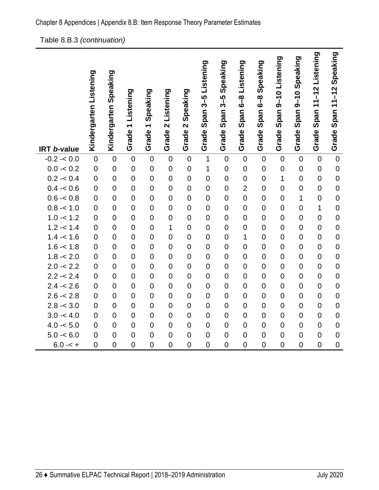| 1.0 -< 2.0 U U U U U U U U |  |  |  |  |
|----------------------------|--|--|--|--|
|                            |  |  |  |  |

| $0.2 - 0.4$ | 0              | 0              | 0              | 0              | 0              | 0              | 0              | 0              | 0              | 0              |                | 0              | 0              | 0              |
|-------------|----------------|----------------|----------------|----------------|----------------|----------------|----------------|----------------|----------------|----------------|----------------|----------------|----------------|----------------|
| $0.4 - 0.6$ | $\mathbf 0$    | 0              | $\overline{0}$ | $\mathbf 0$    | 0              | $\overline{0}$ | 0              | $\overline{0}$ | $\overline{2}$ | $\overline{0}$ | 0              | $\overline{0}$ | $\overline{0}$ | 0              |
| $0.6 - 0.8$ | $\mathbf 0$    | $\Omega$       | $\overline{0}$ | $\mathbf 0$    | $\Omega$       | $\overline{0}$ | $\overline{0}$ | 0              | $\Omega$       | 0              | 0              | 1              | 0              | $\Omega$       |
| $0.8 - 1.0$ | $\mathbf 0$    | $\overline{0}$ | $\mathbf 0$    | $\mathbf 0$    | $\overline{0}$ | $\overline{0}$ | $\mathbf 0$    | $\overline{0}$ | $\Omega$       | 0              | $\mathbf 0$    | $\overline{0}$ | $\mathbf 1$    | $\overline{0}$ |
| $1.0 - 1.2$ | $\mathbf 0$    | $\overline{0}$ | $\overline{0}$ | $\mathbf 0$    | $\overline{0}$ | $\overline{0}$ | $\mathbf 0$    | 0              | $\Omega$       | 0              | $\mathbf 0$    | $\overline{0}$ | 0              | $\Omega$       |
| $1.2 - 1.4$ | $\mathbf 0$    | 0              | $\overline{0}$ | $\mathbf 0$    |                | $\overline{0}$ | $\overline{0}$ | $\overline{0}$ | 0              | 0              | $\mathbf 0$    | $\overline{0}$ | 0              | $\overline{0}$ |
| $1.4 - 1.6$ | $\mathbf 0$    | 0              | $\overline{0}$ | $\overline{0}$ | 0              | $\overline{0}$ | $\overline{0}$ | $\overline{0}$ | 1              | $\overline{0}$ | $\overline{0}$ | $\overline{0}$ | $\overline{0}$ | 0              |
| $1.6 - 1.8$ | $\overline{0}$ | $\overline{0}$ | 0              | $\overline{0}$ | $\Omega$       | $\overline{0}$ | $\Omega$       | $\overline{0}$ | 0              | $\overline{0}$ | $\overline{0}$ | $\overline{0}$ | 0              | $\Omega$       |
| $1.8 - 2.0$ | $\mathbf 0$    | $\overline{0}$ | $\Omega$       | 0              | $\Omega$       | $\overline{0}$ | 0              | 0              | $\Omega$       | 0              | 0              | $\overline{0}$ | 0              | 0              |
| $2.0 - 2.2$ | $\mathbf 0$    | $\overline{0}$ | $\overline{0}$ | $\overline{0}$ | $\overline{0}$ | $\overline{0}$ | $\overline{0}$ | $\overline{0}$ | $\Omega$       | 0              | $\overline{0}$ | $\overline{0}$ | 0              | 0              |
| $2.2 - 2.4$ | $\mathbf 0$    | $\overline{0}$ | $\overline{0}$ | $\mathbf 0$    | 0              | $\overline{0}$ | $\overline{0}$ | $\mathbf 0$    | $\Omega$       | $\overline{0}$ | $\mathbf 0$    | $\overline{0}$ | $\overline{0}$ | 0              |
| $2.4 - 2.6$ | $\mathbf 0$    | 0              | 0              | $\mathbf 0$    | $\Omega$       | $\overline{0}$ | $\overline{0}$ | $\overline{0}$ | 0              | $\overline{0}$ | $\mathbf 0$    | $\overline{0}$ | 0              | $\Omega$       |
| $2.6 - 2.8$ | $\mathbf 0$    | 0              | $\overline{0}$ | $\mathbf 0$    | 0              | $\overline{0}$ | $\overline{0}$ | $\overline{0}$ | 0              | $\overline{0}$ | $\mathbf 0$    | $\overline{0}$ | $\overline{0}$ | $\overline{0}$ |
| $2.8 - 3.0$ | $\mathbf 0$    | 0              | $\overline{0}$ | $\overline{0}$ | 0              | $\overline{0}$ | $\overline{0}$ | $\overline{0}$ | 0              | $\overline{0}$ | $\mathbf 0$    | $\overline{0}$ | 0              | $\Omega$       |
| $3.0 - 4.0$ | $\mathbf 0$    | 0              | $\overline{0}$ | $\overline{0}$ | $\Omega$       | $\overline{0}$ | $\overline{0}$ | $\overline{0}$ | 0              | 0              | $\overline{0}$ | $\overline{0}$ | 0              | $\overline{0}$ |
| $4.0 - 5.0$ | $\overline{0}$ | $\overline{0}$ | $\overline{0}$ | $\Omega$       | 0              | $\overline{0}$ | $\overline{0}$ | $\overline{0}$ | 0              | $\Omega$       | $\overline{0}$ | $\Omega$       | $\overline{0}$ | $\overline{0}$ |
| $5.0 - 6.0$ | $\Omega$       | $\overline{0}$ | $\Omega$       | $\Omega$       | $\Omega$       | $\Omega$       | $\Omega$       | $\Omega$       | $\Omega$       | $\overline{0}$ | $\overline{0}$ | $\Omega$       | $\overline{0}$ | $\Omega$       |
| $6.0 - 5 +$ | 0              | $\overline{0}$ | 0              | $\overline{0}$ | $\overline{0}$ | $\overline{0}$ | 0              | 0              | 0              | 0              | 0              | 0              | $\overline{0}$ | 0              |

Table 8.B.3 *(continuation)* 

**Kindergarten Listening** 

Kindergarten Listening

**Kindergarten Speaking** 

Kindergarten Speaking

**Grade 1 Listening** 

Grade 1 Listening

**Grade 1 Speaking** 

Grade 1 Speaking

**Grade 2 Listening** 

Grade 2 Listening

**Grade 2 Speaking** 

Grade 2 Speaking

-0.2 -< 0.0 0 0 0 0 0 0 1 0 0 0 0 0 0 0 0.0 -< 0.2 0 0 0 0 0 0 1 0 0 0 0 0 0 0

**Grade Span 3–5 Listening** 

Grade Span 3-5 Listening

**Grade Span 3–5 Speaking** 

Grade Span 3-5 Speaking

**Grade Span 6–8 Listening** 

Grade Span 6-8 Listening

**Grade Span 6–8 Speaking** 

Grade Span 6-8 Speaking

**Grade Span 9–10 Listening** 

Grade Span 9-10 Listening

**Grade Span 9–10 Speaking** 

Grade Span 9-10 Speaking

**Grade Span 11–12 Listening** 

Grade Span 11-12 Listening

**Grade Span 11–12 Speaking** 

Grade Span 11-12 Speaking

**IRT** *b***-value**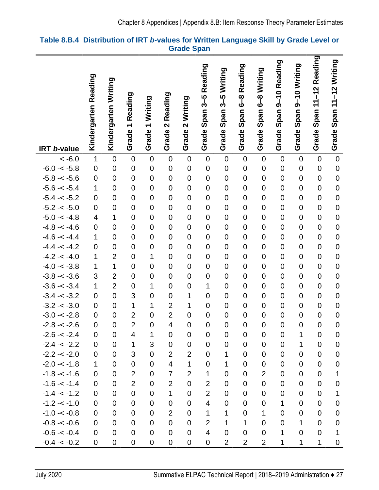|                                |                                              |                      |                                              |                                  |                            |                               | Reading                    | Writing                    | Reading                    | Writing                               | 9-10 Reading                  |                               | -12 Reading                |                                  |
|--------------------------------|----------------------------------------------|----------------------|----------------------------------------------|----------------------------------|----------------------------|-------------------------------|----------------------------|----------------------------|----------------------------|---------------------------------------|-------------------------------|-------------------------------|----------------------------|----------------------------------|
|                                | Kindergarten Reading                         | Kindergarten Writing | Reading<br>$\overline{\phantom{0}}$<br>Grade | Writing<br>$\leftarrow$<br>Grade | 2 Reading<br>Grade         | 2 Writing<br>Grade            | Span 3-5<br>Grade          | $3 - 5$<br>Span:<br>Grade  | Span 6-8<br>Grade          | စ<br>6-<br>Span <sup>®</sup><br>Grade | Span<br>Grade                 | Span 9-10 Writing<br>Grade    | $\div$<br>Span<br>Grade    | Span 11-12 Writing<br>Grade      |
| <b>IRT b-value</b>             |                                              |                      |                                              |                                  |                            |                               |                            |                            |                            |                                       |                               |                               |                            |                                  |
| $~<$ -6.0                      | $\mathbf 1$                                  | $\mathbf 0$          | $\mathbf 0$                                  | $\mathbf 0$                      | $\mathbf 0$                | $\mathbf 0$                   | $\mathbf 0$                | $\boldsymbol{0}$           | $\mathbf 0$                | $\mathbf 0$                           | $\mathbf 0$                   | $\mathbf 0$                   | $\mathbf 0$                | $\mathbf 0$                      |
| $-6.0 - < -5.8$                | $\mathbf 0$                                  | $\mathbf 0$          | $\overline{0}$                               | $\mathbf 0$                      | $\mathbf 0$                | $\mathbf 0$                   | $\mathbf 0$                | $\pmb{0}$                  | $\mathbf 0$                | $\mathbf 0$                           | $\mathbf 0$                   | $\mathbf 0$                   | $\mathbf 0$                | $\mathbf 0$                      |
| $-5.8 - 5.6$                   | $\boldsymbol{0}$                             | $\mathbf 0$          | $\overline{0}$                               | $\mathbf 0$                      | $\mathbf 0$                | $\mathbf 0$                   | $\mathbf 0$                | $\mathbf 0$                | $\mathbf 0$                | $\mathbf 0$                           | $\mathbf 0$                   | $\mathbf 0$                   | $\mathbf 0$                | $\overline{0}$                   |
| $-5.6 - < -5.4$                | 1                                            | $\overline{0}$       | $\overline{0}$                               | $\overline{0}$                   | $\overline{0}$             | $\overline{0}$                | $\overline{0}$             | $\mathbf 0$                | $\overline{0}$             | $\overline{0}$                        | $\overline{0}$                | $\overline{0}$                | $\overline{0}$             | $\overline{0}$                   |
| $-5.4 - < -5.2$                | $\overline{0}$                               | $\mathbf 0$          | $\overline{0}$                               | $\overline{0}$                   | $\mathbf 0$                | $\mathbf 0$                   | $\mathbf 0$                | $\mathbf 0$                | $\overline{0}$             | $\mathbf 0$                           | $\mathbf 0$                   | $\mathbf 0$                   | $\mathbf 0$                | $\overline{0}$                   |
| $-5.2 - < -5.0$                | $\boldsymbol{0}$                             | $\mathbf 0$          | $\mathbf 0$                                  | $\mathbf 0$<br>$\overline{0}$    | $\mathbf 0$                | $\mathbf 0$                   | $\mathbf 0$                | $\mathsf 0$                | $\mathbf 0$                | $\mathbf 0$                           | $\mathbf 0$                   | $\mathbf 0$                   | $\mathbf 0$                | $\overline{0}$                   |
| $-5.0 - < -4.8$                | $\overline{\mathcal{A}}$<br>$\boldsymbol{0}$ | 1<br>$\mathbf 0$     | $\overline{0}$<br>$\mathbf 0$                | $\mathbf 0$                      | $\mathbf 0$<br>$\mathbf 0$ | $\overline{0}$<br>$\mathbf 0$ | $\mathbf 0$<br>$\mathbf 0$ | $\mathbf 0$<br>$\mathbf 0$ | $\mathbf 0$<br>$\mathbf 0$ | $\mathbf 0$<br>$\mathbf 0$            | $\mathbf 0$<br>$\overline{0}$ | $\overline{0}$<br>$\mathbf 0$ | $\mathbf 0$<br>$\mathbf 0$ | $\overline{0}$<br>$\overline{0}$ |
| $-4.8 - -4.6$<br>$-4.6 - -4.4$ | 1                                            | $\mathbf 0$          | $\mathbf 0$                                  | $\mathbf 0$                      | $\mathbf 0$                | $\overline{0}$                | $\mathbf 0$                | $\mathbf 0$                | $\mathbf 0$                | $\mathbf 0$                           | $\mathbf 0$                   | $\overline{0}$                | $\mathbf 0$                | $\mathbf 0$                      |
| $-4.4 - < -4.2$                | $\mathbf 0$                                  | $\overline{0}$       | $\overline{0}$                               | $\overline{0}$                   | $\overline{0}$             | $\mathbf 0$                   | $\mathbf 0$                | $\mathbf 0$                | $\overline{0}$             | $\overline{0}$                        | $\overline{0}$                | $\mathbf 0$                   | $\mathbf 0$                | $\overline{0}$                   |
| $-4.2 - 4.0$                   | $\mathbf 1$                                  | $\overline{2}$       | $\mathbf 0$                                  | $\mathbf{1}$                     | $\mathbf 0$                | $\mathbf 0$                   | $\mathbf 0$                | $\mathbf 0$                | $\mathbf 0$                | $\mathbf 0$                           | $\mathbf 0$                   | $\mathbf 0$                   | $\mathbf 0$                | $\mathbf 0$                      |
| $-4.0 - < -3.8$                | 1                                            | 1                    | $\mathbf 0$                                  | $\mathbf 0$                      | $\mathbf 0$                | $\mathbf 0$                   | $\mathbf 0$                | $\mathbf 0$                | $\overline{0}$             | $\mathbf 0$                           | $\mathbf 0$                   | $\overline{0}$                | $\mathbf 0$                | $\mathbf 0$                      |
| $-3.8 - 3.6$                   | 3                                            | $\overline{2}$       | $\overline{0}$                               | $\mathbf 0$                      | $\mathbf 0$                | $\mathbf 0$                   | $\mathbf 0$                | $\mathbf 0$                | $\mathbf 0$                | $\overline{0}$                        | $\mathbf 0$                   | $\mathbf 0$                   | $\mathbf 0$                | $\overline{0}$                   |
| $-3.6 - < -3.4$                | 1                                            | $\overline{2}$       | $\overline{0}$                               | $\mathbf{1}$                     | $\mathbf 0$                | $\mathbf 0$                   | $\mathbf 1$                | $\mathbf 0$                | $\mathbf 0$                | $\mathbf 0$                           | $\mathbf 0$                   | $\mathbf 0$                   | $\mathbf 0$                | $\mathbf 0$                      |
| $-3.4 - 3.2$                   | $\mathbf 0$                                  | $\overline{0}$       | 3                                            | $\overline{0}$                   | $\mathbf 0$                | 1                             | $\mathbf 0$                | $\mathbf 0$                | $\overline{0}$             | $\overline{0}$                        | $\overline{0}$                | $\overline{0}$                | $\overline{0}$             | $\overline{0}$                   |
| $-3.2 - 3.0$                   | $\overline{0}$                               | $\overline{0}$       | 1                                            | 1                                | $\overline{2}$             | 1                             | $\overline{0}$             | $\mathbf 0$                | $\overline{0}$             | $\overline{0}$                        | $\overline{0}$                | 0                             | $\mathbf 0$                | $\overline{0}$                   |
| $-3.0 - < -2.8$                | $\mathbf 0$                                  | $\mathbf 0$          | $\overline{2}$                               | $\mathbf 0$                      | $\overline{2}$             | $\mathbf 0$                   | $\mathbf 0$                | $\mathbf 0$                | $\mathbf 0$                | $\mathbf 0$                           | $\mathbf 0$                   | $\mathbf 0$                   | $\mathbf 0$                | $\overline{0}$                   |
| $-2.8 - 2.6$                   | $\overline{0}$                               | $\mathbf 0$          | $\overline{2}$                               | $\overline{0}$                   | $\overline{\mathbf{4}}$    | $\overline{0}$                | $\overline{0}$             | $\mathbf 0$                | $\overline{0}$             | $\overline{0}$                        | $\overline{0}$                | $\overline{0}$                | $\overline{0}$             | $\overline{0}$                   |
| $-2.6 - 2.4$                   | 0                                            | $\mathbf 0$          | 4                                            | 1                                | $\mathbf 0$                | 0                             | 0                          | 0                          | 0                          | $\mathbf 0$                           | $\mathbf 0$                   | 1                             | 0                          | 0                                |
| $-2.4 - 2.2$                   | 0                                            | 0                    | 1                                            | 3                                | $\mathbf 0$                | $\mathbf 0$                   | $\mathbf 0$                | 0                          | $\mathbf 0$                | $\mathbf 0$                           | $\mathbf 0$                   | 1                             | $\mathbf 0$                | $\mathbf 0$                      |
| $-2.2 - 2.0$                   | 0                                            | $\overline{0}$       | 3                                            | $\mathbf 0$                      | $\overline{2}$             | $\overline{2}$                | $\mathbf 0$                | 1                          | $\overline{0}$             | $\mathbf 0$                           | $\overline{0}$                | $\mathbf 0$                   | $\mathbf 0$                | $\mathbf 0$                      |
| $-2.0 - 1.8$                   | 1                                            | 0                    | $\mathbf 0$                                  | $\mathbf 0$                      | $\overline{\mathbf{4}}$    | 1                             | $\mathbf 0$                | 1                          | 0                          | $\mathbf 0$                           | $\overline{0}$                | 0                             | $\mathbf 0$                | $\mathbf 0$                      |
| $-1.8 - 1.6$                   | 0                                            | 0                    | $\overline{2}$                               | $\mathbf 0$                      | $\overline{7}$             | $\overline{2}$                | 1                          | 0                          | 0                          | $\overline{2}$                        | $\overline{0}$                | 0                             | 0                          | 1                                |
| $-1.6 - < -1.4$                | 0                                            | $\mathbf 0$          | $\overline{2}$                               | $\mathbf 0$                      | $\overline{2}$             | $\mathbf 0$                   | $\overline{2}$             | 0                          | $\mathbf 0$                | $\mathbf 0$                           | $\mathbf 0$                   | $\mathbf 0$                   | $\mathbf 0$                | $\mathbf 0$                      |
| $-1.4 - -1.2$                  | 0                                            | $\mathbf 0$          | $\mathbf 0$                                  | 0                                | $\mathbf{1}$               | $\mathbf 0$                   | $\overline{2}$             | 0                          | 0                          | $\mathbf 0$                           | 0                             | 0                             | $\mathbf 0$                | 1                                |
| $-1.2 - 1.0$                   | 0                                            | $\mathbf 0$          | $\mathbf 0$                                  | 0                                | $\mathbf 0$                | $\overline{0}$                | $\overline{\mathbf{4}}$    | 0                          | 0                          | 0                                     | $\mathbf 1$                   | 0                             | 0                          | $\mathbf 0$                      |
| $-1.0 - < -0.8$                | 0                                            | $\mathbf 0$          | $\mathbf 0$                                  | $\mathbf 0$                      | $\overline{2}$             | $\mathbf 0$                   | 1                          | 1                          | 0                          | 1                                     | $\mathbf 0$                   | $\mathbf 0$                   | $\mathbf 0$                | $\boldsymbol{0}$                 |
| $-0.8 - 0.6$                   | 0                                            | $\overline{0}$       | $\overline{0}$                               | $\mathbf 0$                      | $\mathbf 0$                | $\mathbf 0$                   | $\overline{2}$             | 1                          | 1                          | $\overline{0}$                        | $\mathbf 0$                   | 1                             | $\mathbf 0$                | $\mathbf 0$                      |
| $-0.6 - 0.4$                   | 0                                            | $\overline{0}$       | $\mathbf 0$                                  | $\mathbf 0$                      | $\mathbf 0$                | $\overline{0}$                | $\overline{\mathbf{4}}$    | 0                          | $\overline{0}$             | $\overline{0}$                        | 1                             | $\Omega$                      | $\overline{0}$             | 1                                |
| $-0.4 - 0.2$                   | $\pmb{0}$                                    | $\pmb{0}$            | $\pmb{0}$                                    | $\pmb{0}$                        | $\pmb{0}$                  | $\pmb{0}$                     | 0                          | $\overline{2}$             | $\overline{2}$             | $\overline{c}$                        | 1                             | 1                             | 1                          | $\mathbf 0$                      |

#### <span id="page-30-0"></span>**Table 8.B.4 Distribution of IRT** *b***-values for Written Language Skill by Grade Level or Grade Span**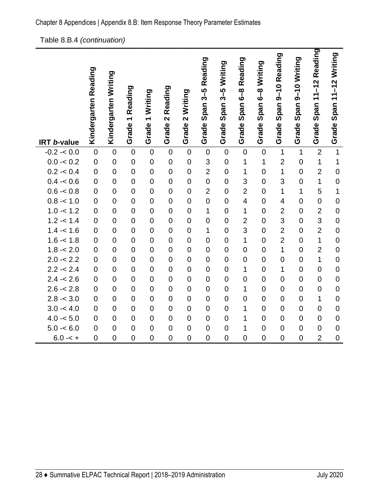#### Table 8.B.4 *(continuation)*

|                    | Kindergarten Reading | Kindergarten Writing | Reading            | Writing               | 2 Reading      | 2 Writing      | Span 3-5 Reading | Grade Span 3-5 Writing | Grade Span 6-8 Reading  | Span 6-8 Writing | 9-10 Reading<br>Span:   | Grade Span 9-10 Writing | Grade Span 11-12 Reading | Span 11-12 Writing |
|--------------------|----------------------|----------------------|--------------------|-----------------------|----------------|----------------|------------------|------------------------|-------------------------|------------------|-------------------------|-------------------------|--------------------------|--------------------|
| <b>IRT b-value</b> |                      |                      | Grade <sub>1</sub> | $\leftarrow$<br>Grade | Grade          | Grade          | Grade            |                        |                         | Grade            | Grade                   |                         |                          | Grade              |
| $-0.2 - 0.0$       | $\overline{0}$       | $\overline{0}$       | $\mathbf 0$        | $\mathbf 0$           | $\mathbf 0$    | $\overline{0}$ | $\mathbf 0$      | $\overline{0}$         | $\overline{0}$          | $\overline{0}$   | $\overline{1}$          | $\mathbf{1}$            | $\overline{2}$           | $\overline{1}$     |
| $0.0 - 0.2$        | $\overline{0}$       | $\overline{0}$       | $\mathbf 0$        | $\mathbf 0$           | $\overline{0}$ | $\overline{0}$ | 3                | $\mathbf 0$            | 1                       | 1                | $\overline{2}$          | $\mathbf 0$             | $\mathbf 1$              | 1                  |
| $0.2 - 0.4$        | $\overline{0}$       | $\overline{0}$       | $\mathbf 0$        | $\mathbf 0$           | $\mathbf 0$    | $\overline{0}$ | $\overline{2}$   | $\mathbf 0$            | $\mathbf{1}$            | $\overline{0}$   | $\mathbf 1$             | $\mathbf 0$             | $\overline{2}$           | $\mathbf 0$        |
| $0.4 - 0.6$        | $\overline{0}$       | $\overline{0}$       | $\mathbf 0$        | $\overline{0}$        | $\overline{0}$ | $\overline{0}$ | $\overline{0}$   | $\overline{0}$         | 3                       | $\overline{0}$   | 3                       | $\overline{0}$          | 1                        | $\overline{0}$     |
| $0.6 - 0.8$        | $\overline{0}$       | $\overline{0}$       | $\overline{0}$     | $\mathbf 0$           | $\overline{0}$ | $\overline{0}$ | $\overline{2}$   | $\overline{0}$         | $\overline{2}$          | $\overline{0}$   | $\overline{1}$          | $\mathbf 1$             | 5                        | $\overline{1}$     |
| $0.8 - 1.0$        | $\mathbf 0$          | $\overline{0}$       | $\mathbf 0$        | $\mathbf 0$           | $\mathbf 0$    | $\overline{0}$ | $\overline{0}$   | $\mathbf 0$            | $\overline{\mathbf{4}}$ | $\overline{0}$   | $\overline{\mathbf{4}}$ | $\mathbf 0$             | $\mathbf 0$              | $\mathbf 0$        |
| $1.0 - 1.2$        | $\overline{0}$       | $\overline{0}$       | $\mathbf 0$        | $\mathbf 0$           | $\overline{0}$ | $\overline{0}$ | 1                | $\mathbf 0$            | 1                       | $\overline{0}$   | $\overline{2}$          | $\mathbf 0$             | $\overline{2}$           | $\mathbf 0$        |
| $1.2 - 1.4$        | $\overline{0}$       | $\overline{0}$       | $\overline{0}$     | $\mathbf 0$           | $\overline{0}$ | $\overline{0}$ | $\overline{0}$   | $\mathbf 0$            | $\overline{2}$          | $\overline{0}$   | 3                       | $\mathbf 0$             | 3                        | $\overline{0}$     |
| $1.4 - 1.6$        | $\overline{0}$       | $\overline{0}$       | $\overline{0}$     | $\overline{0}$        | $\overline{0}$ | $\overline{0}$ | 1                | $\overline{0}$         | 3                       | $\overline{0}$   | $\overline{2}$          | $\overline{0}$          | $\overline{2}$           | $\overline{0}$     |
| $1.6 - 1.8$        | $\overline{0}$       | $\overline{0}$       | $\mathbf 0$        | $\mathbf 0$           | $\overline{0}$ | $\overline{0}$ | $\overline{0}$   | $\mathbf 0$            | 1                       | $\overline{0}$   | $\overline{2}$          | $\overline{0}$          | $\mathbf{1}$             | $\overline{0}$     |
| $1.8 - 2.0$        | $\mathbf 0$          | $\overline{0}$       | $\mathbf 0$        | $\boldsymbol{0}$      | $\overline{0}$ | $\overline{0}$ | $\overline{0}$   | $\boldsymbol{0}$       | $\overline{0}$          | $\overline{0}$   | $\overline{1}$          | $\overline{0}$          | $\overline{2}$           | $\mathbf 0$        |
| $2.0 - 2.2$        | $\overline{0}$       | $\overline{0}$       | $\overline{0}$     | $\mathbf 0$           | $\overline{0}$ | $\overline{0}$ | $\overline{0}$   | $\mathbf 0$            | $\overline{0}$          | $\overline{0}$   | $\overline{0}$          | $\mathbf 0$             | 1                        | $\overline{0}$     |
| $2.2 - 2.4$        | $\overline{0}$       | $\overline{0}$       | $\overline{0}$     | $\mathbf 0$           | $\overline{0}$ | $\overline{0}$ | $\overline{0}$   | $\overline{0}$         | 1                       | $\overline{0}$   | $\overline{1}$          | $\overline{0}$          | $\overline{0}$           | $\overline{0}$     |
| $2.4 - 2.6$        | $\overline{0}$       | $\overline{0}$       | $\mathbf 0$        | $\mathbf 0$           | $\overline{0}$ | $\overline{0}$ | $\overline{0}$   | $\overline{0}$         | $\overline{0}$          | $\overline{0}$   | $\overline{0}$          | $\overline{0}$          | $\overline{0}$           | $\mathbf 0$        |
| $2.6 - 2.8$        | $\overline{0}$       | $\overline{0}$       | $\mathbf 0$        | $\mathbf 0$           | $\overline{0}$ | $\overline{0}$ | $\overline{0}$   | $\mathbf 0$            | 1                       | $\overline{0}$   | $\overline{0}$          | $\mathbf 0$             | $\overline{0}$           | $\overline{0}$     |
| $2.8 - 3.0$        | $\overline{0}$       | $\overline{0}$       | $\overline{0}$     | $\mathbf 0$           | $\overline{0}$ | $\overline{0}$ | $\overline{0}$   | $\overline{0}$         | $\overline{0}$          | $\overline{0}$   | $\mathbf 0$             | $\mathbf 0$             | 1                        | $\overline{0}$     |
| $3.0 - 4.0$        | $\overline{0}$       | $\overline{0}$       | $\mathbf 0$        | $\mathbf 0$           | $\overline{0}$ | $\overline{0}$ | $\overline{0}$   | $\overline{0}$         | 1                       | $\overline{0}$   | $\mathbf 0$             | $\overline{0}$          | $\overline{0}$           | $\mathbf 0$        |
| $4.0 - 5.0$        | $\overline{0}$       | $\overline{0}$       | $\mathbf 0$        | $\mathbf 0$           | $\overline{0}$ | $\overline{0}$ | $\overline{0}$   | $\overline{0}$         | 1                       | $\overline{0}$   | $\overline{0}$          | $\overline{0}$          | $\overline{0}$           | $\mathbf 0$        |
| $5.0 - 6.0$        | $\mathbf 0$          | $\mathbf 0$          | $\mathbf 0$        | $\mathbf 0$           | $\mathbf 0$    | $\mathbf 0$    | $\mathbf 0$      | $\mathbf 0$            | 1                       | $\mathbf 0$      | $\mathbf 0$             | $\mathbf 0$             | $\mathbf 0$              | $\mathbf 0$        |
| $6.0 - 5 +$        | $\overline{0}$       | $\overline{0}$       | $\overline{0}$     | $\overline{0}$        | $\overline{0}$ | $\overline{0}$ | $\overline{0}$   | $\overline{0}$         | $\overline{0}$          | $\overline{0}$   | $\overline{0}$          | $\overline{0}$          | $\overline{2}$           | $\overline{0}$     |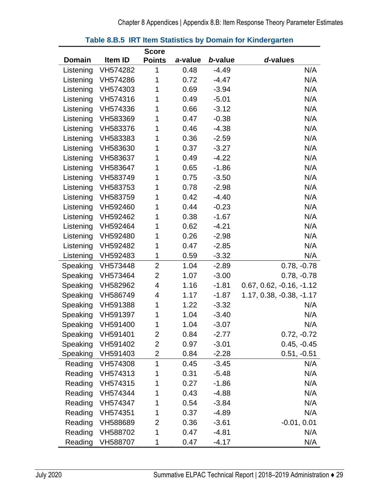<span id="page-32-0"></span>

|               |                   | <b>Score</b>   |         |         |                            |
|---------------|-------------------|----------------|---------|---------|----------------------------|
| <b>Domain</b> | Item ID           | <b>Points</b>  | a-value | b-value | d-values                   |
| Listening     | VH574282          | 1              | 0.48    | $-4.49$ | N/A                        |
| Listening     | VH574286          | 1              | 0.72    | $-4.47$ | N/A                        |
| Listening     | VH574303          | 1              | 0.69    | $-3.94$ | N/A                        |
| Listening     | VH574316          | 1              | 0.49    | $-5.01$ | N/A                        |
| Listening     | VH574336          | 1              | 0.66    | $-3.12$ | N/A                        |
| Listening     | VH583369          | 1              | 0.47    | $-0.38$ | N/A                        |
| Listening     | VH583376          | 1              | 0.46    | $-4.38$ | N/A                        |
| Listening     | VH583383          | 1              | 0.36    | $-2.59$ | N/A                        |
| Listening     | VH583630          | 1              | 0.37    | $-3.27$ | N/A                        |
| Listening     | VH583637          | 1              | 0.49    | $-4.22$ | N/A                        |
| Listening     | VH583647          | 1              | 0.65    | $-1.86$ | N/A                        |
| Listening     | VH583749          | 1              | 0.75    | $-3.50$ | N/A                        |
| Listening     | VH583753          | 1              | 0.78    | $-2.98$ | N/A                        |
| Listening     | VH583759          | 1              | 0.42    | $-4.40$ | N/A                        |
| Listening     | VH592460          | 1              | 0.44    | $-0.23$ | N/A                        |
| Listening     | VH592462          | 1              | 0.38    | $-1.67$ | N/A                        |
| Listening     | VH592464          | 1              | 0.62    | $-4.21$ | N/A                        |
| Listening     | VH592480          | 1              | 0.26    | $-2.98$ | N/A                        |
| Listening     | VH592482          | 1              | 0.47    | $-2.85$ | N/A                        |
| Listening     | VH592483          | 1              | 0.59    | $-3.32$ | N/A                        |
| Speaking      | VH573448          | $\overline{2}$ | 1.04    | $-2.89$ | $0.78, -0.78$              |
| Speaking      | VH573464          | 2              | 1.07    | $-3.00$ | $0.78, -0.78$              |
| Speaking      | VH582962          | 4              | 1.16    | $-1.81$ | $0.67, 0.62, -0.16, -1.12$ |
| Speaking      | VH586749          | 4              | 1.17    | $-1.87$ | $1.17, 0.38, -0.38, -1.17$ |
| Speaking      | VH591388          | 1              | 1.22    | $-3.32$ | N/A                        |
| Speaking      | VH591397          | 1              | 1.04    | $-3.40$ | N/A                        |
|               | Speaking VH591400 | 1              | 1.04    | $-3.07$ | N/A                        |
| Speaking      | VH591401          | 2              | 0.84    | $-2.77$ | $0.72, -0.72$              |
| Speaking      | VH591402          | 2              | 0.97    | $-3.01$ | $0.45, -0.45$              |
| Speaking      | VH591403          | 2              | 0.84    | $-2.28$ | $0.51, -0.51$              |
| Reading       | VH574308          | 1              | 0.45    | $-3.45$ | N/A                        |
| Reading       | VH574313          | 1              | 0.31    | $-5.48$ | N/A                        |
| Reading       | VH574315          | 1              | 0.27    | $-1.86$ | N/A                        |
| Reading       | VH574344          | 1              | 0.43    | $-4.88$ | N/A                        |
| Reading       | VH574347          | 1              | 0.54    | $-3.84$ | N/A                        |
| Reading       | VH574351          | 1              | 0.37    | $-4.89$ | N/A                        |
| Reading       | VH588689          | 2              | 0.36    | $-3.61$ | $-0.01, 0.01$              |
| Reading       | VH588702          | 1              | 0.47    | $-4.81$ | N/A                        |
| Reading       | VH588707          | 1              | 0.47    | $-4.17$ | N/A                        |

#### **Table 8.B.5 IRT Item Statistics by Domain for Kindergarten**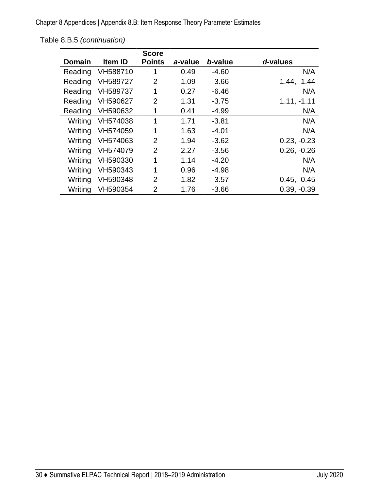Chapter 8 Appendices | Appendix 8.B: Item Response Theory Parameter Estimates

|               |                | <b>Score</b>   |         |         |               |
|---------------|----------------|----------------|---------|---------|---------------|
| <b>Domain</b> | <b>Item ID</b> | <b>Points</b>  | a-value | b-value | d-values      |
| Reading       | VH588710       | 1              | 0.49    | $-4.60$ | N/A           |
| Reading       | VH589727       | $\overline{2}$ | 1.09    | $-3.66$ | $1.44, -1.44$ |
| Reading       | VH589737       | 1              | 0.27    | $-6.46$ | N/A           |
| Reading       | VH590627       | $\overline{2}$ | 1.31    | $-3.75$ | $1.11, -1.11$ |
| Reading       | VH590632       | 1              | 0.41    | $-4.99$ | N/A           |
| Writing       | VH574038       | 1              | 1.71    | $-3.81$ | N/A           |
| Writing       | VH574059       | 1              | 1.63    | $-4.01$ | N/A           |
| Writing       | VH574063       | $\overline{2}$ | 1.94    | $-3.62$ | $0.23, -0.23$ |
| Writing       | VH574079       | $\overline{2}$ | 2.27    | $-3.56$ | $0.26, -0.26$ |
| Writing       | VH590330       | 1              | 1.14    | $-4.20$ | N/A           |
| Writing       | VH590343       | 1              | 0.96    | $-4.98$ | N/A           |
| Writing       | VH590348       | $\overline{2}$ | 1.82    | $-3.57$ | $0.45, -0.45$ |
| Writing       | VH590354       | $\overline{2}$ | 1.76    | $-3.66$ | $0.39, -0.39$ |

Table 8.B.5 *(continuation)*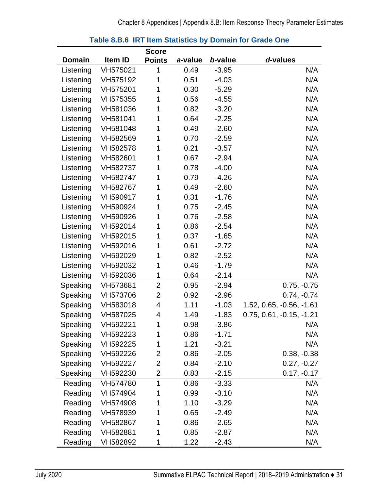<span id="page-34-0"></span>

|               |          | <b>Score</b>   |         |         |                            |
|---------------|----------|----------------|---------|---------|----------------------------|
| <b>Domain</b> | Item ID  | <b>Points</b>  | a-value | b-value | d-values                   |
| Listening     | VH575021 | 1              | 0.49    | $-3.95$ | N/A                        |
| Listening     | VH575192 | 1              | 0.51    | $-4.03$ | N/A                        |
| Listening     | VH575201 | 1              | 0.30    | $-5.29$ | N/A                        |
| Listening     | VH575355 | 1              | 0.56    | $-4.55$ | N/A                        |
| Listening     | VH581036 | 1              | 0.82    | $-3.20$ | N/A                        |
| Listening     | VH581041 | 1              | 0.64    | $-2.25$ | N/A                        |
| Listening     | VH581048 | 1              | 0.49    | $-2.60$ | N/A                        |
| Listening     | VH582569 | 1              | 0.70    | $-2.59$ | N/A                        |
| Listening     | VH582578 | 1              | 0.21    | $-3.57$ | N/A                        |
| Listening     | VH582601 | 1              | 0.67    | $-2.94$ | N/A                        |
| Listening     | VH582737 | 1              | 0.78    | $-4.00$ | N/A                        |
| Listening     | VH582747 | 1              | 0.79    | $-4.26$ | N/A                        |
| Listening     | VH582767 | 1              | 0.49    | $-2.60$ | N/A                        |
| Listening     | VH590917 | 1              | 0.31    | $-1.76$ | N/A                        |
| Listening     | VH590924 | 1              | 0.75    | $-2.45$ | N/A                        |
| Listening     | VH590926 | 1              | 0.76    | $-2.58$ | N/A                        |
| Listening     | VH592014 | 1              | 0.86    | $-2.54$ | N/A                        |
| Listening     | VH592015 | 1              | 0.37    | $-1.65$ | N/A                        |
| Listening     | VH592016 | 1              | 0.61    | $-2.72$ | N/A                        |
| Listening     | VH592029 | 1              | 0.82    | $-2.52$ | N/A                        |
| Listening     | VH592032 | 1              | 0.46    | $-1.79$ | N/A                        |
| Listening     | VH592036 | 1              | 0.64    | $-2.14$ | N/A                        |
| Speaking      | VH573681 | $\overline{2}$ | 0.95    | $-2.94$ | $0.75, -0.75$              |
| Speaking      | VH573706 | $\overline{2}$ | 0.92    | $-2.96$ | $0.74, -0.74$              |
| Speaking      | VH583018 | 4              | 1.11    | $-1.03$ | $1.52, 0.65, -0.56, -1.61$ |
| Speaking      | VH587025 | 4              | 1.49    | $-1.83$ | $0.75, 0.61, -0.15, -1.21$ |
| Speaking      | VH592221 | 1              | 0.98    | $-3.86$ | N/A                        |
| Speaking      | VH592223 | 1              | 0.86    | $-1.71$ | N/A                        |
| Speaking      | VH592225 | 1              | 1.21    | $-3.21$ | N/A                        |
| Speaking      | VH592226 | 2              | 0.86    | $-2.05$ | $0.38, -0.38$              |
| Speaking      | VH592227 | 2              | 0.84    | $-2.10$ | $0.27, -0.27$              |
| Speaking      | VH592230 | $\overline{2}$ | 0.83    | $-2.15$ | $0.17, -0.17$              |
| Reading       | VH574780 | 1              | 0.86    | $-3.33$ | N/A                        |
| Reading       | VH574904 | 1              | 0.99    | $-3.10$ | N/A                        |
| Reading       | VH574908 | 1              | 1.10    | $-3.29$ | N/A                        |
| Reading       | VH578939 | 1              | 0.65    | $-2.49$ | N/A                        |
| Reading       | VH582867 | 1              | 0.86    | $-2.65$ | N/A                        |
| Reading       | VH582881 | 1              | 0.85    | $-2.87$ | N/A                        |
| Reading       | VH582892 | 1              | 1.22    | $-2.43$ | N/A                        |

#### **Table 8.B.6 IRT Item Statistics by Domain for Grade One**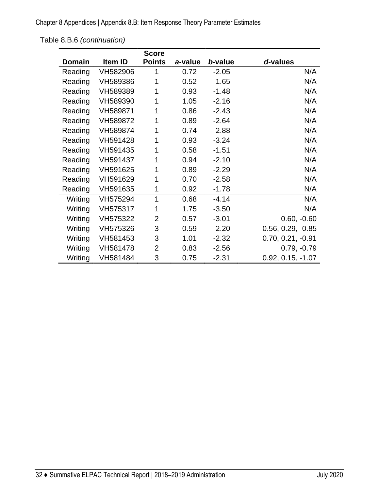Chapter 8 Appendices | Appendix 8.B: Item Response Theory Parameter Estimates

Table 8.B.6 *(continuation)*

|         |          | <b>Score</b>   |         |         |                     |
|---------|----------|----------------|---------|---------|---------------------|
| Domain  | Item ID  | <b>Points</b>  | a-value | b-value | d-values            |
| Reading | VH582906 | 1              | 0.72    | $-2.05$ | N/A                 |
| Reading | VH589386 | 1              | 0.52    | $-1.65$ | N/A                 |
| Reading | VH589389 | 1              | 0.93    | $-1.48$ | N/A                 |
| Reading | VH589390 | 1              | 1.05    | $-2.16$ | N/A                 |
| Reading | VH589871 | 1              | 0.86    | $-2.43$ | N/A                 |
| Reading | VH589872 | 1              | 0.89    | $-2.64$ | N/A                 |
| Reading | VH589874 | 1              | 0.74    | $-2.88$ | N/A                 |
| Reading | VH591428 | 1              | 0.93    | $-3.24$ | N/A                 |
| Reading | VH591435 | 1              | 0.58    | $-1.51$ | N/A                 |
| Reading | VH591437 | 1              | 0.94    | $-2.10$ | N/A                 |
| Reading | VH591625 | 1              | 0.89    | $-2.29$ | N/A                 |
| Reading | VH591629 | 1              | 0.70    | $-2.58$ | N/A                 |
| Reading | VH591635 | 1              | 0.92    | $-1.78$ | N/A                 |
| Writing | VH575294 | 1              | 0.68    | $-4.14$ | N/A                 |
| Writing | VH575317 | 1              | 1.75    | $-3.50$ | N/A                 |
| Writing | VH575322 | $\overline{2}$ | 0.57    | $-3.01$ | $0.60, -0.60$       |
| Writing | VH575326 | 3              | 0.59    | $-2.20$ | $0.56, 0.29, -0.85$ |
| Writing | VH581453 | 3              | 1.01    | $-2.32$ | $0.70, 0.21, -0.91$ |
| Writing | VH581478 | $\overline{2}$ | 0.83    | $-2.56$ | $0.79, -0.79$       |
| Writing | VH581484 | 3              | 0.75    | $-2.31$ | $0.92, 0.15, -1.07$ |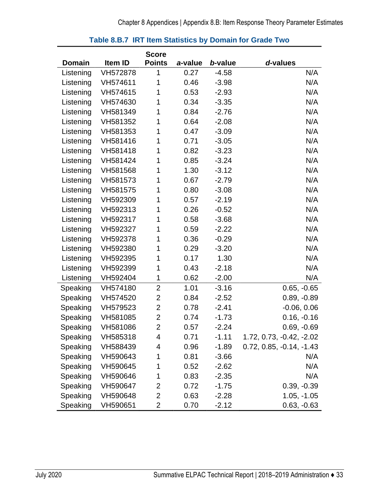|               |          | <b>Score</b>            |         |         |                            |
|---------------|----------|-------------------------|---------|---------|----------------------------|
| <b>Domain</b> | Item ID  | <b>Points</b>           | a-value | b-value | d-values                   |
| Listening     | VH572878 | 1                       | 0.27    | $-4.58$ | N/A                        |
| Listening     | VH574611 | 1                       | 0.46    | $-3.98$ | N/A                        |
| Listening     | VH574615 | 1                       | 0.53    | $-2.93$ | N/A                        |
| Listening     | VH574630 | 1                       | 0.34    | $-3.35$ | N/A                        |
| Listening     | VH581349 | 1                       | 0.84    | $-2.76$ | N/A                        |
| Listening     | VH581352 | 1                       | 0.64    | $-2.08$ | N/A                        |
| Listening     | VH581353 | 1                       | 0.47    | $-3.09$ | N/A                        |
| Listening     | VH581416 | 1                       | 0.71    | $-3.05$ | N/A                        |
| Listening     | VH581418 | 1                       | 0.82    | $-3.23$ | N/A                        |
| Listening     | VH581424 | 1                       | 0.85    | $-3.24$ | N/A                        |
| Listening     | VH581568 | 1                       | 1.30    | $-3.12$ | N/A                        |
| Listening     | VH581573 | 1                       | 0.67    | $-2.79$ | N/A                        |
| Listening     | VH581575 | 1                       | 0.80    | $-3.08$ | N/A                        |
| Listening     | VH592309 | 1                       | 0.57    | $-2.19$ | N/A                        |
| Listening     | VH592313 | 1                       | 0.26    | $-0.52$ | N/A                        |
| Listening     | VH592317 | 1                       | 0.58    | $-3.68$ | N/A                        |
| Listening     | VH592327 | 1                       | 0.59    | $-2.22$ | N/A                        |
| Listening     | VH592378 | 1                       | 0.36    | $-0.29$ | N/A                        |
| Listening     | VH592380 | 1                       | 0.29    | $-3.20$ | N/A                        |
| Listening     | VH592395 | 1                       | 0.17    | 1.30    | N/A                        |
| Listening     | VH592399 | 1                       | 0.43    | $-2.18$ | N/A                        |
| Listening     | VH592404 | 1                       | 0.62    | $-2.00$ | N/A                        |
| Speaking      | VH574180 | $\overline{2}$          | 1.01    | $-3.16$ | $0.65, -0.65$              |
| Speaking      | VH574520 | $\overline{\mathbf{c}}$ | 0.84    | $-2.52$ | $0.89, -0.89$              |
| Speaking      | VH579523 | $\overline{2}$          | 0.78    | $-2.41$ | $-0.06, 0.06$              |
| Speaking      | VH581085 | $\overline{2}$          | 0.74    | $-1.73$ | $0.16, -0.16$              |
| Speaking      | VH581086 | $\overline{2}$          | 0.57    | $-2.24$ | $0.69, -0.69$              |
| Speaking      | VH585318 | 4                       | 0.71    | $-1.11$ | 1.72, 0.73, -0.42, -2.02   |
| Speaking      | VH588439 | 4                       | 0.96    | $-1.89$ | $0.72, 0.85, -0.14, -1.43$ |
| Speaking      | VH590643 | 1                       | 0.81    | $-3.66$ | N/A                        |
| Speaking      | VH590645 | 1                       | 0.52    | $-2.62$ | N/A                        |
| Speaking      | VH590646 | 1                       | 0.83    | $-2.35$ | N/A                        |
| Speaking      | VH590647 | 2                       | 0.72    | $-1.75$ | $0.39, -0.39$              |
| Speaking      | VH590648 | 2                       | 0.63    | $-2.28$ | $1.05, -1.05$              |
| Speaking      | VH590651 | 2                       | 0.70    | $-2.12$ | $0.63, -0.63$              |

### **Table 8.B.7 IRT Item Statistics by Domain for Grade Two**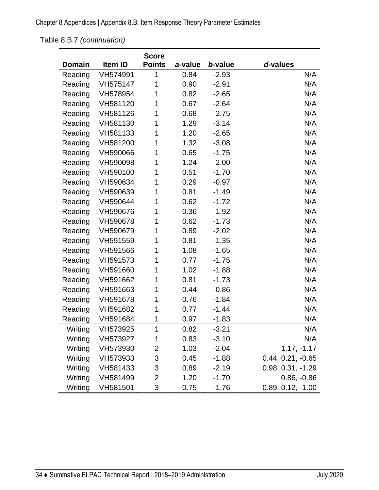Chapter 8 Appendices | Appendix 8.B: Item Response Theory Parameter Estimates

Table 8.B.7 *(continuation)*

|               |          | <b>Score</b>   |         |         |                     |
|---------------|----------|----------------|---------|---------|---------------------|
| <b>Domain</b> | Item ID  | <b>Points</b>  | a-value | b-value | d-values            |
| Reading       | VH574991 | 1              | 0.84    | $-2.93$ | N/A                 |
| Reading       | VH575147 | 1              | 0.90    | $-2.91$ | N/A                 |
| Reading       | VH578954 | 1              | 0.82    | $-2.65$ | N/A                 |
| Reading       | VH581120 | 1              | 0.67    | $-2.64$ | N/A                 |
| Reading       | VH581126 | 1              | 0.68    | $-2.75$ | N/A                 |
| Reading       | VH581130 | 1              | 1.29    | $-3.14$ | N/A                 |
| Reading       | VH581133 | 1              | 1.20    | $-2.65$ | N/A                 |
| Reading       | VH581200 | 1              | 1.32    | $-3.08$ | N/A                 |
| Reading       | VH590066 | 1              | 0.65    | $-1.75$ | N/A                 |
| Reading       | VH590098 | 1              | 1.24    | $-2.00$ | N/A                 |
| Reading       | VH590100 | 1              | 0.51    | $-1.70$ | N/A                 |
| Reading       | VH590634 | 1              | 0.29    | $-0.97$ | N/A                 |
| Reading       | VH590639 | 1              | 0.81    | $-1.49$ | N/A                 |
| Reading       | VH590644 | 1              | 0.62    | $-1.72$ | N/A                 |
| Reading       | VH590676 | 1              | 0.36    | $-1.92$ | N/A                 |
| Reading       | VH590678 | 1              | 0.62    | $-1.73$ | N/A                 |
| Reading       | VH590679 | 1              | 0.89    | $-2.02$ | N/A                 |
| Reading       | VH591559 | 1              | 0.81    | $-1.35$ | N/A                 |
| Reading       | VH591566 | 1              | 1.08    | $-1.65$ | N/A                 |
| Reading       | VH591573 | 1              | 0.77    | $-1.75$ | N/A                 |
| Reading       | VH591660 | 1              | 1.02    | $-1.88$ | N/A                 |
| Reading       | VH591662 | 1              | 0.81    | $-1.73$ | N/A                 |
| Reading       | VH591663 | 1              | 0.44    | $-0.86$ | N/A                 |
| Reading       | VH591678 | 1              | 0.76    | $-1.84$ | N/A                 |
| Reading       | VH591682 | 1              | 0.77    | $-1.44$ | N/A                 |
| Reading       | VH591684 | 1              | 0.97    | $-1.83$ | N/A                 |
| Writing       | VH573925 | 1              | 0.82    | $-3.21$ | N/A                 |
| Writing       | VH573927 | 1              | 0.83    | $-3.10$ | N/A                 |
| Writing       | VH573930 | 2              | 1.03    | $-2.04$ | $1.17, -1.17$       |
| Writing       | VH573933 | 3              | 0.45    | $-1.88$ | $0.44, 0.21, -0.65$ |
| Writing       | VH581433 | 3              | 0.89    | $-2.19$ | 0.98, 0.31, -1.29   |
| Writing       | VH581499 | $\overline{2}$ | 1.20    | $-1.70$ | $0.86, -0.86$       |
| Writing       | VH581501 | 3              | 0.75    | $-1.76$ | $0.89, 0.12, -1.00$ |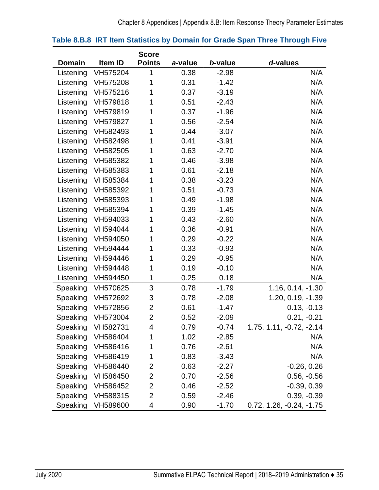|               |                   | <b>Score</b>   |         |         |                          |
|---------------|-------------------|----------------|---------|---------|--------------------------|
| <b>Domain</b> | Item ID           | <b>Points</b>  | a-value | b-value | d-values                 |
| Listening     | VH575204          | 1              | 0.38    | $-2.98$ | N/A                      |
| Listening     | VH575208          | 1              | 0.31    | $-1.42$ | N/A                      |
| Listening     | VH575216          | 1              | 0.37    | $-3.19$ | N/A                      |
| Listening     | VH579818          | 1              | 0.51    | $-2.43$ | N/A                      |
| Listening     | VH579819          | 1              | 0.37    | $-1.96$ | N/A                      |
| Listening     | VH579827          | 1              | 0.56    | $-2.54$ | N/A                      |
| Listening     | VH582493          | 1              | 0.44    | $-3.07$ | N/A                      |
| Listening     | VH582498          | 1              | 0.41    | $-3.91$ | N/A                      |
| Listening     | VH582505          | 1              | 0.63    | $-2.70$ | N/A                      |
| Listening     | VH585382          | 1              | 0.46    | $-3.98$ | N/A                      |
| Listening     | VH585383          | 1              | 0.61    | $-2.18$ | N/A                      |
| Listening     | VH585384          | 1              | 0.38    | $-3.23$ | N/A                      |
| Listening     | VH585392          | 1              | 0.51    | $-0.73$ | N/A                      |
| Listening     | VH585393          | 1              | 0.49    | $-1.98$ | N/A                      |
| Listening     | VH585394          | 1              | 0.39    | $-1.45$ | N/A                      |
| Listening     | VH594033          | 1              | 0.43    | $-2.60$ | N/A                      |
| Listening     | VH594044          | 1              | 0.36    | $-0.91$ | N/A                      |
| Listening     | VH594050          | 1              | 0.29    | $-0.22$ | N/A                      |
| Listening     | VH594444          | 1              | 0.33    | $-0.93$ | N/A                      |
| Listening     | VH594446          | 1              | 0.29    | $-0.95$ | N/A                      |
| Listening     | VH594448          | 1              | 0.19    | $-0.10$ | N/A                      |
| Listening     | VH594450          | 1              | 0.25    | 0.18    | N/A                      |
| Speaking      | VH570625          | 3              | 0.78    | $-1.79$ | 1.16, 0.14, -1.30        |
|               | Speaking VH572692 | 3              | 0.78    | $-2.08$ | 1.20, 0.19, -1.39        |
| Speaking      | VH572856          | $\overline{2}$ | 0.61    | $-1.47$ | $0.13, -0.13$            |
| Speaking      | VH573004          | $\overline{2}$ | 0.52    | $-2.09$ | $0.21, -0.21$            |
|               | Speaking VH582731 | 4              | 0.79    | $-0.74$ | 1.75, 1.11, -0.72, -2.14 |
| Speaking      | VH586404          | 1              | 1.02    | $-2.85$ | N/A                      |
| Speaking      | VH586416          | 1              | 0.76    | $-2.61$ | N/A                      |
| Speaking      | VH586419          | 1              | 0.83    | $-3.43$ | N/A                      |
| Speaking      | VH586440          | 2              | 0.63    | $-2.27$ | $-0.26, 0.26$            |
| Speaking      | VH586450          | 2              | 0.70    | $-2.56$ | $0.56, -0.56$            |
| Speaking      | VH586452          | 2              | 0.46    | $-2.52$ | $-0.39, 0.39$            |
| Speaking      | VH588315          | $\overline{2}$ | 0.59    | $-2.46$ | $0.39, -0.39$            |
| Speaking      | VH589600          | 4              | 0.90    | $-1.70$ | 0.72, 1.26, -0.24, -1.75 |

### **Table 8.B.8 IRT Item Statistics by Domain for Grade Span Three Through Five**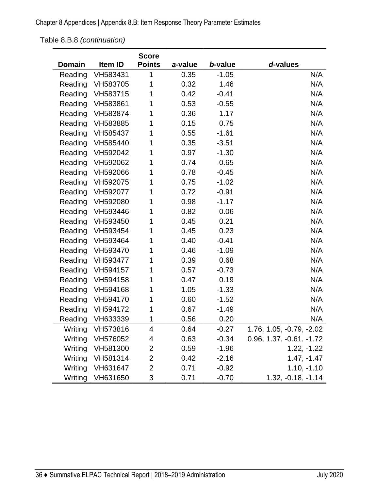Table 8.B.8 *(continuation)*

|               |                  | <b>Score</b>  |         |         |                            |
|---------------|------------------|---------------|---------|---------|----------------------------|
| <b>Domain</b> | Item ID          | <b>Points</b> | a-value | b-value | d-values                   |
| Reading       | VH583431         | 1             | 0.35    | $-1.05$ | N/A                        |
| Reading       | VH583705         | 1             | 0.32    | 1.46    | N/A                        |
| Reading       | VH583715         | 1             | 0.42    | $-0.41$ | N/A                        |
| Reading       | VH583861         | 1             | 0.53    | $-0.55$ | N/A                        |
| Reading       | VH583874         | 1             | 0.36    | 1.17    | N/A                        |
| Reading       | VH583885         | 1             | 0.15    | 0.75    | N/A                        |
| Reading       | VH585437         | 1             | 0.55    | $-1.61$ | N/A                        |
| Reading       | VH585440         | 1             | 0.35    | $-3.51$ | N/A                        |
| Reading       | VH592042         | 1             | 0.97    | $-1.30$ | N/A                        |
| Reading       | VH592062         | 1             | 0.74    | $-0.65$ | N/A                        |
| Reading       | VH592066         | 1             | 0.78    | $-0.45$ | N/A                        |
| Reading       | VH592075         | 1             | 0.75    | $-1.02$ | N/A                        |
| Reading       | VH592077         | 1             | 0.72    | $-0.91$ | N/A                        |
| Reading       | VH592080         | 1             | 0.98    | $-1.17$ | N/A                        |
| Reading       | VH593446         | 1             | 0.82    | 0.06    | N/A                        |
| Reading       | VH593450         | 1             | 0.45    | 0.21    | N/A                        |
| Reading       | VH593454         | 1             | 0.45    | 0.23    | N/A                        |
| Reading       | VH593464         | 1             | 0.40    | $-0.41$ | N/A                        |
| Reading       | VH593470         | 1             | 0.46    | $-1.09$ | N/A                        |
| Reading       | VH593477         | 1             | 0.39    | 0.68    | N/A                        |
| Reading       | VH594157         | 1             | 0.57    | $-0.73$ | N/A                        |
| Reading       | VH594158         | 1             | 0.47    | 0.19    | N/A                        |
| Reading       | VH594168         | 1             | 1.05    | $-1.33$ | N/A                        |
| Reading       | VH594170         | 1             | 0.60    | $-1.52$ | N/A                        |
| Reading       | VH594172         | 1             | 0.67    | $-1.49$ | N/A                        |
| Reading       | VH633339         | 1             | 0.56    | 0.20    | N/A                        |
|               | Writing VH573816 | 4             | 0.64    | $-0.27$ | 1.76, 1.05, -0.79, -2.02   |
| Writing       | VH576052         | 4             | 0.63    | $-0.34$ | $0.96, 1.37, -0.61, -1.72$ |
| Writing       | VH581300         | 2             | 0.59    | $-1.96$ | $1.22, -1.22$              |
| Writing       | VH581314         | 2             | 0.42    | $-2.16$ | $1.47, -1.47$              |
| Writing       | VH631647         | 2             | 0.71    | $-0.92$ | $1.10, -1.10$              |
| Writing       | VH631650         | 3             | 0.71    | $-0.70$ | $1.32, -0.18, -1.14$       |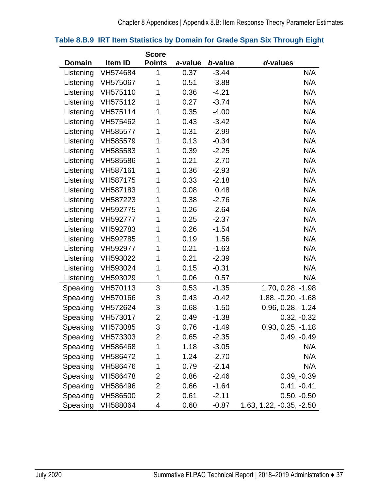|               |          | <b>Score</b>   |         |         |                          |
|---------------|----------|----------------|---------|---------|--------------------------|
| <b>Domain</b> | Item ID  | <b>Points</b>  | a-value | b-value | d-values                 |
| Listening     | VH574684 | 1              | 0.37    | $-3.44$ | N/A                      |
| Listening     | VH575067 | 1              | 0.51    | $-3.88$ | N/A                      |
| Listening     | VH575110 | 1              | 0.36    | $-4.21$ | N/A                      |
| Listening     | VH575112 | 1              | 0.27    | $-3.74$ | N/A                      |
| Listening     | VH575114 | 1              | 0.35    | $-4.00$ | N/A                      |
| Listening     | VH575462 | 1              | 0.43    | $-3.42$ | N/A                      |
| Listening     | VH585577 | 1              | 0.31    | $-2.99$ | N/A                      |
| Listening     | VH585579 | 1              | 0.13    | $-0.34$ | N/A                      |
| Listening     | VH585583 | 1              | 0.39    | $-2.25$ | N/A                      |
| Listening     | VH585586 | 1              | 0.21    | $-2.70$ | N/A                      |
| Listening     | VH587161 | 1              | 0.36    | $-2.93$ | N/A                      |
| Listening     | VH587175 | 1              | 0.33    | $-2.18$ | N/A                      |
| Listening     | VH587183 | 1              | 0.08    | 0.48    | N/A                      |
| Listening     | VH587223 | 1              | 0.38    | $-2.76$ | N/A                      |
| Listening     | VH592775 | 1              | 0.26    | $-2.64$ | N/A                      |
| Listening     | VH592777 | 1              | 0.25    | $-2.37$ | N/A                      |
| Listening     | VH592783 | 1              | 0.26    | $-1.54$ | N/A                      |
| Listening     | VH592785 | 1              | 0.19    | 1.56    | N/A                      |
| Listening     | VH592977 | 1              | 0.21    | $-1.63$ | N/A                      |
| Listening     | VH593022 | 1              | 0.21    | $-2.39$ | N/A                      |
| Listening     | VH593024 | 1              | 0.15    | $-0.31$ | N/A                      |
| Listening     | VH593029 | 1              | 0.06    | 0.57    | N/A                      |
| Speaking      | VH570113 | 3              | 0.53    | $-1.35$ | 1.70, 0.28, -1.98        |
| Speaking      | VH570166 | 3              | 0.43    | $-0.42$ | 1.88, -0.20, -1.68       |
| Speaking      | VH572624 | 3              | 0.68    | $-1.50$ | $0.96, 0.28, -1.24$      |
| Speaking      | VH573017 | $\overline{2}$ | 0.49    | $-1.38$ | $0.32, -0.32$            |
| Speaking      | VH573085 | 3              | 0.76    | $-1.49$ | $0.93, 0.25, -1.18$      |
| Speaking      | VH573303 | 2              | 0.65    | $-2.35$ | $0.49, -0.49$            |
| Speaking      | VH586468 | 1              | 1.18    | $-3.05$ | N/A                      |
| Speaking      | VH586472 | 1              | 1.24    | $-2.70$ | N/A                      |
| Speaking      | VH586476 | 1              | 0.79    | $-2.14$ | N/A                      |
| Speaking      | VH586478 | 2              | 0.86    | $-2.46$ | $0.39, -0.39$            |
| Speaking      | VH586496 | 2              | 0.66    | $-1.64$ | $0.41, -0.41$            |
| Speaking      | VH586500 | $\overline{2}$ | 0.61    | $-2.11$ | $0.50, -0.50$            |
| Speaking      | VH588064 | 4              | 0.60    | $-0.87$ | 1.63, 1.22, -0.35, -2.50 |

### **Table 8.B.9 IRT Item Statistics by Domain for Grade Span Six Through Eight**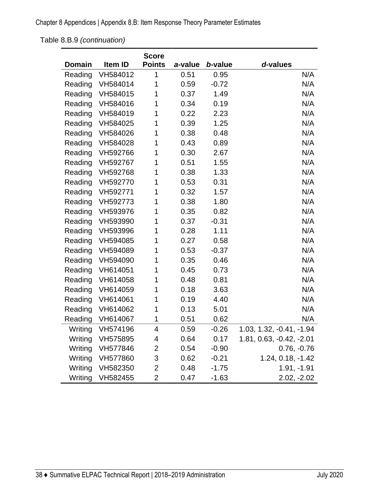Chapter 8 Appendices | Appendix 8.B: Item Response Theory Parameter Estimates

Table 8.B.9 *(continuation)*

|         |          | <b>Score</b>  |         |         |                          |
|---------|----------|---------------|---------|---------|--------------------------|
| Domain  | Item ID  | <b>Points</b> | a-value | b-value | d-values                 |
| Reading | VH584012 | 1             | 0.51    | 0.95    | N/A                      |
| Reading | VH584014 | 1             | 0.59    | $-0.72$ | N/A                      |
| Reading | VH584015 | 1             | 0.37    | 1.49    | N/A                      |
| Reading | VH584016 | 1             | 0.34    | 0.19    | N/A                      |
| Reading | VH584019 | 1             | 0.22    | 2.23    | N/A                      |
| Reading | VH584025 | 1             | 0.39    | 1.25    | N/A                      |
| Reading | VH584026 | 1             | 0.38    | 0.48    | N/A                      |
| Reading | VH584028 | 1             | 0.43    | 0.89    | N/A                      |
| Reading | VH592766 | 1             | 0.30    | 2.67    | N/A                      |
| Reading | VH592767 | 1             | 0.51    | 1.55    | N/A                      |
| Reading | VH592768 | 1             | 0.38    | 1.33    | N/A                      |
| Reading | VH592770 | 1             | 0.53    | 0.31    | N/A                      |
| Reading | VH592771 | 1             | 0.32    | 1.57    | N/A                      |
| Reading | VH592773 | 1             | 0.38    | 1.80    | N/A                      |
| Reading | VH593976 | 1             | 0.35    | 0.82    | N/A                      |
| Reading | VH593990 | 1             | 0.37    | $-0.31$ | N/A                      |
| Reading | VH593996 | 1             | 0.28    | 1.11    | N/A                      |
| Reading | VH594085 | 1             | 0.27    | 0.58    | N/A                      |
| Reading | VH594089 | 1             | 0.53    | $-0.37$ | N/A                      |
| Reading | VH594090 | 1             | 0.35    | 0.46    | N/A                      |
| Reading | VH614051 | 1             | 0.45    | 0.73    | N/A                      |
| Reading | VH614058 | 1             | 0.48    | 0.81    | N/A                      |
| Reading | VH614059 | 1             | 0.18    | 3.63    | N/A                      |
| Reading | VH614061 | 1             | 0.19    | 4.40    | N/A                      |
| Reading | VH614062 | 1             | 0.13    | 5.01    | N/A                      |
| Reading | VH614067 | 1             | 0.51    | 0.62    | N/A                      |
| Writing | VH574196 | 4             | 0.59    | $-0.26$ | 1.03, 1.32, -0.41, -1.94 |
| Writing | VH575895 | 4             | 0.64    | 0.17    | 1.81, 0.63, -0.42, -2.01 |
| Writing | VH577846 | 2             | 0.54    | $-0.90$ | $0.76, -0.76$            |
| Writing | VH577860 | 3             | 0.62    | $-0.21$ | 1.24, 0.18, -1.42        |
| Writing | VH582350 | 2             | 0.48    | $-1.75$ | $1.91, -1.91$            |
| Writing | VH582455 | 2             | 0.47    | $-1.63$ | $2.02, -2.02$            |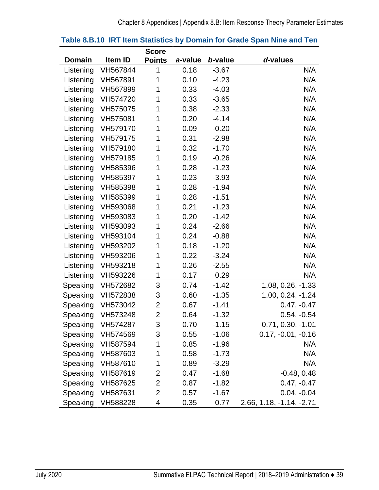|           |                   | <b>Score</b>   |         |         |                          |
|-----------|-------------------|----------------|---------|---------|--------------------------|
| Domain    | Item ID           | <b>Points</b>  | a-value | b-value | d-values                 |
| Listening | VH567844          | 1              | 0.18    | $-3.67$ | N/A                      |
| Listening | VH567891          | 1              | 0.10    | $-4.23$ | N/A                      |
| Listening | VH567899          | 1              | 0.33    | $-4.03$ | N/A                      |
| Listening | VH574720          | 1              | 0.33    | $-3.65$ | N/A                      |
| Listening | VH575075          | 1              | 0.38    | $-2.33$ | N/A                      |
| Listening | VH575081          | 1              | 0.20    | $-4.14$ | N/A                      |
| Listening | VH579170          | 1              | 0.09    | $-0.20$ | N/A                      |
| Listening | VH579175          | 1              | 0.31    | $-2.98$ | N/A                      |
| Listening | VH579180          | 1              | 0.32    | $-1.70$ | N/A                      |
| Listening | VH579185          | 1              | 0.19    | $-0.26$ | N/A                      |
| Listening | VH585396          | 1              | 0.28    | $-1.23$ | N/A                      |
| Listening | VH585397          | 1              | 0.23    | $-3.93$ | N/A                      |
| Listening | VH585398          | 1              | 0.28    | $-1.94$ | N/A                      |
| Listening | VH585399          | 1              | 0.28    | $-1.51$ | N/A                      |
| Listening | VH593068          | 1              | 0.21    | $-1.23$ | N/A                      |
| Listening | VH593083          | 1              | 0.20    | $-1.42$ | N/A                      |
| Listening | VH593093          | 1              | 0.24    | $-2.66$ | N/A                      |
| Listening | VH593104          | 1              | 0.24    | $-0.88$ | N/A                      |
| Listening | VH593202          | 1              | 0.18    | $-1.20$ | N/A                      |
| Listening | VH593206          | 1              | 0.22    | $-3.24$ | N/A                      |
| Listening | VH593218          | 1              | 0.26    | $-2.55$ | N/A                      |
| Listening | VH593226          | 1              | 0.17    | 0.29    | N/A                      |
| Speaking  | VH572682          | 3              | 0.74    | $-1.42$ | 1.08, 0.26, -1.33        |
| Speaking  | VH572838          | 3              | 0.60    | $-1.35$ | $1.00, 0.24, -1.24$      |
| Speaking  | VH573042          | $\overline{2}$ | 0.67    | $-1.41$ | $0.47, -0.47$            |
| Speaking  | VH573248          | $\overline{2}$ | 0.64    | $-1.32$ | $0.54, -0.54$            |
|           | Speaking VH574287 | 3              | 0.70    | $-1.15$ | $0.71, 0.30, -1.01$      |
| Speaking  | VH574569          | 3              | 0.55    | $-1.06$ | $0.17, -0.01, -0.16$     |
| Speaking  | VH587594          | 1              | 0.85    | $-1.96$ | N/A                      |
| Speaking  | VH587603          | 1              | 0.58    | $-1.73$ | N/A                      |
| Speaking  | VH587610          | 1              | 0.89    | $-3.29$ | N/A                      |
| Speaking  | VH587619          | 2              | 0.47    | $-1.68$ | $-0.48, 0.48$            |
| Speaking  | VH587625          | 2              | 0.87    | $-1.82$ | $0.47, -0.47$            |
| Speaking  | VH587631          | 2              | 0.57    | $-1.67$ | $0.04, -0.04$            |
| Speaking  | VH588228          | 4              | 0.35    | 0.77    | 2.66, 1.18, -1.14, -2.71 |

### **Table 8.B.10 IRT Item Statistics by Domain for Grade Span Nine and Ten**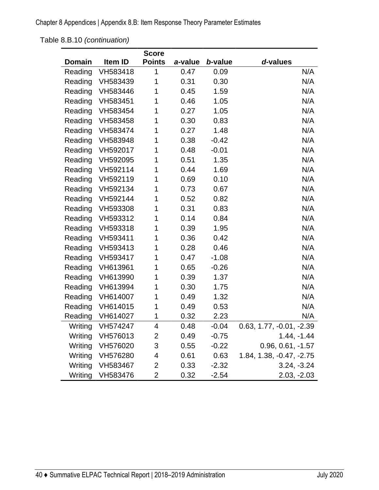Chapter 8 Appendices | Appendix 8.B: Item Response Theory Parameter Estimates

Table 8.B.10 *(continuation)*

|         |          | <b>Score</b>  |         |         |                          |
|---------|----------|---------------|---------|---------|--------------------------|
| Domain  | Item ID  | <b>Points</b> | a-value | b-value | d-values                 |
| Reading | VH583418 | 1             | 0.47    | 0.09    | N/A                      |
| Reading | VH583439 | 1             | 0.31    | 0.30    | N/A                      |
| Reading | VH583446 | 1             | 0.45    | 1.59    | N/A                      |
| Reading | VH583451 | 1             | 0.46    | 1.05    | N/A                      |
| Reading | VH583454 | 1             | 0.27    | 1.05    | N/A                      |
| Reading | VH583458 | 1             | 0.30    | 0.83    | N/A                      |
| Reading | VH583474 | 1             | 0.27    | 1.48    | N/A                      |
| Reading | VH583948 | 1             | 0.38    | $-0.42$ | N/A                      |
| Reading | VH592017 | 1             | 0.48    | $-0.01$ | N/A                      |
| Reading | VH592095 | 1             | 0.51    | 1.35    | N/A                      |
| Reading | VH592114 | 1             | 0.44    | 1.69    | N/A                      |
| Reading | VH592119 | 1             | 0.69    | 0.10    | N/A                      |
| Reading | VH592134 | 1             | 0.73    | 0.67    | N/A                      |
| Reading | VH592144 | 1             | 0.52    | 0.82    | N/A                      |
| Reading | VH593308 | 1             | 0.31    | 0.83    | N/A                      |
| Reading | VH593312 | 1             | 0.14    | 0.84    | N/A                      |
| Reading | VH593318 | 1             | 0.39    | 1.95    | N/A                      |
| Reading | VH593411 | 1             | 0.36    | 0.42    | N/A                      |
| Reading | VH593413 | 1             | 0.28    | 0.46    | N/A                      |
| Reading | VH593417 | 1             | 0.47    | $-1.08$ | N/A                      |
| Reading | VH613961 | 1             | 0.65    | $-0.26$ | N/A                      |
| Reading | VH613990 | 1             | 0.39    | 1.37    | N/A                      |
| Reading | VH613994 | 1             | 0.30    | 1.75    | N/A                      |
| Reading | VH614007 | 1             | 0.49    | 1.32    | N/A                      |
| Reading | VH614015 | 1             | 0.49    | 0.53    | N/A                      |
| Reading | VH614027 | 1             | 0.32    | 2.23    | N/A                      |
| Writing | VH574247 | 4             | 0.48    | $-0.04$ | 0.63, 1.77, -0.01, -2.39 |
| Writing | VH576013 | 2             | 0.49    | $-0.75$ | $1.44, -1.44$            |
| Writing | VH576020 | 3             | 0.55    | $-0.22$ | $0.96, 0.61, -1.57$      |
| Writing | VH576280 | 4             | 0.61    | 0.63    | 1.84, 1.38, -0.47, -2.75 |
| Writing | VH583467 | 2             | 0.33    | $-2.32$ | $3.24, -3.24$            |
| Writing | VH583476 | 2             | 0.32    | $-2.54$ | $2.03, -2.03$            |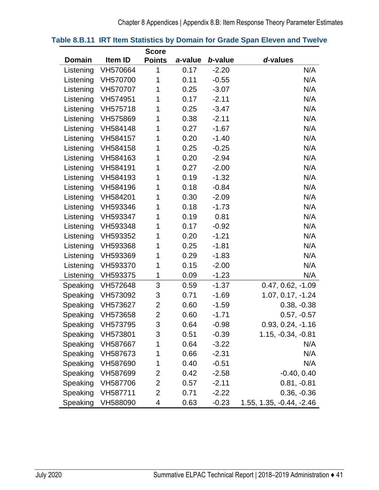|               |                   | <b>Score</b>   |         |         |                          |
|---------------|-------------------|----------------|---------|---------|--------------------------|
| <b>Domain</b> | Item ID           | <b>Points</b>  | a-value | b-value | d-values                 |
| Listening     | VH570664          | 1              | 0.17    | $-2.20$ | N/A                      |
| Listening     | VH570700          | 1              | 0.11    | $-0.55$ | N/A                      |
| Listening     | VH570707          | 1              | 0.25    | $-3.07$ | N/A                      |
| Listening     | VH574951          | 1              | 0.17    | $-2.11$ | N/A                      |
| Listening     | VH575718          | 1              | 0.25    | $-3.47$ | N/A                      |
| Listening     | VH575869          | 1              | 0.38    | $-2.11$ | N/A                      |
| Listening     | VH584148          | 1              | 0.27    | $-1.67$ | N/A                      |
| Listening     | VH584157          | 1              | 0.20    | $-1.40$ | N/A                      |
| Listening     | VH584158          | 1              | 0.25    | $-0.25$ | N/A                      |
| Listening     | VH584163          | 1              | 0.20    | $-2.94$ | N/A                      |
| Listening     | VH584191          | 1              | 0.27    | $-2.00$ | N/A                      |
| Listening     | VH584193          | 1              | 0.19    | $-1.32$ | N/A                      |
| Listening     | VH584196          | 1              | 0.18    | $-0.84$ | N/A                      |
| Listening     | VH584201          | 1              | 0.30    | $-2.09$ | N/A                      |
| Listening     | VH593346          | 1              | 0.18    | $-1.73$ | N/A                      |
| Listening     | VH593347          | 1              | 0.19    | 0.81    | N/A                      |
| Listening     | VH593348          | 1              | 0.17    | $-0.92$ | N/A                      |
| Listening     | VH593352          | 1              | 0.20    | $-1.21$ | N/A                      |
| Listening     | VH593368          | 1              | 0.25    | $-1.81$ | N/A                      |
| Listening     | VH593369          | 1              | 0.29    | $-1.83$ | N/A                      |
| Listening     | VH593370          | 1              | 0.15    | $-2.00$ | N/A                      |
| Listening     | VH593375          | 1              | 0.09    | $-1.23$ | N/A                      |
| Speaking      | VH572648          | 3              | 0.59    | $-1.37$ | $0.47, 0.62, -1.09$      |
| Speaking      | VH573092          | 3              | 0.71    | $-1.69$ | 1.07, 0.17, -1.24        |
| Speaking      | VH573627          | 2              | 0.60    | $-1.59$ | $0.38, -0.38$            |
| Speaking      | VH573658          | $\overline{2}$ | 0.60    | $-1.71$ | $0.57, -0.57$            |
|               | Speaking VH573795 | 3              | 0.64    | $-0.98$ | $0.93, 0.24, -1.16$      |
| Speaking      | VH573801          | 3              | 0.51    | $-0.39$ | 1.15, -0.34, -0.81       |
| Speaking      | VH587667          | 1              | 0.64    | $-3.22$ | N/A                      |
| Speaking      | VH587673          | 1              | 0.66    | $-2.31$ | N/A                      |
| Speaking      | VH587690          | 1              | 0.40    | $-0.51$ | N/A                      |
| Speaking      | VH587699          | 2              | 0.42    | $-2.58$ | $-0.40, 0.40$            |
| Speaking      | VH587706          | 2              | 0.57    | $-2.11$ | $0.81, -0.81$            |
| Speaking      | VH587711          | 2              | 0.71    | $-2.22$ | $0.36, -0.36$            |
| Speaking      | VH588090          | 4              | 0.63    | $-0.23$ | 1.55, 1.35, -0.44, -2.46 |

### **Table 8.B.11 IRT Item Statistics by Domain for Grade Span Eleven and Twelve**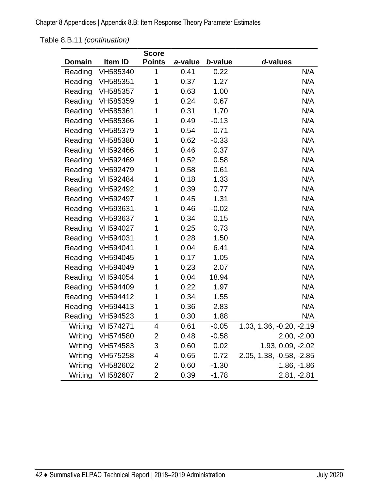Chapter 8 Appendices | Appendix 8.B: Item Response Theory Parameter Estimates

Table 8.B.11 *(continuation)*

|               |          | <b>Score</b>   |         |         |                          |
|---------------|----------|----------------|---------|---------|--------------------------|
| <b>Domain</b> | Item ID  | <b>Points</b>  | a-value | b-value | d-values                 |
| Reading       | VH585340 | 1              | 0.41    | 0.22    | N/A                      |
| Reading       | VH585351 | 1              | 0.37    | 1.27    | N/A                      |
| Reading       | VH585357 | 1              | 0.63    | 1.00    | N/A                      |
| Reading       | VH585359 | 1              | 0.24    | 0.67    | N/A                      |
| Reading       | VH585361 | 1              | 0.31    | 1.70    | N/A                      |
| Reading       | VH585366 | 1              | 0.49    | $-0.13$ | N/A                      |
| Reading       | VH585379 | 1              | 0.54    | 0.71    | N/A                      |
| Reading       | VH585380 | 1              | 0.62    | $-0.33$ | N/A                      |
| Reading       | VH592466 | 1              | 0.46    | 0.37    | N/A                      |
| Reading       | VH592469 | 1              | 0.52    | 0.58    | N/A                      |
| Reading       | VH592479 | 1              | 0.58    | 0.61    | N/A                      |
| Reading       | VH592484 | 1              | 0.18    | 1.33    | N/A                      |
| Reading       | VH592492 | 1              | 0.39    | 0.77    | N/A                      |
| Reading       | VH592497 | 1              | 0.45    | 1.31    | N/A                      |
| Reading       | VH593631 | 1              | 0.46    | $-0.02$ | N/A                      |
| Reading       | VH593637 | 1              | 0.34    | 0.15    | N/A                      |
| Reading       | VH594027 | 1              | 0.25    | 0.73    | N/A                      |
| Reading       | VH594031 | 1              | 0.28    | 1.50    | N/A                      |
| Reading       | VH594041 | 1              | 0.04    | 6.41    | N/A                      |
| Reading       | VH594045 | 1              | 0.17    | 1.05    | N/A                      |
| Reading       | VH594049 | 1              | 0.23    | 2.07    | N/A                      |
| Reading       | VH594054 | 1              | 0.04    | 18.94   | N/A                      |
| Reading       | VH594409 | 1              | 0.22    | 1.97    | N/A                      |
| Reading       | VH594412 | 1              | 0.34    | 1.55    | N/A                      |
| Reading       | VH594413 | 1              | 0.36    | 2.83    | N/A                      |
| Reading       | VH594523 | 1              | 0.30    | 1.88    | N/A                      |
| Writing       | VH574271 | 4              | 0.61    | $-0.05$ | 1.03, 1.36, -0.20, -2.19 |
| Writing       | VH574580 | $\overline{2}$ | 0.48    | $-0.58$ | $2.00, -2.00$            |
| Writing       | VH574583 | 3              | 0.60    | 0.02    | 1.93, 0.09, -2.02        |
| Writing       | VH575258 | 4              | 0.65    | 0.72    | 2.05, 1.38, -0.58, -2.85 |
| Writing       | VH582602 | 2              | 0.60    | $-1.30$ | $1.86, -1.86$            |
| Writing       | VH582607 | $\overline{2}$ | 0.39    | $-1.78$ | $2.81, -2.81$            |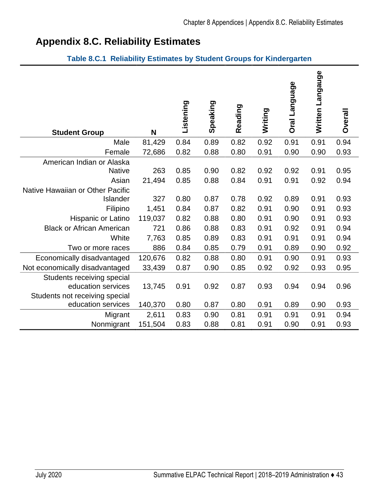# **Appendix 8.C. Reliability Estimates**

### **Table 8.C.1 Reliability Estimates by Student Groups for Kindergarten**

| <b>Student Group</b>             | N       | Listening | Speaking | Reading | Writing | Oral Language | Written Langauge | Overall |
|----------------------------------|---------|-----------|----------|---------|---------|---------------|------------------|---------|
| Male                             | 81,429  | 0.84      | 0.89     | 0.82    | 0.92    | 0.91          | 0.91             | 0.94    |
| Female                           | 72,686  | 0.82      | 0.88     | 0.80    | 0.91    | 0.90          | 0.90             | 0.93    |
| American Indian or Alaska        |         |           |          |         |         |               |                  |         |
| <b>Native</b>                    | 263     | 0.85      | 0.90     | 0.82    | 0.92    | 0.92          | 0.91             | 0.95    |
| Asian                            | 21,494  | 0.85      | 0.88     | 0.84    | 0.91    | 0.91          | 0.92             | 0.94    |
| Native Hawaiian or Other Pacific |         |           |          |         |         |               |                  |         |
| Islander                         | 327     | 0.80      | 0.87     | 0.78    | 0.92    | 0.89          | 0.91             | 0.93    |
| Filipino                         | 1,451   | 0.84      | 0.87     | 0.82    | 0.91    | 0.90          | 0.91             | 0.93    |
| <b>Hispanic or Latino</b>        | 119,037 | 0.82      | 0.88     | 0.80    | 0.91    | 0.90          | 0.91             | 0.93    |
| <b>Black or African American</b> | 721     | 0.86      | 0.88     | 0.83    | 0.91    | 0.92          | 0.91             | 0.94    |
| White                            | 7,763   | 0.85      | 0.89     | 0.83    | 0.91    | 0.91          | 0.91             | 0.94    |
| Two or more races                | 886     | 0.84      | 0.85     | 0.79    | 0.91    | 0.89          | 0.90             | 0.92    |
| Economically disadvantaged       | 120,676 | 0.82      | 0.88     | 0.80    | 0.91    | 0.90          | 0.91             | 0.93    |
| Not economically disadvantaged   | 33,439  | 0.87      | 0.90     | 0.85    | 0.92    | 0.92          | 0.93             | 0.95    |
| Students receiving special       |         |           |          |         |         |               |                  |         |
| education services               | 13,745  | 0.91      | 0.92     | 0.87    | 0.93    | 0.94          | 0.94             | 0.96    |
| Students not receiving special   |         |           |          |         |         |               |                  |         |
| education services               | 140,370 | 0.80      | 0.87     | 0.80    | 0.91    | 0.89          | 0.90             | 0.93    |
| Migrant                          | 2,611   | 0.83      | 0.90     | 0.81    | 0.91    | 0.91          | 0.91             | 0.94    |
| Nonmigrant                       | 151,504 | 0.83      | 0.88     | 0.81    | 0.91    | 0.90          | 0.91             | 0.93    |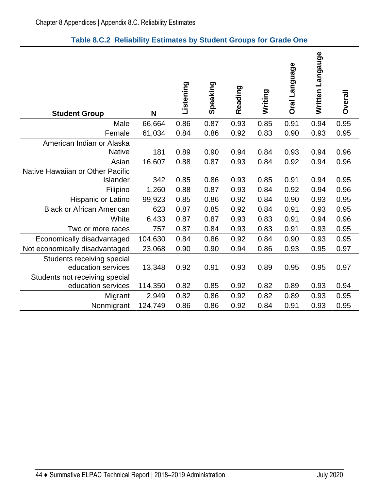| <b>Student Group</b>                                         | N                 | Listening    | Speaking     | Reading      | Writing      | <b>Oral Language</b> | Written Langauge | <b>Overall</b> |
|--------------------------------------------------------------|-------------------|--------------|--------------|--------------|--------------|----------------------|------------------|----------------|
| Male                                                         | 66,664            | 0.86         | 0.87         | 0.93         | 0.85         | 0.91                 | 0.94             | 0.95           |
| Female                                                       | 61,034            | 0.84         | 0.86         | 0.92         | 0.83         | 0.90                 | 0.93             | 0.95           |
| American Indian or Alaska<br><b>Native</b><br>Asian          | 181<br>16,607     | 0.89<br>0.88 | 0.90<br>0.87 | 0.94<br>0.93 | 0.84<br>0.84 | 0.93<br>0.92         | 0.94<br>0.94     | 0.96<br>0.96   |
| Native Hawaiian or Other Pacific<br>Islander                 | 342               | 0.85         | 0.86         | 0.93         | 0.85         | 0.91                 | 0.94             | 0.95           |
| Filipino<br>Hispanic or Latino                               | 1,260<br>99,923   | 0.88<br>0.85 | 0.87<br>0.86 | 0.93<br>0.92 | 0.84<br>0.84 | 0.92<br>0.90         | 0.94<br>0.93     | 0.96<br>0.95   |
| <b>Black or African American</b>                             | 623               | 0.87         | 0.85         | 0.92         | 0.84         | 0.91                 | 0.93             | 0.95           |
| White                                                        | 6,433             | 0.87         | 0.87         | 0.93         | 0.83         | 0.91                 | 0.94             | 0.96           |
| Two or more races                                            | 757               | 0.87         | 0.84         | 0.93         | 0.83         | 0.91                 | 0.93             | 0.95           |
| Economically disadvantaged<br>Not economically disadvantaged | 104,630<br>23,068 | 0.84<br>0.90 | 0.86<br>0.90 | 0.92<br>0.94 | 0.84<br>0.86 | 0.90<br>0.93         | 0.93<br>0.95     | 0.95<br>0.97   |
| Students receiving special<br>education services             | 13,348            | 0.92         | 0.91         | 0.93         | 0.89         | 0.95                 | 0.95             | 0.97           |
| Students not receiving special<br>education services         | 114,350           | 0.82         | 0.85         | 0.92         | 0.82         | 0.89                 | 0.93             | 0.94           |
| Migrant<br>Nonmigrant                                        | 2,949<br>124,749  | 0.82<br>0.86 | 0.86<br>0.86 | 0.92<br>0.92 | 0.82<br>0.84 | 0.89<br>0.91         | 0.93<br>0.93     | 0.95<br>0.95   |
|                                                              |                   |              |              |              |              |                      |                  |                |

## **Table 8.C.2 Reliability Estimates by Student Groups for Grade One**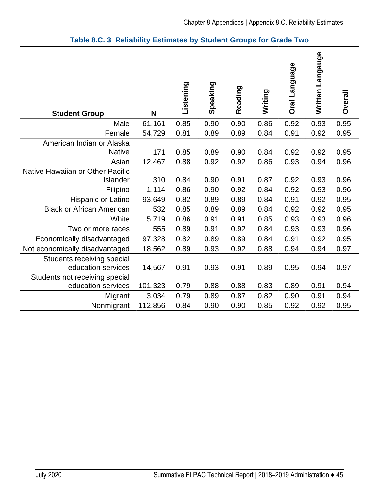| <b>Student Group</b>                                 | N       | Listening | Speaking | Reading | Writing | Oral Language | Written Langauge | Overall |
|------------------------------------------------------|---------|-----------|----------|---------|---------|---------------|------------------|---------|
| Male                                                 | 61,161  | 0.85      | 0.90     | 0.90    | 0.86    | 0.92          | 0.93             | 0.95    |
| Female                                               | 54,729  | 0.81      | 0.89     | 0.89    | 0.84    | 0.91          | 0.92             | 0.95    |
| American Indian or Alaska<br><b>Native</b>           | 171     | 0.85      | 0.89     | 0.90    | 0.84    | 0.92          | 0.92             | 0.95    |
| Asian                                                | 12,467  | 0.88      | 0.92     | 0.92    | 0.86    | 0.93          | 0.94             | 0.96    |
| Native Hawaiian or Other Pacific<br>Islander         | 310     | 0.84      | 0.90     | 0.91    | 0.87    | 0.92          | 0.93             | 0.96    |
| Filipino                                             | 1,114   | 0.86      | 0.90     | 0.92    | 0.84    | 0.92          | 0.93             | 0.96    |
| Hispanic or Latino                                   | 93,649  | 0.82      | 0.89     | 0.89    | 0.84    | 0.91          | 0.92             | 0.95    |
| <b>Black or African American</b>                     | 532     | 0.85      | 0.89     | 0.89    | 0.84    | 0.92          | 0.92             | 0.95    |
| White                                                | 5,719   | 0.86      | 0.91     | 0.91    | 0.85    | 0.93          | 0.93             | 0.96    |
| Two or more races                                    | 555     | 0.89      | 0.91     | 0.92    | 0.84    | 0.93          | 0.93             | 0.96    |
| Economically disadvantaged                           | 97,328  | 0.82      | 0.89     | 0.89    | 0.84    | 0.91          | 0.92             | 0.95    |
| Not economically disadvantaged                       | 18,562  | 0.89      | 0.93     | 0.92    | 0.88    | 0.94          | 0.94             | 0.97    |
| Students receiving special<br>education services     | 14,567  | 0.91      | 0.93     | 0.91    | 0.89    | 0.95          | 0.94             | 0.97    |
| Students not receiving special<br>education services | 101,323 | 0.79      | 0.88     | 0.88    | 0.83    | 0.89          | 0.91             | 0.94    |
| Migrant                                              | 3,034   | 0.79      | 0.89     | 0.87    | 0.82    | 0.90          | 0.91             | 0.94    |
| Nonmigrant                                           | 112,856 | 0.84      | 0.90     | 0.90    | 0.85    | 0.92          | 0.92             | 0.95    |

### **Table 8.C. 3 Reliability Estimates by Student Groups for Grade Two**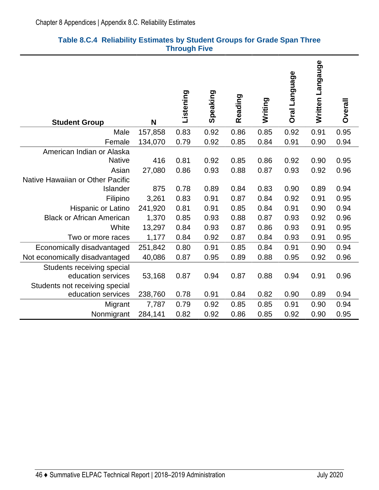| <b>Student Group</b>                                                               | N            | Listening    | Speaking     | Reading      | Writing      | Oral Language | Written Langauge | <b>Overall</b> |
|------------------------------------------------------------------------------------|--------------|--------------|--------------|--------------|--------------|---------------|------------------|----------------|
| Male                                                                               | 157,858      | 0.83         | 0.92         | 0.86         | 0.85         | 0.92          | 0.91             | 0.95           |
| Female                                                                             | 134,070      | 0.79         | 0.92         | 0.85         | 0.84         | 0.91          | 0.90             | 0.94           |
| American Indian or Alaska<br><b>Native</b>                                         | 416          | 0.81         | 0.92         | 0.85         | 0.86         | 0.92          | 0.90             | 0.95           |
| Asian                                                                              | 27,080       | 0.86         | 0.93         | 0.88         | 0.87         | 0.93          | 0.92             | 0.96           |
| Native Hawaiian or Other Pacific<br>Islander<br>Filipino                           | 875<br>3,261 | 0.78<br>0.83 | 0.89<br>0.91 | 0.84<br>0.87 | 0.83<br>0.84 | 0.90<br>0.92  | 0.89<br>0.91     | 0.94<br>0.95   |
| <b>Hispanic or Latino</b>                                                          | 241,920      | 0.81         | 0.91         | 0.85         | 0.84         | 0.91          | 0.90             | 0.94           |
| <b>Black or African American</b>                                                   | 1,370        | 0.85         | 0.93         | 0.88         | 0.87         | 0.93          | 0.92             | 0.96           |
| White                                                                              | 13,297       | 0.84         | 0.93         | 0.87         | 0.86         | 0.93          | 0.91             | 0.95           |
| Two or more races                                                                  | 1,177        | 0.84         | 0.92         | 0.87         | 0.84         | 0.93          | 0.91             | 0.95           |
| Economically disadvantaged                                                         | 251,842      | 0.80         | 0.91         | 0.85         | 0.84         | 0.91          | 0.90             | 0.94           |
| Not economically disadvantaged                                                     | 40,086       | 0.87         | 0.95         | 0.89         | 0.88         | 0.95          | 0.92             | 0.96           |
| Students receiving special<br>education services<br>Students not receiving special | 53,168       | 0.87         | 0.94         | 0.87         | 0.88         | 0.94          | 0.91             | 0.96           |
| education services                                                                 | 238,760      | 0.78         | 0.91         | 0.84         | 0.82         | 0.90          | 0.89             | 0.94           |
| Migrant                                                                            | 7,787        | 0.79         | 0.92         | 0.85         | 0.85         | 0.91          | 0.90             | 0.94           |
| Nonmigrant                                                                         | 284,141      | 0.82         | 0.92         | 0.86         | 0.85         | 0.92          | 0.90             | 0.95           |

#### **Table 8.C.4 Reliability Estimates by Student Groups for Grade Span Three Through Five**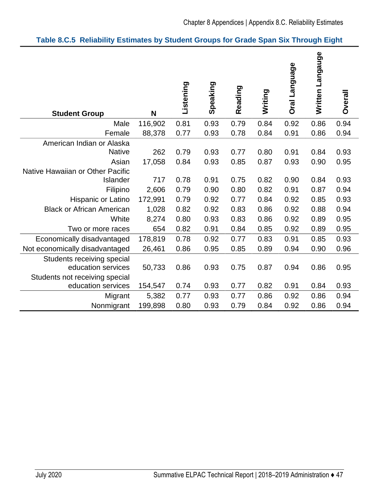| Table 8.C.5 Reliability Estimates by Student Groups for Grade Span Six Through Eight |  |  |  |  |  |
|--------------------------------------------------------------------------------------|--|--|--|--|--|
|--------------------------------------------------------------------------------------|--|--|--|--|--|

| <b>Student Group</b>                                 | N             | Listening    | Speaking     | Reading      | Writing      | Oral Language | Written Langauge | Overall      |
|------------------------------------------------------|---------------|--------------|--------------|--------------|--------------|---------------|------------------|--------------|
| Male                                                 | 116,902       | 0.81         | 0.93         | 0.79         | 0.84         | 0.92          | 0.86             | 0.94         |
| Female                                               | 88,378        | 0.77         | 0.93         | 0.78         | 0.84         | 0.91          | 0.86             | 0.94         |
| American Indian or Alaska<br><b>Native</b><br>Asian  | 262<br>17,058 | 0.79<br>0.84 | 0.93<br>0.93 | 0.77<br>0.85 | 0.80<br>0.87 | 0.91<br>0.93  | 0.84<br>0.90     | 0.93<br>0.95 |
| Native Hawaiian or Other Pacific<br>Islander         | 717           | 0.78         | 0.91         | 0.75         | 0.82         | 0.90          | 0.84             | 0.93         |
| Filipino                                             | 2,606         | 0.79         | 0.90         | 0.80         | 0.82         | 0.91          | 0.87             | 0.94         |
| <b>Hispanic or Latino</b>                            | 172,991       | 0.79         | 0.92         | 0.77         | 0.84         | 0.92          | 0.85             | 0.93         |
| <b>Black or African American</b>                     | 1,028         | 0.82         | 0.92         | 0.83         | 0.86         | 0.92          | 0.88             | 0.94         |
| White                                                | 8,274         | 0.80         | 0.93         | 0.83         | 0.86         | 0.92          | 0.89             | 0.95         |
| Two or more races                                    | 654           | 0.82         | 0.91         | 0.84         | 0.85         | 0.92          | 0.89             | 0.95         |
| Economically disadvantaged                           | 178,819       | 0.78         | 0.92         | 0.77         | 0.83         | 0.91          | 0.85             | 0.93         |
| Not economically disadvantaged                       | 26,461        | 0.86         | 0.95         | 0.85         | 0.89         | 0.94          | 0.90             | 0.96         |
| Students receiving special<br>education services     | 50,733        | 0.86         | 0.93         | 0.75         | 0.87         | 0.94          | 0.86             | 0.95         |
| Students not receiving special<br>education services | 154,547       | 0.74         | 0.93         | 0.77         | 0.82         | 0.91          | 0.84             | 0.93         |
| Migrant                                              | 5,382         | 0.77         | 0.93         | 0.77         | 0.86         | 0.92          | 0.86             | 0.94         |
| Nonmigrant                                           | 199,898       | 0.80         | 0.93         | 0.79         | 0.84         | 0.92          | 0.86             | 0.94         |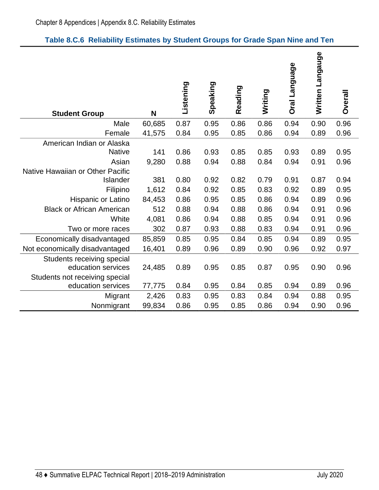| Table 8.C.6 Reliability Estimates by Student Groups for Grade Span Nine and Ten |  |
|---------------------------------------------------------------------------------|--|
|---------------------------------------------------------------------------------|--|

| <b>Student Group</b>                                 | N      | Listening | Speaking | Reading | Writing | Oral Language | Written Langauge | Overall |
|------------------------------------------------------|--------|-----------|----------|---------|---------|---------------|------------------|---------|
| Male                                                 | 60,685 | 0.87      | 0.95     | 0.86    | 0.86    | 0.94          | 0.90             | 0.96    |
| Female                                               | 41,575 | 0.84      | 0.95     | 0.85    | 0.86    | 0.94          | 0.89             | 0.96    |
| American Indian or Alaska                            |        |           |          |         |         |               |                  |         |
| <b>Native</b>                                        | 141    | 0.86      | 0.93     | 0.85    | 0.85    | 0.93          | 0.89             | 0.95    |
| Asian                                                | 9,280  | 0.88      | 0.94     | 0.88    | 0.84    | 0.94          | 0.91             | 0.96    |
| Native Hawaiian or Other Pacific                     |        |           |          |         |         |               |                  |         |
| Islander                                             | 381    | 0.80      | 0.92     | 0.82    | 0.79    | 0.91          | 0.87             | 0.94    |
| Filipino                                             | 1,612  | 0.84      | 0.92     | 0.85    | 0.83    | 0.92          | 0.89             | 0.95    |
| Hispanic or Latino                                   | 84,453 | 0.86      | 0.95     | 0.85    | 0.86    | 0.94          | 0.89             | 0.96    |
| <b>Black or African American</b>                     | 512    | 0.88      | 0.94     | 0.88    | 0.86    | 0.94          | 0.91             | 0.96    |
| White                                                | 4,081  | 0.86      | 0.94     | 0.88    | 0.85    | 0.94          | 0.91             | 0.96    |
| Two or more races                                    | 302    | 0.87      | 0.93     | 0.88    | 0.83    | 0.94          | 0.91             | 0.96    |
| Economically disadvantaged                           | 85,859 | 0.85      | 0.95     | 0.84    | 0.85    | 0.94          | 0.89             | 0.95    |
| Not economically disadvantaged                       | 16,401 | 0.89      | 0.96     | 0.89    | 0.90    | 0.96          | 0.92             | 0.97    |
| Students receiving special<br>education services     | 24,485 | 0.89      | 0.95     | 0.85    | 0.87    | 0.95          | 0.90             | 0.96    |
| Students not receiving special<br>education services | 77,775 | 0.84      | 0.95     | 0.84    | 0.85    | 0.94          | 0.89             | 0.96    |
| Migrant                                              | 2,426  | 0.83      | 0.95     | 0.83    | 0.84    | 0.94          | 0.88             | 0.95    |
| Nonmigrant                                           | 99,834 | 0.86      | 0.95     | 0.85    | 0.86    | 0.94          | 0.90             | 0.96    |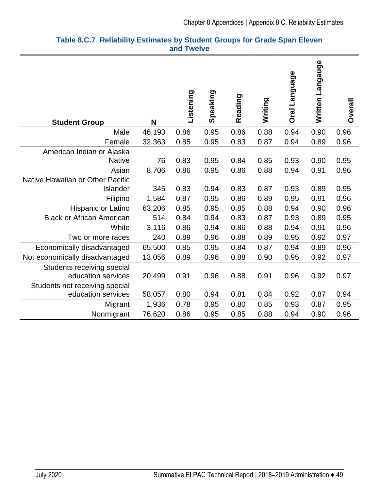| <b>Student Group</b>             | N      | Listening | Speaking | Reading | Writing | Oral Language | Written Langauge | <b>Overall</b> |
|----------------------------------|--------|-----------|----------|---------|---------|---------------|------------------|----------------|
| Male                             | 46,193 | 0.86      | 0.95     | 0.86    | 0.88    | 0.94          | 0.90             | 0.96           |
| Female                           | 32,363 | 0.85      | 0.95     | 0.83    | 0.87    | 0.94          | 0.89             | 0.96           |
| American Indian or Alaska        |        |           |          |         |         |               |                  |                |
| <b>Native</b>                    | 76     | 0.83      | 0.95     | 0.84    | 0.85    | 0.93          | 0.90             | 0.95           |
| Asian                            | 8,706  | 0.86      | 0.95     | 0.86    | 0.88    | 0.94          | 0.91             | 0.96           |
| Native Hawaiian or Other Pacific |        |           |          |         |         |               |                  |                |
| Islander                         | 345    | 0.83      | 0.94     | 0.83    | 0.87    | 0.93          | 0.89             | 0.95           |
| Filipino                         | 1,584  | 0.87      | 0.95     | 0.86    | 0.89    | 0.95          | 0.91             | 0.96           |
| Hispanic or Latino               | 63,206 | 0.85      | 0.95     | 0.85    | 0.88    | 0.94          | 0.90             | 0.96           |
| <b>Black or African American</b> | 514    | 0.84      | 0.94     | 0.83    | 0.87    | 0.93          | 0.89             | 0.95           |
| White                            | 3,116  | 0.86      | 0.94     | 0.86    | 0.88    | 0.94          | 0.91             | 0.96           |
| Two or more races                | 240    | 0.89      | 0.96     | 0.88    | 0.89    | 0.95          | 0.92             | 0.97           |
| Economically disadvantaged       | 65,500 | 0.85      | 0.95     | 0.84    | 0.87    | 0.94          | 0.89             | 0.96           |
| Not economically disadvantaged   | 13,056 | 0.89      | 0.96     | 0.88    | 0.90    | 0.95          | 0.92             | 0.97           |
| Students receiving special       |        |           |          |         |         |               |                  |                |
| education services               | 20,499 | 0.91      | 0.96     | 0.88    | 0.91    | 0.96          | 0.92             | 0.97           |
| Students not receiving special   |        |           |          |         |         |               |                  |                |
| education services               | 58,057 | 0.80      | 0.94     | 0.81    | 0.84    | 0.92          | 0.87             | 0.94           |
| Migrant                          | 1,936  | 0.78      | 0.95     | 0.80    | 0.85    | 0.93          | 0.87             | 0.95           |
| Nonmigrant                       | 76,620 | 0.86      | 0.95     | 0.85    | 0.88    | 0.94          | 0.90             | 0.96           |

#### **Table 8.C.7 Reliability Estimates by Student Groups for Grade Span Eleven and Twelve**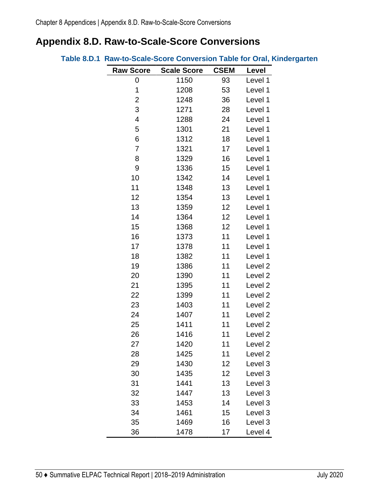# **Appendix 8.D. Raw-to-Scale-Score Conversions**

|                  |                    |             | Table 8.D.1 Raw-to-Scale-Score Conversion Table for Oral, Kindergarten |
|------------------|--------------------|-------------|------------------------------------------------------------------------|
| <b>Raw Score</b> | <b>Scale Score</b> | <b>CSEM</b> | Level                                                                  |
| 0                | 1150               | 93          | Level 1                                                                |
| 1                | 1208               | 53          | Level 1                                                                |
| $\overline{2}$   | 1248               | 36          | Level 1                                                                |
| 3                | 1271               | 28          | Level 1                                                                |
| 4                | 1288               | 24          | Level 1                                                                |
| 5                | 1301               | 21          | Level 1                                                                |
| 6                | 1312               | 18          | Level 1                                                                |
| $\overline{7}$   | 1321               | 17          | Level 1                                                                |
| 8                | 1329               | 16          | Level 1                                                                |
| $\boldsymbol{9}$ | 1336               | 15          | Level 1                                                                |
| 10               | 1342               | 14          | Level 1                                                                |
| 11               | 1348               | 13          | Level 1                                                                |
| 12               | 1354               | 13          | Level 1                                                                |
| 13               | 1359               | 12          | Level 1                                                                |
| 14               | 1364               | 12          | Level 1                                                                |
| 15               | 1368               | 12          | Level 1                                                                |
| 16               | 1373               | 11          | Level 1                                                                |
| 17               | 1378               | 11          | Level 1                                                                |
| 18               | 1382               | 11          | Level 1                                                                |
| 19               | 1386               | 11          | Level <sub>2</sub>                                                     |
| 20               | 1390               | 11          | Level 2                                                                |
| 21               | 1395               | 11          | Level 2                                                                |
| 22               | 1399               | 11          | Level 2                                                                |
| 23               | 1403               | 11          | Level <sub>2</sub>                                                     |
| 24               | 1407               | 11          | Level 2                                                                |
| 25               | 1411               | 11          | Level <sub>2</sub>                                                     |
| 26               | 1416               | 11          | Level 2                                                                |
| 27               | 1420               | 11          | Level 2                                                                |
| 28               | 1425               | 11          | Level 2                                                                |
| 29               | 1430               | 12          | Level 3                                                                |
| 30               | 1435               | 12          | Level 3                                                                |
| 31               | 1441               | 13          | Level 3                                                                |
| 32               | 1447               | 13          | Level 3                                                                |
| 33               | 1453               | 14          | Level 3                                                                |
| 34               | 1461               | 15          | Level 3                                                                |
| 35               | 1469               | 16          | Level 3                                                                |
| 36               | 1478               | 17          | Level 4                                                                |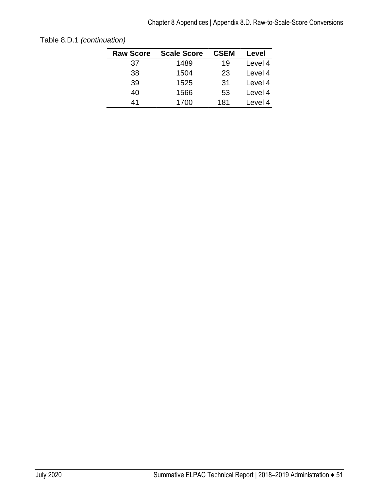| <b>Raw Score</b> | <b>Scale Score</b> | <b>CSEM</b> | Level   |
|------------------|--------------------|-------------|---------|
| 37               | 1489               | 19          | Level 4 |
| 38               | 1504               | 23          | Level 4 |
| 39               | 1525               | 31          | Level 4 |
| 40               | 1566               | 53          | Level 4 |
| 41               | 1700               | 181         | Level 4 |
|                  |                    |             |         |

Table 8.D.1 *(continuation)*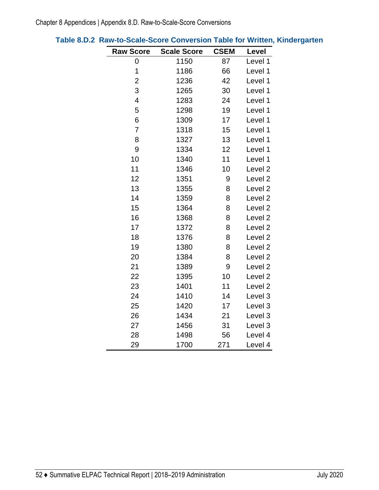| <b>Raw Score</b>        | <b>Scale Score</b> | <b>CSEM</b> | Level              |
|-------------------------|--------------------|-------------|--------------------|
| 0                       | 1150               | 87          | Level 1            |
| 1                       | 1186               | 66          | Level 1            |
| $\overline{2}$          | 1236               | 42          | Level 1            |
| 3                       | 1265               | 30          | Level 1            |
| $\overline{\mathbf{4}}$ | 1283               | 24          | Level 1            |
| 5                       | 1298               | 19          | Level 1            |
| 6                       | 1309               | 17          | Level 1            |
| $\overline{7}$          | 1318               | 15          | Level 1            |
| 8                       | 1327               | 13          | Level 1            |
| 9                       | 1334               | 12          | Level 1            |
| 10                      | 1340               | 11          | Level 1            |
| 11                      | 1346               | 10          | Level <sub>2</sub> |
| 12                      | 1351               | 9           | Level <sub>2</sub> |
| 13                      | 1355               | 8           | Level <sub>2</sub> |
| 14                      | 1359               | 8           | Level 2            |
| 15                      | 1364               | 8           | Level <sub>2</sub> |
| 16                      | 1368               | 8           | Level <sub>2</sub> |
| 17                      | 1372               | 8           | Level <sub>2</sub> |
| 18                      | 1376               | 8           | Level <sub>2</sub> |
| 19                      | 1380               | 8           | Level <sub>2</sub> |
| 20                      | 1384               | 8           | Level <sub>2</sub> |
| 21                      | 1389               | 9           | Level <sub>2</sub> |
| 22                      | 1395               | 10          | Level <sub>2</sub> |
| 23                      | 1401               | 11          | Level <sub>2</sub> |
| 24                      | 1410               | 14          | Level 3            |
| 25                      | 1420               | 17          | Level 3            |
| 26                      | 1434               | 21          | Level 3            |
| 27                      | 1456               | 31          | Level 3            |
| 28                      | 1498               | 56          | Level 4            |
| 29                      | 1700               | 271         | Level 4            |

# **Table 8.D.2 Raw-to-Scale-Score Conversion Table for Written, Kindergarten**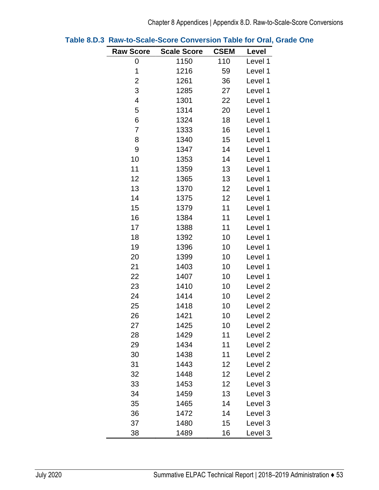| <b>Raw Score</b>        | <b>Scale Score</b> | <b>CSEM</b> | Level              |
|-------------------------|--------------------|-------------|--------------------|
| 0                       | 1150               | 110         | Level 1            |
| 1                       | 1216               | 59          | Level 1            |
| $\overline{c}$          | 1261               | 36          | Level 1            |
| 3                       | 1285               | 27          | Level 1            |
| $\overline{\mathbf{4}}$ | 1301               | 22          | Level 1            |
| 5                       | 1314               | 20          | Level 1            |
| 6                       | 1324               | 18          | Level 1            |
| 7                       | 1333               | 16          | Level 1            |
| 8                       | 1340               | 15          | Level 1            |
| 9                       | 1347               | 14          | Level 1            |
| 10                      | 1353               | 14          | Level 1            |
| 11                      | 1359               | 13          | Level 1            |
| 12                      | 1365               | 13          | Level 1            |
| 13                      | 1370               | 12          | Level 1            |
| 14                      | 1375               | 12          | Level 1            |
| 15                      | 1379               | 11          | Level 1            |
| 16                      | 1384               | 11          | Level 1            |
| 17                      | 1388               | 11          | Level 1            |
| 18                      | 1392               | 10          | Level 1            |
| 19                      | 1396               | 10          | Level 1            |
| 20                      | 1399               | 10          | Level 1            |
| 21                      | 1403               | 10          | Level 1            |
| 22                      | 1407               | 10          | Level 1            |
| 23                      | 1410               | 10          | Level <sub>2</sub> |
| 24                      | 1414               | 10          | Level <sub>2</sub> |
| 25                      | 1418               | 10          | Level <sub>2</sub> |
| 26                      | 1421               | 10          | Level <sub>2</sub> |
| 27                      | 1425               | 10          | Level 2            |
| 28                      | 1429               | 11          | Level <sub>2</sub> |
| 29                      | 1434               | 11          | Level <sub>2</sub> |
| 30                      | 1438               | 11          | Level <sub>2</sub> |
| 31                      | 1443               | 12          | Level 2            |
| 32                      | 1448               | 12          | Level <sub>2</sub> |
| 33                      | 1453               | 12          | Level 3            |
| 34                      | 1459               | 13          | Level 3            |
| 35                      | 1465               | 14          | Level 3            |
| 36                      | 1472               | 14          | Level 3            |
| 37                      | 1480               | 15          | Level 3            |
| 38                      | 1489               | 16          | Level 3            |

|  | Table 8.D.3 Raw-to-Scale-Score Conversion Table for Oral, Grade One |  |  |  |  |
|--|---------------------------------------------------------------------|--|--|--|--|
|--|---------------------------------------------------------------------|--|--|--|--|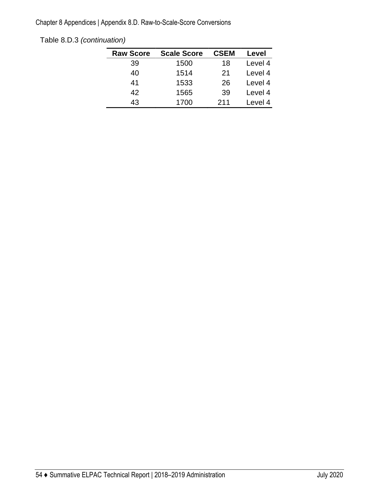Chapter 8 Appendices | Appendix 8.D. Raw-to-Scale-Score Conversions

| Table 8.D.3 (continuation) |
|----------------------------|
|                            |

| <b>Raw Score</b> | <b>Scale Score</b> | <b>CSEM</b> | Level   |
|------------------|--------------------|-------------|---------|
| 39               | 1500               | 18          | Level 4 |
| 40               | 1514               | 21          | Level 4 |
| 41               | 1533               | 26          | Level 4 |
| 42               | 1565               | 39          | Level 4 |
| 43               | 1700               | 211         | Level 4 |
|                  |                    |             |         |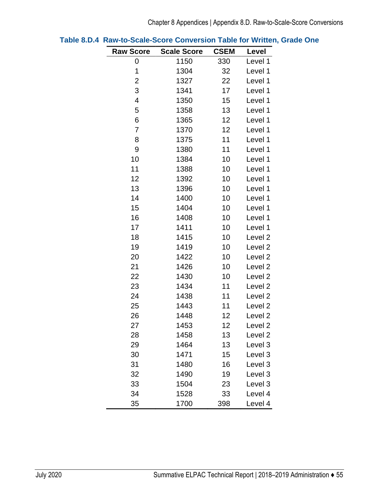| <b>Raw Score</b> | <b>Scale Score</b> | <b>CSEM</b> | Level              |
|------------------|--------------------|-------------|--------------------|
| 0                | 1150               | 330         | Level 1            |
| 1                | 1304               | 32          | Level 1            |
| 2                | 1327               | 22          | Level 1            |
| 3                | 1341               | 17          | Level 1            |
| 4                | 1350               | 15          | Level 1            |
| 5                | 1358               | 13          | Level 1            |
| 6                | 1365               | 12          | Level 1            |
| 7                | 1370               | 12          | Level 1            |
| 8                | 1375               | 11          | Level 1            |
| 9                | 1380               | 11          | Level 1            |
| 10               | 1384               | 10          | Level 1            |
| 11               | 1388               | 10          | Level 1            |
| 12               | 1392               | 10          | Level 1            |
| 13               | 1396               | 10          | Level 1            |
| 14               | 1400               | 10          | Level 1            |
| 15               | 1404               | 10          | Level 1            |
| 16               | 1408               | 10          | Level 1            |
| 17               | 1411               | 10          | Level 1            |
| 18               | 1415               | 10          | Level <sub>2</sub> |
| 19               | 1419               | 10          | Level <sub>2</sub> |
| 20               | 1422               | 10          | Level <sub>2</sub> |
| 21               | 1426               | 10          | Level <sub>2</sub> |
| 22               | 1430               | 10          | Level <sub>2</sub> |
| 23               | 1434               | 11          | Level <sub>2</sub> |
| 24               | 1438               | 11          | Level <sub>2</sub> |
| 25               | 1443               | 11          | Level <sub>2</sub> |
| 26               | 1448               | 12          | Level 2            |
| 27               | 1453               | 12          | Level <sub>2</sub> |
| 28               | 1458               | 13          | Level <sub>2</sub> |
| 29               | 1464               | 13          | Level 3            |
| 30               | 1471               | 15          | Level 3            |
| 31               | 1480               | 16          | Level 3            |
| 32               | 1490               | 19          | Level 3            |
| 33               | 1504               | 23          | Level 3            |
| 34               | 1528               | 33          | Level 4            |
| 35               | 1700               | 398         | Level 4            |

|  | Table 8.D.4 Raw-to-Scale-Score Conversion Table for Written, Grade One |  |  |  |
|--|------------------------------------------------------------------------|--|--|--|
|--|------------------------------------------------------------------------|--|--|--|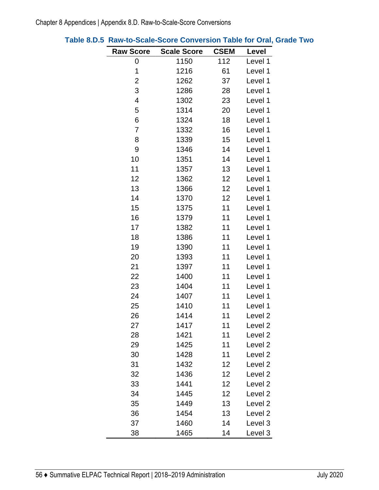| <b>Raw Score</b> | <b>Scale Score</b> | <b>CSEM</b> | Level              |
|------------------|--------------------|-------------|--------------------|
| 0                | 1150               | 112         | Level 1            |
| 1                | 1216               | 61          | Level 1            |
| $\overline{c}$   | 1262               | 37          | Level 1            |
| 3                | 1286               | 28          | Level 1            |
| 4                | 1302               | 23          | Level 1            |
| 5                | 1314               | 20          | Level 1            |
| 6                | 1324               | 18          | Level 1            |
| 7                | 1332               | 16          | Level 1            |
| 8                | 1339               | 15          | Level 1            |
| 9                | 1346               | 14          | Level 1            |
| 10               | 1351               | 14          | Level 1            |
| 11               | 1357               | 13          | Level 1            |
| 12               | 1362               | 12          | Level 1            |
| 13               | 1366               | 12          | Level 1            |
| 14               | 1370               | 12          | Level 1            |
| 15               | 1375               | 11          | Level 1            |
| 16               | 1379               | 11          | Level 1            |
| 17               | 1382               | 11          | Level 1            |
| 18               | 1386               | 11          | Level 1            |
| 19               | 1390               | 11          | Level 1            |
| 20               | 1393               | 11          | Level 1            |
| 21               | 1397               | 11          | Level 1            |
| 22               | 1400               | 11          | Level 1            |
| 23               | 1404               | 11          | Level 1            |
| 24               | 1407               | 11          | Level 1            |
| 25               | 1410               | 11          | Level 1            |
| 26               | 1414               | 11          | Level <sub>2</sub> |
| 27               | 1417               | 11          | Level <sub>2</sub> |
| 28               | 1421               | 11          | Level <sub>2</sub> |
| 29               | 1425               | 11          | Level <sub>2</sub> |
| 30               | 1428               | 11          | Level <sub>2</sub> |
| 31               | 1432               | 12          | Level <sub>2</sub> |
| 32               | 1436               | 12          | Level 2            |
| 33               | 1441               | 12          | Level <sub>2</sub> |
| 34               | 1445               | 12          | Level <sub>2</sub> |
| 35               | 1449               | 13          | Level 2            |
| 36               | 1454               | 13          | Level <sub>2</sub> |
| 37               | 1460               | 14          | Level 3            |
| 38               | 1465               | 14          | Level 3            |

## **Table 8.D.5 Raw-to-Scale-Score Conversion Table for Oral, Grade Two**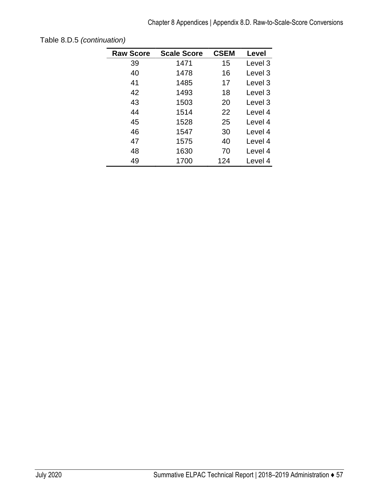| <b>Raw Score</b> | <b>Scale Score</b> | <b>CSEM</b> | Level   |
|------------------|--------------------|-------------|---------|
| 39               | 1471               | 15          | Level 3 |
| 40               | 1478               | 16          | Level 3 |
| 41               | 1485               | 17          | Level 3 |
| 42               | 1493               | 18          | Level 3 |
| 43               | 1503               | 20          | Level 3 |
| 44               | 1514               | 22          | Level 4 |
| 45               | 1528               | 25          | Level 4 |
| 46               | 1547               | 30          | Level 4 |
| 47               | 1575               | 40          | Level 4 |
| 48               | 1630               | 70          | Level 4 |
| 49               | 1700               | 124         | Level 4 |

Table 8.D.5 *(continuation)*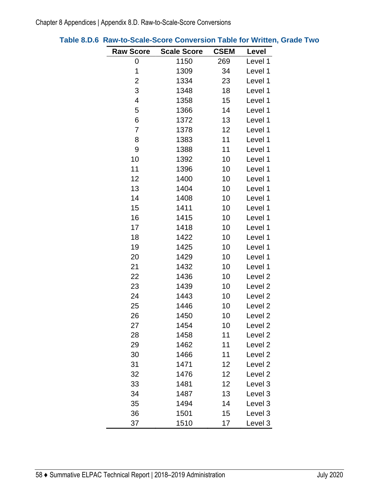| <b>Raw Score</b>        | <b>Scale Score</b> | <b>CSEM</b> | Level              |
|-------------------------|--------------------|-------------|--------------------|
| 0                       | 1150               | 269         | Level 1            |
| 1                       | 1309               | 34          | Level 1            |
| 2                       | 1334               | 23          | Level 1            |
| 3                       | 1348               | 18          | Level 1            |
| $\overline{\mathbf{4}}$ | 1358               | 15          | Level 1            |
| 5                       | 1366               | 14          | Level 1            |
| 6                       | 1372               | 13          | Level 1            |
| 7                       | 1378               | 12          | Level 1            |
| 8                       | 1383               | 11          | Level 1            |
| 9                       | 1388               | 11          | Level 1            |
| 10                      | 1392               | 10          | Level 1            |
| 11                      | 1396               | 10          | Level 1            |
| 12                      | 1400               | 10          | Level 1            |
| 13                      | 1404               | 10          | Level 1            |
| 14                      | 1408               | 10          | Level 1            |
| 15                      | 1411               | 10          | Level 1            |
| 16                      | 1415               | 10          | Level 1            |
| 17                      | 1418               | 10          | Level 1            |
| 18                      | 1422               | 10          | Level 1            |
| 19                      | 1425               | 10          | Level 1            |
| 20                      | 1429               | 10          | Level 1            |
| 21                      | 1432               | 10          | Level 1            |
| 22                      | 1436               | 10          | Level <sub>2</sub> |
| 23                      | 1439               | 10          | Level <sub>2</sub> |
| 24                      | 1443               | 10          | Level <sub>2</sub> |
| 25                      | 1446               | 10          | Level <sub>2</sub> |
| 26                      | 1450               | 10          | Level <sub>2</sub> |
| 27                      | 1454               | 10          | Level <sub>2</sub> |
| 28                      | 1458               | 11          | Level <sub>2</sub> |
| 29                      | 1462               | 11          | Level <sub>2</sub> |
| 30                      | 1466               | 11          | Level <sub>2</sub> |
| 31                      | 1471               | 12          | Level <sub>2</sub> |
| 32                      | 1476               | 12          | Level <sub>2</sub> |
| 33                      | 1481               | 12          | Level 3            |
| 34                      | 1487               | 13          | Level 3            |
| 35                      | 1494               | 14          | Level 3            |
| 36                      | 1501               | 15          | Level 3            |
| 37                      | 1510               | 17          | Level 3            |

# **Table 8.D.6 Raw-to-Scale-Score Conversion Table for Written, Grade Two**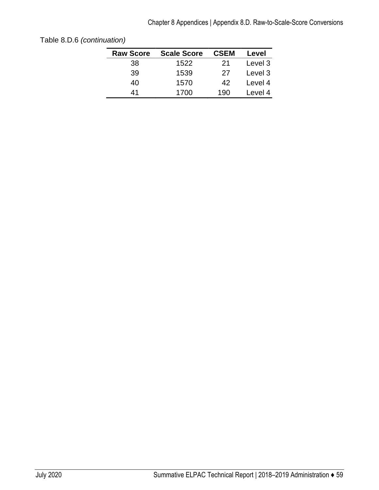| <b>Raw Score</b> | <b>Scale Score</b> | <b>CSEM</b> | Level   |
|------------------|--------------------|-------------|---------|
| 38               | 1522               | 21          | Level 3 |
| 39               | 1539               | 27          | Level 3 |
| 40               | 1570               | 42          | Level 4 |
| 41               | 1700               | 190         | Level 4 |

Table 8.D.6 *(continuation)*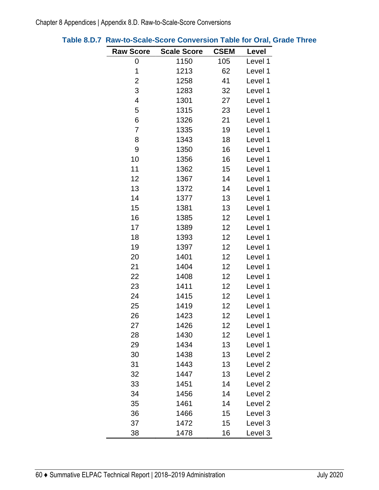| <b>Raw Score</b> | <b>Scale Score</b> | <b>CSEM</b> | Level              |
|------------------|--------------------|-------------|--------------------|
| 0                | 1150               | 105         | Level 1            |
| 1                | 1213               | 62          | Level 1            |
| $\overline{c}$   | 1258               | 41          | Level 1            |
| 3                | 1283               | 32          | Level 1            |
| 4                | 1301               | 27          | Level 1            |
| 5                | 1315               | 23          | Level 1            |
| 6                | 1326               | 21          | Level 1            |
| 7                | 1335               | 19          | Level 1            |
| 8                | 1343               | 18          | Level 1            |
| 9                | 1350               | 16          | Level 1            |
| 10               | 1356               | 16          | Level 1            |
| 11               | 1362               | 15          | Level 1            |
| 12               | 1367               | 14          | Level 1            |
| 13               | 1372               | 14          | Level 1            |
| 14               | 1377               | 13          | Level 1            |
| 15               | 1381               | 13          | Level 1            |
| 16               | 1385               | 12          | Level 1            |
| 17               | 1389               | 12          | Level 1            |
| 18               | 1393               | 12          | Level 1            |
| 19               | 1397               | 12          | Level 1            |
| 20               | 1401               | 12          | Level 1            |
| 21               | 1404               | 12          | Level 1            |
| 22               | 1408               | 12          | Level 1            |
| 23               | 1411               | 12          | Level 1            |
| 24               | 1415               | 12          | Level 1            |
| 25               | 1419               | 12          | Level 1            |
| 26               | 1423               | 12          | Level 1            |
| 27               | 1426               | 12          | Level 1            |
| 28               | 1430               | 12          | Level 1            |
| 29               | 1434               | 13          | Level 1            |
| 30               | 1438               | 13          | Level 2            |
| 31               | 1443               | 13          | Level 2            |
| 32               | 1447               | 13          | Level 2            |
| 33               | 1451               | 14          | Level <sub>2</sub> |
| 34               | 1456               | 14          | Level 2            |
| 35               | 1461               | 14          | Level 2            |
| 36               | 1466               | 15          | Level 3            |
| 37               | 1472               | 15          | Level 3            |
| 38               | 1478               | 16          | Level 3            |

| Table 8.D.7 Raw-to-Scale-Score Conversion Table for Oral, Grade Three |
|-----------------------------------------------------------------------|
|-----------------------------------------------------------------------|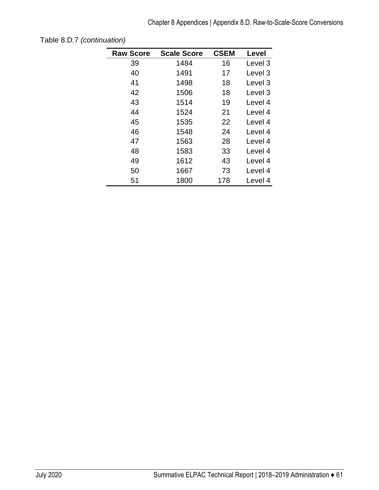| <b>Raw Score</b> | <b>Scale Score</b> | <b>CSEM</b> | Level   |
|------------------|--------------------|-------------|---------|
| 39               | 1484               | 16          | Level 3 |
| 40               | 1491               | 17          | Level 3 |
| 41               | 1498               | 18          | Level 3 |
| 42               | 1506               | 18          | Level 3 |
| 43               | 1514               | 19          | Level 4 |
| 44               | 1524               | 21          | Level 4 |
| 45               | 1535               | 22          | Level 4 |
| 46               | 1548               | 24          | Level 4 |
| 47               | 1563               | 28          | Level 4 |
| 48               | 1583               | 33          | Level 4 |
| 49               | 1612               | 43          | Level 4 |
| 50               | 1667               | 73          | Level 4 |
| 51               | 1800               | 178         | Level 4 |

Table 8.D.7 *(continuation)*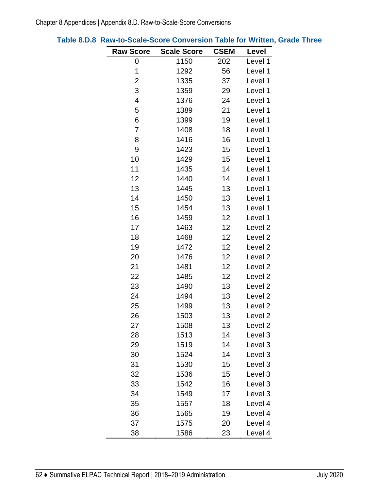| <b>Raw Score</b> | <b>Scale Score</b> | <b>CSEM</b> | Level              |
|------------------|--------------------|-------------|--------------------|
| 0                | 1150               | 202         | Level 1            |
| 1                | 1292               | 56          | Level 1            |
| $\overline{2}$   | 1335               | 37          | Level 1            |
| 3                | 1359               | 29          | Level 1            |
| 4                | 1376               | 24          | Level 1            |
| 5                | 1389               | 21          | Level 1            |
| 6                | 1399               | 19          | Level 1            |
| 7                | 1408               | 18          | Level 1            |
| 8                | 1416               | 16          | Level 1            |
| 9                | 1423               | 15          | Level 1            |
| 10               | 1429               | 15          | Level 1            |
| 11               | 1435               | 14          | Level 1            |
| 12               | 1440               | 14          | Level 1            |
| 13               | 1445               | 13          | Level 1            |
| 14               | 1450               | 13          | Level 1            |
| 15               | 1454               | 13          | Level 1            |
| 16               | 1459               | 12          | Level 1            |
| 17               | 1463               | 12          | Level <sub>2</sub> |
| 18               | 1468               | 12          | Level <sub>2</sub> |
| 19               | 1472               | 12          | Level <sub>2</sub> |
| 20               | 1476               | 12          | Level <sub>2</sub> |
| 21               | 1481               | 12          | Level <sub>2</sub> |
| 22               | 1485               | 12          | Level <sub>2</sub> |
| 23               | 1490               | 13          | Level <sub>2</sub> |
| 24               | 1494               | 13          | Level <sub>2</sub> |
| 25               | 1499               | 13          | Level <sub>2</sub> |
| 26               | 1503               | 13          | Level <sub>2</sub> |
| 27               | 1508               | 13          | Level <sub>2</sub> |
| 28               | 1513               | 14          | Level 3            |
| 29               | 1519               | 14          | Level 3            |
| 30               | 1524               | 14          | Level 3            |
| 31               | 1530               | 15          | Level 3            |
| 32               | 1536               | 15          | Level 3            |
| 33               | 1542               | 16          | Level 3            |
| 34               | 1549               | 17          | Level 3            |
| 35               | 1557               | 18          | Level 4            |
| 36               | 1565               | 19          | Level 4            |
| 37               | 1575               | 20          | Level 4            |
| 38               | 1586               | 23          | Level 4            |

# **Table 8.D.8 Raw-to-Scale-Score Conversion Table for Written, Grade Three**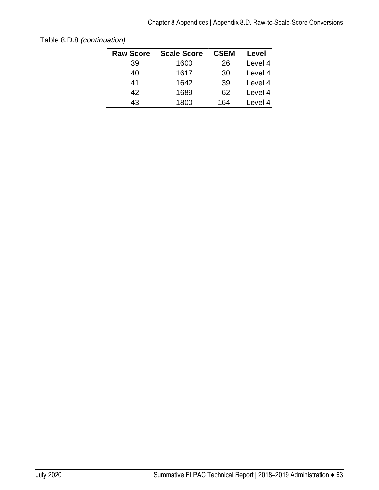| <b>Raw Score</b> | <b>Scale Score</b> | <b>CSEM</b> | Level   |
|------------------|--------------------|-------------|---------|
| 39               | 1600               | 26          | Level 4 |
| 40               | 1617               | 30          | Level 4 |
| 41               | 1642               | 39          | Level 4 |
| 42               | 1689               | 62          | Level 4 |
| 43               | 1800               | 164         | Level 4 |

Table 8.D.8 *(continuation)*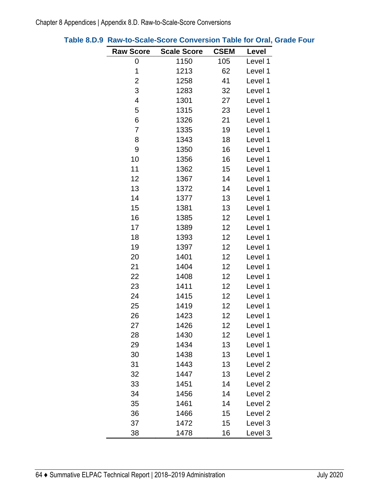| <b>Raw Score</b> | <b>Scale Score</b> | <b>CSEM</b> | Level              |
|------------------|--------------------|-------------|--------------------|
| 0                | 1150               | 105         | Level 1            |
| 1                | 1213               | 62          | Level 1            |
| 2                | 1258               | 41          | Level 1            |
| 3                | 1283               | 32          | Level 1            |
| 4                | 1301               | 27          | Level 1            |
| 5                | 1315               | 23          | Level 1            |
| 6                | 1326               | 21          | Level 1            |
| 7                | 1335               | 19          | Level 1            |
| 8                | 1343               | 18          | Level 1            |
| 9                | 1350               | 16          | Level 1            |
| 10               | 1356               | 16          | Level 1            |
| 11               | 1362               | 15          | Level 1            |
| 12               | 1367               | 14          | Level 1            |
| 13               | 1372               | 14          | Level 1            |
| 14               | 1377               | 13          | Level 1            |
| 15               | 1381               | 13          | Level 1            |
| 16               | 1385               | 12          | Level 1            |
| 17               | 1389               | 12          | Level 1            |
| 18               | 1393               | 12          | Level 1            |
| 19               | 1397               | 12          | Level 1            |
| 20               | 1401               | 12          | Level 1            |
| 21               | 1404               | 12          | Level 1            |
| 22               | 1408               | 12          | Level 1            |
| 23               | 1411               | 12          | Level 1            |
| 24               | 1415               | 12          | Level 1            |
| 25               | 1419               | 12          | Level 1            |
| 26               | 1423               | 12          | Level 1            |
| 27               | 1426               | 12          | Level 1            |
| 28               | 1430               | 12          | Level 1            |
| 29               | 1434               | 13          | Level 1            |
| 30               | 1438               | 13          | Level 1            |
| 31               | 1443               | 13          | Level <sub>2</sub> |
| 32               | 1447               | 13          | Level <sub>2</sub> |
| 33               | 1451               | 14          | Level <sub>2</sub> |
| 34               | 1456               | 14          | Level <sub>2</sub> |
| 35               | 1461               | 14          | Level <sub>2</sub> |
| 36               | 1466               | 15          | Level <sub>2</sub> |
| 37               | 1472               | 15          | Level 3            |
| 38               | 1478               | 16          | Level 3            |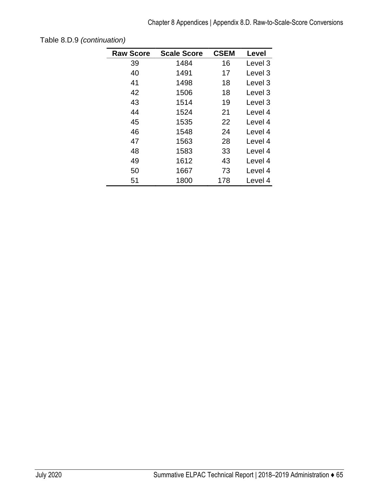| <b>Raw Score</b> | <b>Scale Score</b> | <b>CSEM</b> | Level   |
|------------------|--------------------|-------------|---------|
| 39               | 1484               | 16          | Level 3 |
| 40               | 1491               | 17          | Level 3 |
| 41               | 1498               | 18          | Level 3 |
| 42               | 1506               | 18          | Level 3 |
| 43               | 1514               | 19          | Level 3 |
| 44               | 1524               | 21          | Level 4 |
| 45               | 1535               | 22          | Level 4 |
| 46               | 1548               | 24          | Level 4 |
| 47               | 1563               | 28          | Level 4 |
| 48               | 1583               | 33          | Level 4 |
| 49               | 1612               | 43          | Level 4 |
| 50               | 1667               | 73          | Level 4 |
| 51               | 1800               | 178         | Level 4 |

Table 8.D.9 *(continuation)*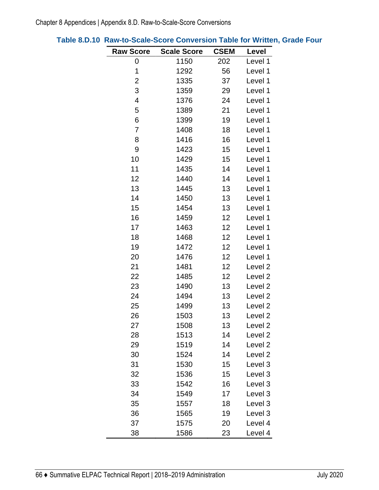| <b>Raw Score</b> | <b>Scale Score</b> | <b>CSEM</b> | Level              |
|------------------|--------------------|-------------|--------------------|
| 0                | 1150               | 202         | Level 1            |
| 1                | 1292               | 56          | Level 1            |
| $\overline{c}$   | 1335               | 37          | Level 1            |
| 3                | 1359               | 29          | Level 1            |
| 4                | 1376               | 24          | Level 1            |
| 5                | 1389               | 21          | Level 1            |
| 6                | 1399               | 19          | Level 1            |
| 7                | 1408               | 18          | Level 1            |
| 8                | 1416               | 16          | Level 1            |
| 9                | 1423               | 15          | Level 1            |
| 10               | 1429               | 15          | Level 1            |
| 11               | 1435               | 14          | Level 1            |
| 12               | 1440               | 14          | Level 1            |
| 13               | 1445               | 13          | Level 1            |
| 14               | 1450               | 13          | Level 1            |
| 15               | 1454               | 13          | Level 1            |
| 16               | 1459               | 12          | Level 1            |
| 17               | 1463               | 12          | Level 1            |
| 18               | 1468               | 12          | Level 1            |
| 19               | 1472               | 12          | Level 1            |
| 20               | 1476               | 12          | Level 1            |
| 21               | 1481               | 12          | Level <sub>2</sub> |
| 22               | 1485               | 12          | Level <sub>2</sub> |
| 23               | 1490               | 13          | Level <sub>2</sub> |
| 24               | 1494               | 13          | Level <sub>2</sub> |
| 25               | 1499               | 13          | Level <sub>2</sub> |
| 26               | 1503               | 13          | Level <sub>2</sub> |
| 27               | 1508               | 13          | Level <sub>2</sub> |
| 28               | 1513               | 14          | Level <sub>2</sub> |
| 29               | 1519               | 14          | Level <sub>2</sub> |
| 30               | 1524               | 14          | Level <sub>2</sub> |
| 31               | 1530               | 15          | Level 3            |
| 32               | 1536               | 15          | Level 3            |
| 33               | 1542               | 16          | Level 3            |
| 34               | 1549               | 17          | Level 3            |
| 35               | 1557               | 18          | Level 3            |
| 36               | 1565               | 19          | Level 3            |
| 37               | 1575               | 20          | Level 4            |
| 38               | 1586               | 23          | Level 4            |

| Table 8.D.10 Raw-to-Scale-Score Conversion Table for Written, Grade Four |  |
|--------------------------------------------------------------------------|--|
|--------------------------------------------------------------------------|--|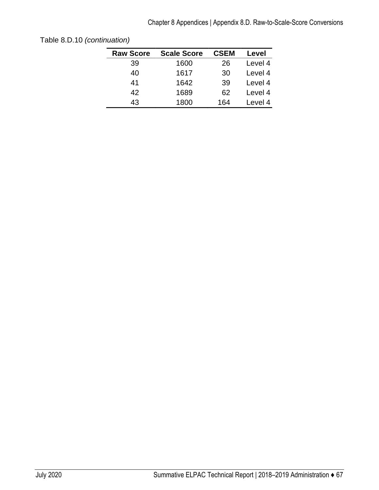| <b>Raw Score</b> | <b>Scale Score</b> | <b>CSEM</b> | Level   |
|------------------|--------------------|-------------|---------|
| 39               | 1600               | 26          | Level 4 |
| 40               | 1617               | 30          | Level 4 |
| 41               | 1642               | 39          | Level 4 |
| 42               | 1689               | 62          | Level 4 |
| 43               | 1800               | 164         | Level 4 |
|                  |                    |             |         |

Table 8.D.10 *(continuation)*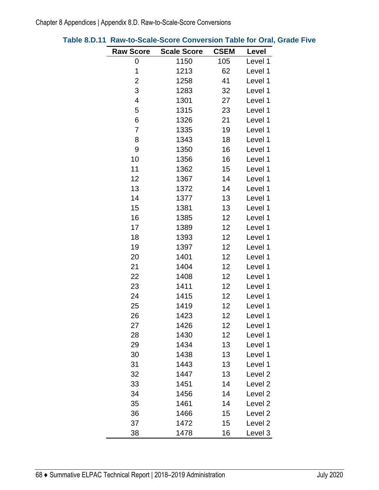| <b>Raw Score</b> | <b>Scale Score</b> | <b>CSEM</b> | Level              |
|------------------|--------------------|-------------|--------------------|
| 0                | 1150               | 105         | Level 1            |
| 1                | 1213               | 62          | Level 1            |
| $\overline{2}$   | 1258               | 41          | Level 1            |
| 3                | 1283               | 32          | Level 1            |
| $\overline{4}$   | 1301               | 27          | Level 1            |
| 5                | 1315               | 23          | Level 1            |
| 6                | 1326               | 21          | Level 1            |
| 7                | 1335               | 19          | Level 1            |
| 8                | 1343               | 18          | Level 1            |
| 9                | 1350               | 16          | Level 1            |
| 10               | 1356               | 16          | Level 1            |
| 11               | 1362               | 15          | Level 1            |
| 12               | 1367               | 14          | Level 1            |
| 13               | 1372               | 14          | Level 1            |
| 14               | 1377               | 13          | Level 1            |
| 15               | 1381               | 13          | Level 1            |
| 16               | 1385               | 12          | Level 1            |
| 17               | 1389               | 12          | Level 1            |
| 18               | 1393               | 12          | Level 1            |
| 19               | 1397               | 12          | Level 1            |
| 20               | 1401               | 12          | Level 1            |
| 21               | 1404               | 12          | Level 1            |
| 22               | 1408               | 12          | Level 1            |
| 23               | 1411               | 12          | Level 1            |
| 24               | 1415               | 12          | Level 1            |
| 25               | 1419               | 12          | Level 1            |
| 26               | 1423               | 12          | Level 1            |
| 27               | 1426               | 12          | Level 1            |
| 28               | 1430               | 12          | Level 1            |
| 29               | 1434               | 13          | Level 1            |
| 30               | 1438               | 13          | Level 1            |
| 31               | 1443               | 13          | Level 1            |
| 32               | 1447               | 13          | Level <sub>2</sub> |
| 33               | 1451               | 14          | Level <sub>2</sub> |
| 34               | 1456               | 14          | Level <sub>2</sub> |
| 35               | 1461               | 14          | Level <sub>2</sub> |
| 36               | 1466               | 15          | Level <sub>2</sub> |
| 37               | 1472               | 15          | Level <sub>2</sub> |
| 38               | 1478               | 16          | Level 3            |

# **Table 8.D.11 Raw-to-Scale-Score Conversion Table for Oral, Grade Five**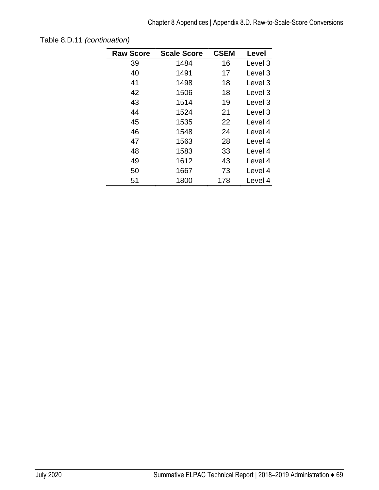| <b>Raw Score</b> | <b>Scale Score</b> | <b>CSEM</b> | Level   |
|------------------|--------------------|-------------|---------|
| 39               | 1484               | 16          | Level 3 |
| 40               | 1491               | 17          | Level 3 |
| 41               | 1498               | 18          | Level 3 |
| 42               | 1506               | 18          | Level 3 |
| 43               | 1514               | 19          | Level 3 |
| 44               | 1524               | 21          | Level 3 |
| 45               | 1535               | 22          | Level 4 |
| 46               | 1548               | 24          | Level 4 |
| 47               | 1563               | 28          | Level 4 |
| 48               | 1583               | 33          | Level 4 |
| 49               | 1612               | 43          | Level 4 |
| 50               | 1667               | 73          | Level 4 |
| 51               | 1800               | 178         | Level 4 |

Table 8.D.11 *(continuation)*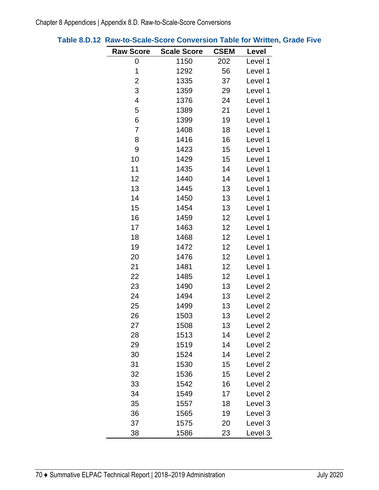| <b>Raw Score</b> | <b>Scale Score</b> | <b>CSEM</b> | Level              |
|------------------|--------------------|-------------|--------------------|
| 0                | 1150               | 202         | Level 1            |
| 1                | 1292               | 56          | Level 1            |
| $\overline{c}$   | 1335               | 37          | Level 1            |
| 3                | 1359               | 29          | Level 1            |
| 4                | 1376               | 24          | Level 1            |
| 5                | 1389               | 21          | Level 1            |
| 6                | 1399               | 19          | Level 1            |
| 7                | 1408               | 18          | Level 1            |
| 8                | 1416               | 16          | Level 1            |
| 9                | 1423               | 15          | Level 1            |
| 10               | 1429               | 15          | Level 1            |
| 11               | 1435               | 14          | Level 1            |
| 12               | 1440               | 14          | Level 1            |
| 13               | 1445               | 13          | Level 1            |
| 14               | 1450               | 13          | Level 1            |
| 15               | 1454               | 13          | Level 1            |
| 16               | 1459               | 12          | Level 1            |
| 17               | 1463               | 12          | Level 1            |
| 18               | 1468               | 12          | Level 1            |
| 19               | 1472               | 12          | Level 1            |
| 20               | 1476               | 12          | Level 1            |
| 21               | 1481               | 12          | Level 1            |
| 22               | 1485               | 12          | Level 1            |
| 23               | 1490               | 13          | Level <sub>2</sub> |
| 24               | 1494               | 13          | Level <sub>2</sub> |
| 25               | 1499               | 13          | Level <sub>2</sub> |
| 26               | 1503               | 13          | Level <sub>2</sub> |
| 27               | 1508               | 13          | Level <sub>2</sub> |
| 28               | 1513               | 14          | Level <sub>2</sub> |
| 29               | 1519               | 14          | Level 2            |
| 30               | 1524               | 14          | Level <sub>2</sub> |
| 31               | 1530               | 15          | Level <sub>2</sub> |
| 32               | 1536               | 15          | Level 2            |
| 33               | 1542               | 16          | Level <sub>2</sub> |
| 34               | 1549               | 17          | Level <sub>2</sub> |
| 35               | 1557               | 18          | Level 3            |
| 36               | 1565               | 19          | Level 3            |
| 37               | 1575               | 20          | Level 3            |
| 38               | 1586               | 23          | Level 3            |

# **Table 8.D.12 Raw-to-Scale-Score Conversion Table for Written, Grade Five**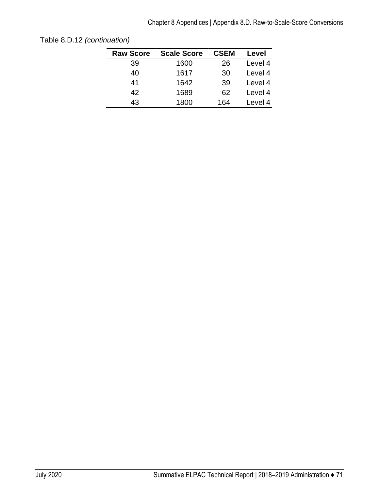| <b>Raw Score</b> | <b>Scale Score</b> | <b>CSEM</b> | Level   |
|------------------|--------------------|-------------|---------|
| 39               | 1600               | 26          | Level 4 |
| 40               | 1617               | 30          | Level 4 |
| 41               | 1642               | 39          | Level 4 |
| 42               | 1689               | 62          | Level 4 |
| 43               | 1800               | 164         | Level 4 |
|                  |                    |             |         |

Table 8.D.12 *(continuation)*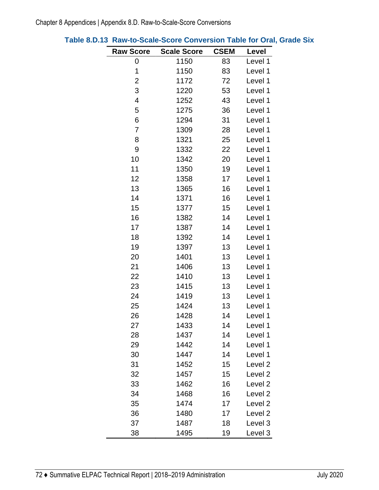| <b>Raw Score</b> | <b>Scale Score</b> | <b>CSEM</b> | Level              |
|------------------|--------------------|-------------|--------------------|
| 0                | 1150               | 83          | Level 1            |
| 1                | 1150               | 83          | Level 1            |
| 2                | 1172               | 72          | Level 1            |
| 3                | 1220               | 53          | Level 1            |
| 4                | 1252               | 43          | Level 1            |
| 5                | 1275               | 36          | Level 1            |
| 6                | 1294               | 31          | Level 1            |
| 7                | 1309               | 28          | Level 1            |
| 8                | 1321               | 25          | Level 1            |
| 9                | 1332               | 22          | Level 1            |
| 10               | 1342               | 20          | Level 1            |
| 11               | 1350               | 19          | Level 1            |
| 12               | 1358               | 17          | Level 1            |
| 13               | 1365               | 16          | Level 1            |
| 14               | 1371               | 16          | Level 1            |
| 15               | 1377               | 15          | Level 1            |
| 16               | 1382               | 14          | Level 1            |
| 17               | 1387               | 14          | Level 1            |
| 18               | 1392               | 14          | Level 1            |
| 19               | 1397               | 13          | Level 1            |
| 20               | 1401               | 13          | Level 1            |
| 21               | 1406               | 13          | Level 1            |
| 22               | 1410               | 13          | Level 1            |
| 23               | 1415               | 13          | Level 1            |
| 24               | 1419               | 13          | Level 1            |
| 25               | 1424               | 13          | Level 1            |
| 26               | 1428               | 14          | Level 1            |
| 27               | 1433               | 14          | Level 1            |
| 28               | 1437               | 14          | Level 1            |
| 29               | 1442               | 14          | Level 1            |
| 30               | 1447               | 14          | Level 1            |
| 31               | 1452               | 15          | Level <sub>2</sub> |
| 32               | 1457               | 15          | Level <sub>2</sub> |
| 33               | 1462               | 16          | Level <sub>2</sub> |
| 34               | 1468               | 16          | Level <sub>2</sub> |
| 35               | 1474               | 17          | Level 2            |
| 36               | 1480               | 17          | Level <sub>2</sub> |
| 37               | 1487               | 18          | Level 3            |
| 38               | 1495               | 19          | Level 3            |

## **Table 8.D.13 Raw-to-Scale-Score Conversion Table for Oral, Grade Six**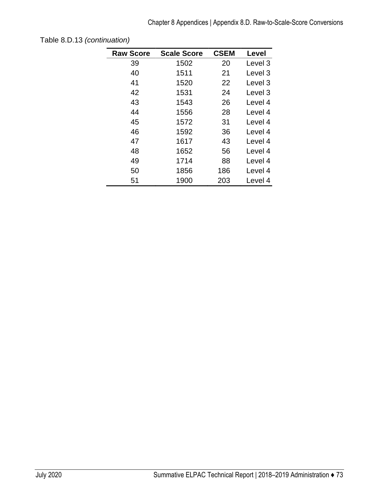| <b>Raw Score</b> | <b>Scale Score</b> | <b>CSEM</b> | Level   |
|------------------|--------------------|-------------|---------|
| 39               | 1502               | 20          | Level 3 |
| 40               | 1511               | 21          | Level 3 |
| 41               | 1520               | 22          | Level 3 |
| 42               | 1531               | 24          | Level 3 |
| 43               | 1543               | 26          | Level 4 |
| 44               | 1556               | 28          | Level 4 |
| 45               | 1572               | 31          | Level 4 |
| 46               | 1592               | 36          | Level 4 |
| 47               | 1617               | 43          | Level 4 |
| 48               | 1652               | 56          | Level 4 |
| 49               | 1714               | 88          | Level 4 |
| 50               | 1856               | 186         | Level 4 |
| 51               | 1900               | 203         | Level 4 |

Table 8.D.13 *(continuation)*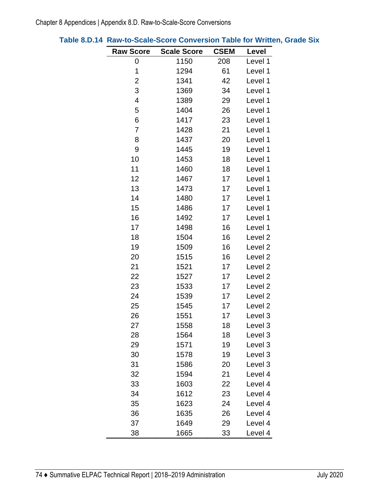| <b>Raw Score</b> | <b>Scale Score</b> | <b>CSEM</b> | Level              |
|------------------|--------------------|-------------|--------------------|
| 0                | 1150               | 208         | Level 1            |
| 1                | 1294               | 61          | Level 1            |
| $\overline{c}$   | 1341               | 42          | Level 1            |
| 3                | 1369               | 34          | Level 1            |
| 4                | 1389               | 29          | Level 1            |
| 5                | 1404               | 26          | Level 1            |
| 6                | 1417               | 23          | Level 1            |
| 7                | 1428               | 21          | Level 1            |
| 8                | 1437               | 20          | Level 1            |
| 9                | 1445               | 19          | Level 1            |
| 10               | 1453               | 18          | Level 1            |
| 11               | 1460               | 18          | Level 1            |
| 12               | 1467               | 17          | Level 1            |
| 13               | 1473               | 17          | Level 1            |
| 14               | 1480               | 17          | Level 1            |
| 15               | 1486               | 17          | Level 1            |
| 16               | 1492               | 17          | Level 1            |
| 17               | 1498               | 16          | Level 1            |
| 18               | 1504               | 16          | Level <sub>2</sub> |
| 19               | 1509               | 16          | Level <sub>2</sub> |
| 20               | 1515               | 16          | Level <sub>2</sub> |
| 21               | 1521               | 17          | Level <sub>2</sub> |
| 22               | 1527               | 17          | Level <sub>2</sub> |
| 23               | 1533               | 17          | Level <sub>2</sub> |
| 24               | 1539               | 17          | Level <sub>2</sub> |
| 25               | 1545               | 17          | Level <sub>2</sub> |
| 26               | 1551               | 17          | Level 3            |
| 27               | 1558               | 18          | Level 3            |
| 28               | 1564               | 18          | Level 3            |
| 29               | 1571               | 19          | Level 3            |
| 30               | 1578               | 19          | Level 3            |
| 31               | 1586               | 20          | Level 3            |
| 32               | 1594               | 21          | Level 4            |
| 33               | 1603               | 22          | Level 4            |
| 34               | 1612               | 23          | Level 4            |
| 35               | 1623               | 24          | Level 4            |
| 36               | 1635               | 26          | Level 4            |
| 37               | 1649               | 29          | Level 4            |
| 38               | 1665               | 33          | Level 4            |

**Table 8.D.14 Raw-to-Scale-Score Conversion Table for Written, Grade Six**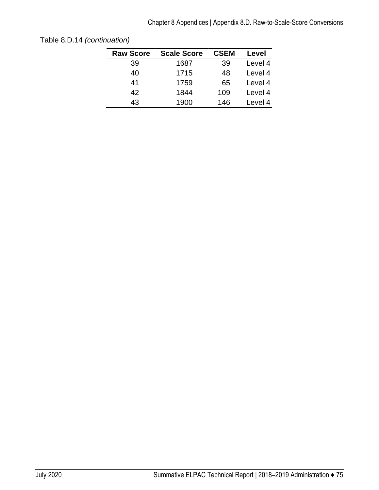| <b>Raw Score</b> | <b>Scale Score</b> | <b>CSEM</b> | Level   |
|------------------|--------------------|-------------|---------|
| 39               | 1687               | 39          | Level 4 |
| 40               | 1715               | 48          | Level 4 |
| 41               | 1759               | 65          | Level 4 |
| 42               | 1844               | 109         | Level 4 |
| 43               | 1900               | 146         | Level 4 |
|                  |                    |             |         |

Table 8.D.14 *(continuation)*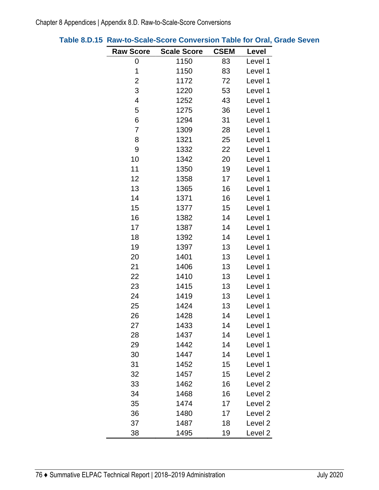| <b>Raw Score</b> | <b>Scale Score</b> | <b>CSEM</b> | Level              |
|------------------|--------------------|-------------|--------------------|
| 0                | 1150               | 83          | Level 1            |
| 1                | 1150               | 83          | Level 1            |
| 2                | 1172               | 72          | Level 1            |
| 3                | 1220               | 53          | Level 1            |
| 4                | 1252               | 43          | Level 1            |
| 5                | 1275               | 36          | Level 1            |
| 6                | 1294               | 31          | Level 1            |
| 7                | 1309               | 28          | Level 1            |
| 8                | 1321               | 25          | Level 1            |
| 9                | 1332               | 22          | Level 1            |
| 10               | 1342               | 20          | Level 1            |
| 11               | 1350               | 19          | Level 1            |
| 12               | 1358               | 17          | Level 1            |
| 13               | 1365               | 16          | Level 1            |
| 14               | 1371               | 16          | Level 1            |
| 15               | 1377               | 15          | Level 1            |
| 16               | 1382               | 14          | Level 1            |
| 17               | 1387               | 14          | Level 1            |
| 18               | 1392               | 14          | Level 1            |
| 19               | 1397               | 13          | Level 1            |
| 20               | 1401               | 13          | Level 1            |
| 21               | 1406               | 13          | Level 1            |
| 22               | 1410               | 13          | Level 1            |
| 23               | 1415               | 13          | Level 1            |
| 24               | 1419               | 13          | Level 1            |
| 25               | 1424               | 13          | Level 1            |
| 26               | 1428               | 14          | Level 1            |
| 27               | 1433               | 14          | Level 1            |
| 28               | 1437               | 14          | Level 1            |
| 29               | 1442               | 14          | Level 1            |
| 30               | 1447               | 14          | Level 1            |
| 31               | 1452               | 15          | Level 1            |
| 32               | 1457               | 15          | Level <sub>2</sub> |
| 33               | 1462               | 16          | Level <sub>2</sub> |
| 34               | 1468               | 16          | Level <sub>2</sub> |
| 35               | 1474               | 17          | Level <sub>2</sub> |
| 36               | 1480               | 17          | Level <sub>2</sub> |
| 37               | 1487               | 18          | Level <sub>2</sub> |
| 38               | 1495               | 19          | Level <sub>2</sub> |

|  | Table 8.D.15 Raw-to-Scale-Score Conversion Table for Oral, Grade Seven |
|--|------------------------------------------------------------------------|
|--|------------------------------------------------------------------------|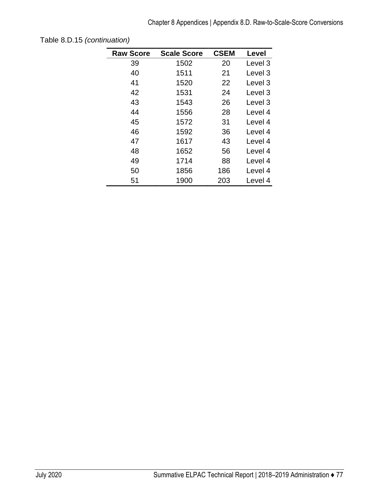| <b>Raw Score</b> | <b>Scale Score</b> | <b>CSEM</b> | Level              |
|------------------|--------------------|-------------|--------------------|
| 39               | 1502               | 20          | Level 3            |
| 40               | 1511               | 21          | Level 3            |
| 41               | 1520               | 22          | Level 3            |
| 42               | 1531               | 24          | Level 3            |
| 43               | 1543               | 26          | Level <sub>3</sub> |
| 44               | 1556               | 28          | Level 4            |
| 45               | 1572               | 31          | Level 4            |
| 46               | 1592               | 36          | Level 4            |
| 47               | 1617               | 43          | Level 4            |
| 48               | 1652               | 56          | Level 4            |
| 49               | 1714               | 88          | Level 4            |
| 50               | 1856               | 186         | Level 4            |
| 51               | 1900               | 203         | Level 4            |

Table 8.D.15 *(continuation)*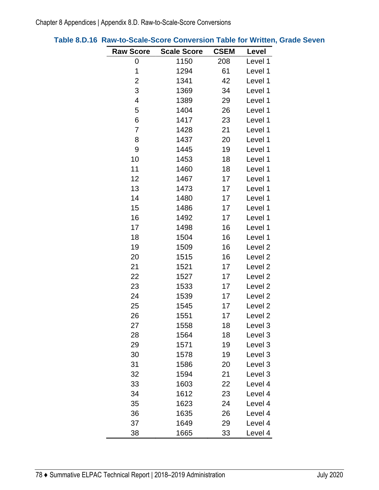| <b>Raw Score</b>         | <b>Scale Score</b> | <b>CSEM</b> | Level              |
|--------------------------|--------------------|-------------|--------------------|
| 0                        | 1150               | 208         | Level 1            |
| 1                        | 1294               | 61          | Level 1            |
| $\overline{2}$           | 1341               | 42          | Level 1            |
| 3                        | 1369               | 34          | Level 1            |
| $\overline{\mathcal{A}}$ | 1389               | 29          | Level 1            |
| 5                        | 1404               | 26          | Level 1            |
| 6                        | 1417               | 23          | Level 1            |
| 7                        | 1428               | 21          | Level 1            |
| 8                        | 1437               | 20          | Level 1            |
| 9                        | 1445               | 19          | Level 1            |
| 10                       | 1453               | 18          | Level 1            |
| 11                       | 1460               | 18          | Level 1            |
| 12                       | 1467               | 17          | Level 1            |
| 13                       | 1473               | 17          | Level 1            |
| 14                       | 1480               | 17          | Level 1            |
| 15                       | 1486               | 17          | Level 1            |
| 16                       | 1492               | 17          | Level 1            |
| 17                       | 1498               | 16          | Level 1            |
| 18                       | 1504               | 16          | Level 1            |
| 19                       | 1509               | 16          | Level <sub>2</sub> |
| 20                       | 1515               | 16          | Level <sub>2</sub> |
| 21                       | 1521               | 17          | Level <sub>2</sub> |
| 22                       | 1527               | 17          | Level <sub>2</sub> |
| 23                       | 1533               | 17          | Level <sub>2</sub> |
| 24                       | 1539               | 17          | Level <sub>2</sub> |
| 25                       | 1545               | 17          | Level <sub>2</sub> |
| 26                       | 1551               | 17          | Level <sub>2</sub> |
| 27                       | 1558               | 18          | Level 3            |
| 28                       | 1564               | 18          | Level 3            |
| 29                       | 1571               | 19          | Level 3            |
| 30                       | 1578               | 19          | Level 3            |
| 31                       | 1586               | 20          | Level 3            |
| 32                       | 1594               | 21          | Level 3            |
| 33                       | 1603               | 22          | Level 4            |
| 34                       | 1612               | 23          | Level 4            |
| 35                       | 1623               | 24          | Level 4            |
| 36                       | 1635               | 26          | Level 4            |
| 37                       | 1649               | 29          | Level 4            |
| 38                       | 1665               | 33          | Level 4            |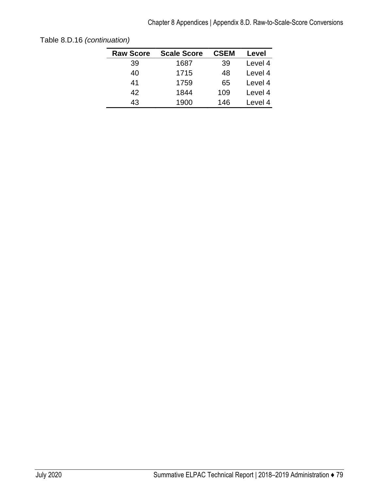| <b>Raw Score</b> | <b>Scale Score</b> | <b>CSEM</b> | Level   |
|------------------|--------------------|-------------|---------|
| 39               | 1687               | 39          | Level 4 |
| 40               | 1715               | 48          | Level 4 |
| 41               | 1759               | 65          | Level 4 |
| 42               | 1844               | 109         | Level 4 |
| 43               | 1900               | 146         | Level 4 |
|                  |                    |             |         |

Table 8.D.16 *(continuation)*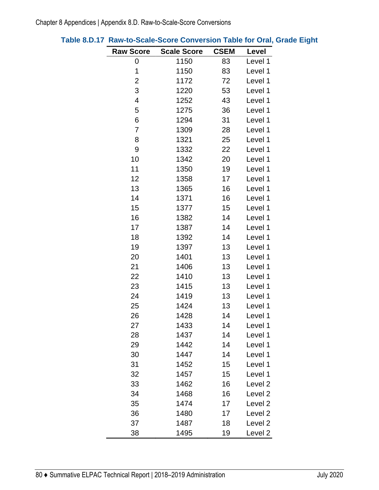| <b>Raw Score</b>        | <b>Scale Score</b> | <b>CSEM</b> | Level              |
|-------------------------|--------------------|-------------|--------------------|
| 0                       | 1150               | 83          | Level 1            |
| 1                       | 1150               | 83          | Level 1            |
| $\overline{\mathbf{c}}$ | 1172               | 72          | Level 1            |
| 3                       | 1220               | 53          | Level 1            |
| 4                       | 1252               | 43          | Level 1            |
| 5                       | 1275               | 36          | Level 1            |
| 6                       | 1294               | 31          | Level 1            |
| 7                       | 1309               | 28          | Level 1            |
| 8                       | 1321               | 25          | Level 1            |
| 9                       | 1332               | 22          | Level 1            |
| 10                      | 1342               | 20          | Level 1            |
| 11                      | 1350               | 19          | Level 1            |
| 12                      | 1358               | 17          | Level 1            |
| 13                      | 1365               | 16          | Level 1            |
| 14                      | 1371               | 16          | Level 1            |
| 15                      | 1377               | 15          | Level 1            |
| 16                      | 1382               | 14          | Level 1            |
| 17                      | 1387               | 14          | Level 1            |
| 18                      | 1392               | 14          | Level 1            |
| 19                      | 1397               | 13          | Level 1            |
| 20                      | 1401               | 13          | Level 1            |
| 21                      | 1406               | 13          | Level 1            |
| 22                      | 1410               | 13          | Level 1            |
| 23                      | 1415               | 13          | Level 1            |
| 24                      | 1419               | 13          | Level 1            |
| 25                      | 1424               | 13          | Level 1            |
| 26                      | 1428               | 14          | Level 1            |
| 27                      | 1433               | 14          | Level 1            |
| 28                      | 1437               | 14          | Level 1            |
| 29                      | 1442               | 14          | Level 1            |
| 30                      | 1447               | 14          | Level 1            |
| 31                      | 1452               | 15          | Level 1            |
| 32                      | 1457               | 15          | Level 1            |
| 33                      | 1462               | 16          | Level <sub>2</sub> |
| 34                      | 1468               | 16          | Level <sub>2</sub> |
| 35                      | 1474               | 17          | Level <sub>2</sub> |
| 36                      | 1480               | 17          | Level <sub>2</sub> |
| 37                      | 1487               | 18          | Level <sub>2</sub> |
| 38                      | 1495               | 19          | Level <sub>2</sub> |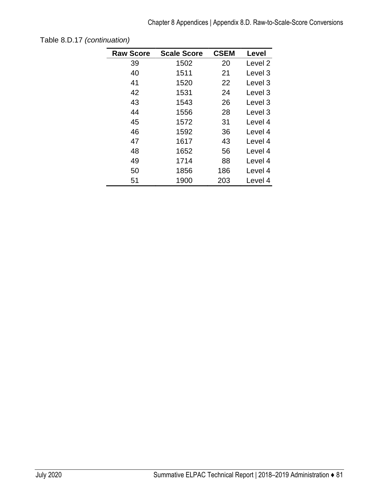| <b>Raw Score</b> | <b>Scale Score</b> | <b>CSEM</b> | Level              |
|------------------|--------------------|-------------|--------------------|
| 39               | 1502               | 20          | Level 2            |
| 40               | 1511               | 21          | Level 3            |
| 41               | 1520               | 22          | Level 3            |
| 42               | 1531               | 24          | Level 3            |
| 43               | 1543               | 26          | Level <sub>3</sub> |
| 44               | 1556               | 28          | Level 3            |
| 45               | 1572               | 31          | Level 4            |
| 46               | 1592               | 36          | Level 4            |
| 47               | 1617               | 43          | Level 4            |
| 48               | 1652               | 56          | Level 4            |
| 49               | 1714               | 88          | Level 4            |
| 50               | 1856               | 186         | Level 4            |
| 51               | 1900               | 203         | Level 4            |

Table 8.D.17 *(continuation)*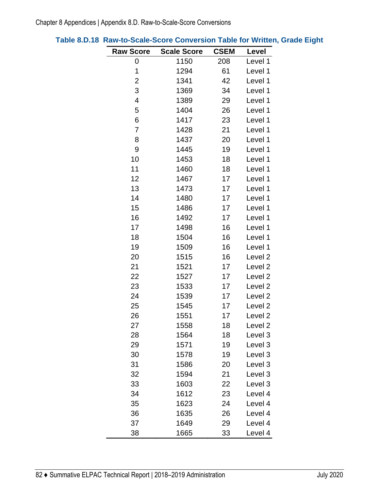| <b>Raw Score</b> | <b>Scale Score</b> | <b>CSEM</b> | Level              |
|------------------|--------------------|-------------|--------------------|
| 0                | 1150               | 208         | Level 1            |
| 1                | 1294               | 61          | Level 1            |
| $\overline{c}$   | 1341               | 42          | Level 1            |
| 3                | 1369               | 34          | Level 1            |
| 4                | 1389               | 29          | Level 1            |
| 5                | 1404               | 26          | Level 1            |
| 6                | 1417               | 23          | Level 1            |
| 7                | 1428               | 21          | Level 1            |
| 8                | 1437               | 20          | Level 1            |
| 9                | 1445               | 19          | Level 1            |
| 10               | 1453               | 18          | Level 1            |
| 11               | 1460               | 18          | Level 1            |
| 12               | 1467               | 17          | Level 1            |
| 13               | 1473               | 17          | Level 1            |
| 14               | 1480               | 17          | Level 1            |
| 15               | 1486               | 17          | Level 1            |
| 16               | 1492               | 17          | Level 1            |
| 17               | 1498               | 16          | Level 1            |
| 18               | 1504               | 16          | Level 1            |
| 19               | 1509               | 16          | Level 1            |
| 20               | 1515               | 16          | Level <sub>2</sub> |
| 21               | 1521               | 17          | Level <sub>2</sub> |
| 22               | 1527               | 17          | Level <sub>2</sub> |
| 23               | 1533               | 17          | Level <sub>2</sub> |
| 24               | 1539               | 17          | Level <sub>2</sub> |
| 25               | 1545               | 17          | Level <sub>2</sub> |
| 26               | 1551               | 17          | Level <sub>2</sub> |
| 27               | 1558               | 18          | Level <sub>2</sub> |
| 28               | 1564               | 18          | Level 3            |
| 29               | 1571               | 19          | Level 3            |
| 30               | 1578               | 19          | Level 3            |
| 31               | 1586               | 20          | Level 3            |
| 32               | 1594               | 21          | Level 3            |
| 33               | 1603               | 22          | Level 3            |
| 34               | 1612               | 23          | Level 4            |
| 35               | 1623               | 24          | Level 4            |
| 36               | 1635               | 26          | Level 4            |
| 37               | 1649               | 29          | Level 4            |
| 38               | 1665               | 33          | Level 4            |

# **Table 8.D.18 Raw-to-Scale-Score Conversion Table for Written, Grade Eight**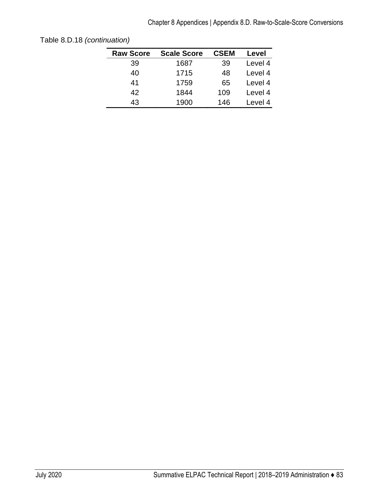| <b>Raw Score</b> | <b>Scale Score</b> | <b>CSEM</b> | Level   |
|------------------|--------------------|-------------|---------|
| 39               | 1687               | 39          | Level 4 |
| 40               | 1715               | 48          | Level 4 |
| 41               | 1759               | 65          | Level 4 |
| 42               | 1844               | 109         | Level 4 |
| 43               | 1900               | 146         | Level 4 |
|                  |                    |             |         |

Table 8.D.18 *(continuation)*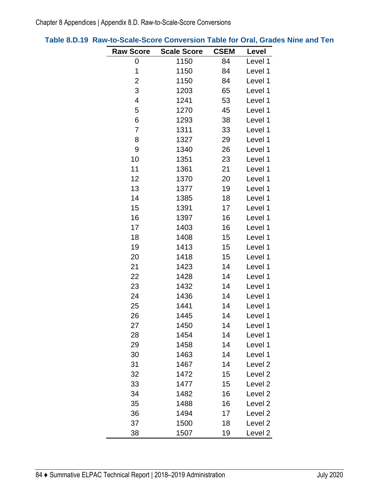| <b>Raw Score</b> | <b>Scale Score</b> | <b>CSEM</b> | Level              |
|------------------|--------------------|-------------|--------------------|
| 0                | 1150               | 84          | Level 1            |
| 1                | 1150               | 84          | Level 1            |
| 2                | 1150               | 84          | Level 1            |
| 3                | 1203               | 65          | Level 1            |
| 4                | 1241               | 53          | Level 1            |
| 5                | 1270               | 45          | Level 1            |
| 6                | 1293               | 38          | Level 1            |
| 7                | 1311               | 33          | Level 1            |
| 8                | 1327               | 29          | Level 1            |
| 9                | 1340               | 26          | Level 1            |
| 10               | 1351               | 23          | Level 1            |
| 11               | 1361               | 21          | Level 1            |
| 12               | 1370               | 20          | Level 1            |
| 13               | 1377               | 19          | Level 1            |
| 14               | 1385               | 18          | Level 1            |
| 15               | 1391               | 17          | Level 1            |
| 16               | 1397               | 16          | Level 1            |
| 17               | 1403               | 16          | Level 1            |
| 18               | 1408               | 15          | Level 1            |
| 19               | 1413               | 15          | Level 1            |
| 20               | 1418               | 15          | Level 1            |
| 21               | 1423               | 14          | Level 1            |
| 22               | 1428               | 14          | Level 1            |
| 23               | 1432               | 14          | Level 1            |
| 24               | 1436               | 14          | Level 1            |
| 25               | 1441               | 14          | Level 1            |
| 26               | 1445               | 14          | Level 1            |
| 27               | 1450               | 14          | Level 1            |
| 28               | 1454               | 14          | Level 1            |
| 29               | 1458               | 14          | Level 1            |
| 30               | 1463               | 14          | Level 1            |
| 31               | 1467               | 14          | Level <sub>2</sub> |
| 32               | 1472               | 15          | Level <sub>2</sub> |
| 33               | 1477               | 15          | Level <sub>2</sub> |
| 34               | 1482               | 16          | Level <sub>2</sub> |
| 35               | 1488               | 16          | Level <sub>2</sub> |
| 36               | 1494               | 17          | Level <sub>2</sub> |
| 37               | 1500               | 18          | Level <sub>2</sub> |
| 38               | 1507               | 19          | Level <sub>2</sub> |

## **Table 8.D.19 Raw-to-Scale-Score Conversion Table for Oral, Grades Nine and Ten**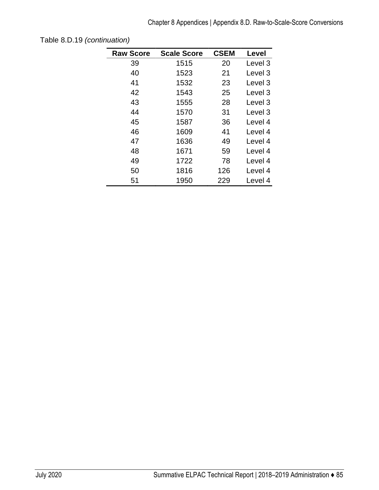| <b>Raw Score</b> | <b>Scale Score</b> | <b>CSEM</b> | Level   |
|------------------|--------------------|-------------|---------|
| 39               | 1515               | 20          | Level 3 |
| 40               | 1523               | 21          | Level 3 |
| 41               | 1532               | 23          | Level 3 |
| 42               | 1543               | 25          | Level 3 |
| 43               | 1555               | 28          | Level 3 |
| 44               | 1570               | 31          | Level 3 |
| 45               | 1587               | 36          | Level 4 |
| 46               | 1609               | 41          | Level 4 |
| 47               | 1636               | 49          | Level 4 |
| 48               | 1671               | 59          | Level 4 |
| 49               | 1722               | 78          | Level 4 |
| 50               | 1816               | 126         | Level 4 |
| 51               | 1950               | 229         | Level 4 |

Table 8.D.19 *(continuation)*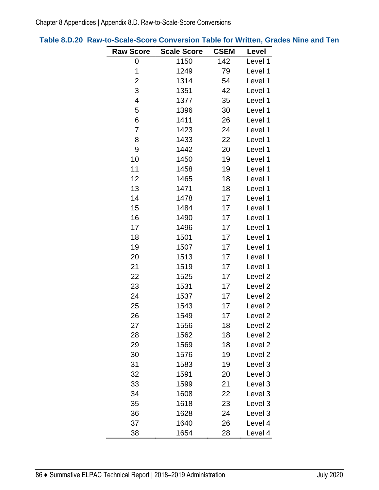| <b>Raw Score</b> | <b>Scale Score</b> | <b>CSEM</b> | Level              |
|------------------|--------------------|-------------|--------------------|
| 0                | 1150               | 142         | Level 1            |
| 1                | 1249               | 79          | Level 1            |
| $\overline{2}$   | 1314               | 54          | Level 1            |
| 3                | 1351               | 42          | Level 1            |
| 4                | 1377               | 35          | Level 1            |
| 5                | 1396               | 30          | Level 1            |
| 6                | 1411               | 26          | Level 1            |
| $\overline{7}$   | 1423               | 24          | Level 1            |
| 8                | 1433               | 22          | Level 1            |
| 9                | 1442               | 20          | Level 1            |
| 10               | 1450               | 19          | Level 1            |
| 11               | 1458               | 19          | Level 1            |
| 12               | 1465               | 18          | Level 1            |
| 13               | 1471               | 18          | Level 1            |
| 14               | 1478               | 17          | Level 1            |
| 15               | 1484               | 17          | Level 1            |
| 16               | 1490               | 17          | Level 1            |
| 17               | 1496               | 17          | Level 1            |
| 18               | 1501               | 17          | Level 1            |
| 19               | 1507               | 17          | Level 1            |
| 20               | 1513               | 17          | Level 1            |
| 21               | 1519               | 17          | Level 1            |
| 22               | 1525               | 17          | Level <sub>2</sub> |
| 23               | 1531               | 17          | Level <sub>2</sub> |
| 24               | 1537               | 17          | Level <sub>2</sub> |
| 25               | 1543               | 17          | Level <sub>2</sub> |
| 26               | 1549               | 17          | Level <sub>2</sub> |
| 27               | 1556               | 18          | Level <sub>2</sub> |
| 28               | 1562               | 18          | Level <sub>2</sub> |
| 29               | 1569               | 18          | Level <sub>2</sub> |
| 30               | 1576               | 19          | Level <sub>2</sub> |
| 31               | 1583               | 19          | Level 3            |
| 32               | 1591               | 20          | Level 3            |
| 33               | 1599               | 21          | Level 3            |
| 34               | 1608               | 22          | Level 3            |
| 35               | 1618               | 23          | Level 3            |
| 36               | 1628               | 24          | Level 3            |
| 37               | 1640               | 26          | Level 4            |
| 38               | 1654               | 28          | Level 4            |

**Table 8.D.20 Raw-to-Scale-Score Conversion Table for Written, Grades Nine and Ten**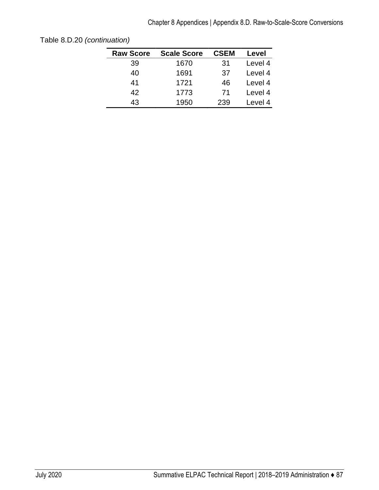| <b>Raw Score</b> | <b>Scale Score</b> | <b>CSEM</b> | Level   |
|------------------|--------------------|-------------|---------|
| 39               | 1670               | 31          | Level 4 |
| 40               | 1691               | 37          | Level 4 |
| 41               | 1721               | 46          | Level 4 |
| 42               | 1773               | 71          | Level 4 |
| 43               | 1950               | 239         | Level 4 |
|                  |                    |             |         |

Table 8.D.20 *(continuation)*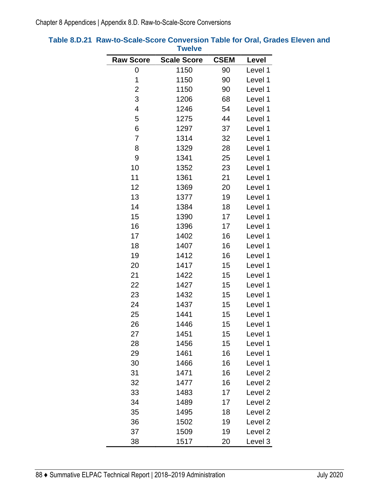|                  | <b>I</b> weive     |             |                    |
|------------------|--------------------|-------------|--------------------|
| <b>Raw Score</b> | <b>Scale Score</b> | <b>CSEM</b> | Level              |
| 0                | 1150               | 90          | Level 1            |
| 1                | 1150               | 90          | Level 1            |
| $\overline{c}$   | 1150               | 90          | Level 1            |
| 3                | 1206               | 68          | Level 1            |
| 4                | 1246               | 54          | Level 1            |
| 5                | 1275               | 44          | Level 1            |
| 6                | 1297               | 37          | Level 1            |
| $\overline{7}$   | 1314               | 32          | Level 1            |
| 8                | 1329               | 28          | Level 1            |
| 9                | 1341               | 25          | Level 1            |
| 10               | 1352               | 23          | Level 1            |
| 11               | 1361               | 21          | Level 1            |
| 12               | 1369               | 20          | Level 1            |
| 13               | 1377               | 19          | Level 1            |
| 14               | 1384               | 18          | Level 1            |
| 15               | 1390               | 17          | Level 1            |
| 16               | 1396               | 17          | Level 1            |
| 17               | 1402               | 16          | Level 1            |
| 18               | 1407               | 16          | Level 1            |
| 19               | 1412               | 16          | Level 1            |
| 20               | 1417               | 15          | Level 1            |
| 21               | 1422               | 15          | Level 1            |
| 22               | 1427               | 15          | Level 1            |
| 23               | 1432               | 15          | Level 1            |
| 24               | 1437               | 15          | Level 1            |
| 25               | 1441               | 15          | Level 1            |
| 26               | 1446               | 15          | Level 1            |
| 27               | 1451               | 15          | Level 1            |
| 28               | 1456               | 15          | Level 1            |
| 29               | 1461               | 16          | Level 1            |
| 30               | 1466               | 16          | Level 1            |
| 31               | 1471               | 16          | Level <sub>2</sub> |
| 32               | 1477               | 16          | Level <sub>2</sub> |
| 33               | 1483               | 17          | Level <sub>2</sub> |
| 34               | 1489               | 17          | Level <sub>2</sub> |
| 35               | 1495               | 18          | Level <sub>2</sub> |
| 36               | 1502               | 19          | Level 2            |
| 37               | 1509               | 19          | Level <sub>2</sub> |
| 38               | 1517               | 20          | Level 3            |

### **Table 8.D.21 Raw-to-Scale-Score Conversion Table for Oral, Grades Eleven and Twelve**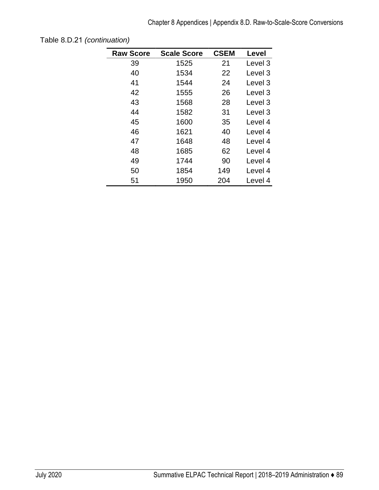| <b>Raw Score</b> | <b>Scale Score</b> | <b>CSEM</b> | Level   |
|------------------|--------------------|-------------|---------|
|                  |                    |             |         |
| 39               | 1525               | 21          | Level 3 |
| 40               | 1534               | 22          | Level 3 |
| 41               | 1544               | 24          | Level 3 |
| 42               | 1555               | 26          | Level 3 |
| 43               | 1568               | 28          | Level 3 |
| 44               | 1582               | 31          | Level 3 |
| 45               | 1600               | 35          | Level 4 |
| 46               | 1621               | 40          | Level 4 |
| 47               | 1648               | 48          | Level 4 |
| 48               | 1685               | 62          | Level 4 |
| 49               | 1744               | 90          | Level 4 |
| 50               | 1854               | 149         | Level 4 |
| 51               | 1950               | 204         | Level 4 |

Table 8.D.21 *(continuation)*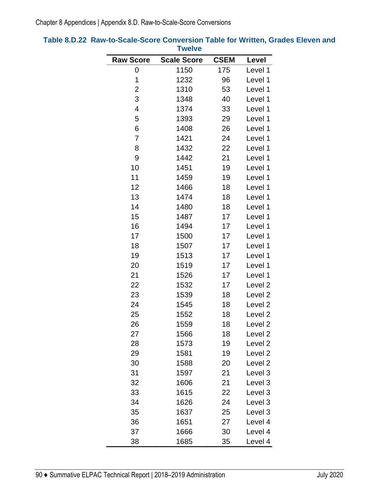|                         | <b>I</b> weive     |             |                    |
|-------------------------|--------------------|-------------|--------------------|
| <b>Raw Score</b>        | <b>Scale Score</b> | <b>CSEM</b> | Level              |
| 0                       | 1150               | 175         | Level 1            |
| 1                       | 1232               | 96          | Level 1            |
| $\overline{\mathbf{c}}$ | 1310               | 53          | Level 1            |
| 3                       | 1348               | 40          | Level 1            |
| 4                       | 1374               | 33          | Level 1            |
| 5                       | 1393               | 29          | Level 1            |
| 6                       | 1408               | 26          | Level 1            |
| $\overline{7}$          | 1421               | 24          | Level 1            |
| 8                       | 1432               | 22          | Level 1            |
| 9                       | 1442               | 21          | Level 1            |
| 10                      | 1451               | 19          | Level 1            |
| 11                      | 1459               | 19          | Level 1            |
| 12                      | 1466               | 18          | Level 1            |
| 13                      | 1474               | 18          | Level 1            |
| 14                      | 1480               | 18          | Level 1            |
| 15                      | 1487               | 17          | Level 1            |
| 16                      | 1494               | 17          | Level 1            |
| 17                      | 1500               | 17          | Level 1            |
| 18                      | 1507               | 17          | Level 1            |
| 19                      | 1513               | 17          | Level 1            |
| 20                      | 1519               | 17          | Level 1            |
| 21                      | 1526               | 17          | Level 1            |
| 22                      | 1532               | 17          | Level <sub>2</sub> |
| 23                      | 1539               | 18          | Level <sub>2</sub> |
| 24                      | 1545               | 18          | Level <sub>2</sub> |
| 25                      | 1552               | 18          | Level <sub>2</sub> |
| 26                      | 1559               | 18          | Level <sub>2</sub> |
| 27                      | 1566               | 18          | Level <sub>2</sub> |
| 28                      | 1573               | 19          | Level <sub>2</sub> |
| 29                      | 1581               | 19          | Level <sub>2</sub> |
| 30                      | 1588               | 20          | Level <sub>2</sub> |
| 31                      | 1597               | 21          | Level 3            |
| 32                      | 1606               | 21          | Level 3            |
| 33                      | 1615               | 22          | Level 3            |
| 34                      | 1626               | 24          | Level 3            |
| 35                      | 1637               | 25          | Level 3            |
| 36                      | 1651               | 27          | Level 4            |
| 37                      | 1666               | 30          | Level 4            |
| 38                      | 1685               | 35          | Level 4            |

#### **Table 8.D.22 Raw-to-Scale-Score Conversion Table for Written, Grades Eleven and Twelve**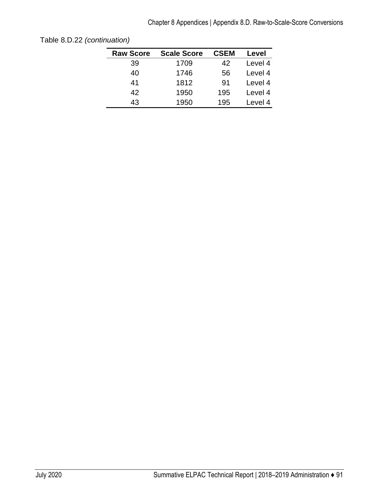| <b>Raw Score</b> | <b>Scale Score</b> | <b>CSEM</b> | Level   |
|------------------|--------------------|-------------|---------|
| 39               | 1709               | 42          | Level 4 |
| 40               | 1746               | 56          | Level 4 |
| 41               | 1812               | 91          | Level 4 |
| 42               | 1950               | 195         | Level 4 |
| 43               | 1950               | 195         | Level 4 |
|                  |                    |             |         |

Table 8.D.22 *(continuation)*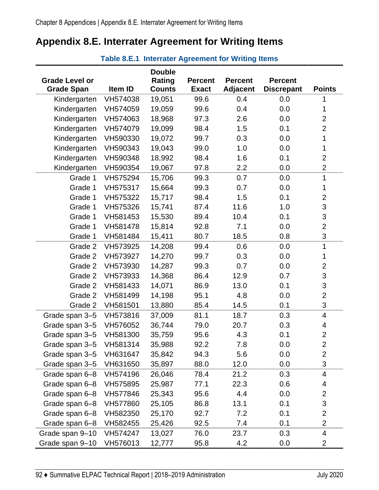# **Appendix 8.E. Interrater Agreement for Writing Items**

**Table 8.E.1 Interrater Agreement for Writing Items** 

|                       |          | <b>Double</b> |                |                 |                   |                           |
|-----------------------|----------|---------------|----------------|-----------------|-------------------|---------------------------|
| <b>Grade Level or</b> |          | Rating        | <b>Percent</b> | <b>Percent</b>  | <b>Percent</b>    |                           |
| <b>Grade Span</b>     | Item ID  | <b>Counts</b> | <b>Exact</b>   | <b>Adjacent</b> | <b>Discrepant</b> | <b>Points</b>             |
| Kindergarten          | VH574038 | 19,051        | 99.6           | 0.4             | 0.0               |                           |
| Kindergarten          | VH574059 | 19,059        | 99.6           | 0.4             | 0.0               | 1                         |
| Kindergarten          | VH574063 | 18,968        | 97.3           | 2.6             | 0.0               | $\overline{2}$            |
| Kindergarten          | VH574079 | 19,099        | 98.4           | 1.5             | 0.1               | $\mathbf{2}$              |
| Kindergarten          | VH590330 | 19,072        | 99.7           | 0.3             | 0.0               | 1                         |
| Kindergarten          | VH590343 | 19,043        | 99.0           | 1.0             | 0.0               | 1                         |
| Kindergarten          | VH590348 | 18,992        | 98.4           | 1.6             | 0.1               | $\overline{2}$            |
| Kindergarten          | VH590354 | 19,067        | 97.8           | 2.2             | 0.0               | $\overline{2}$            |
| Grade 1               | VH575294 | 15,706        | 99.3           | 0.7             | 0.0               | 1                         |
| Grade 1               | VH575317 | 15,664        | 99.3           | 0.7             | 0.0               | 1                         |
| Grade 1               | VH575322 | 15,717        | 98.4           | 1.5             | 0.1               | $\overline{c}$            |
| Grade 1               | VH575326 | 15,741        | 87.4           | 11.6            | 1.0               | $\ensuremath{\mathsf{3}}$ |
| Grade 1               | VH581453 | 15,530        | 89.4           | 10.4            | 0.1               | $\mathfrak{S}$            |
| Grade 1               | VH581478 | 15,814        | 92.8           | 7.1             | 0.0               | $\overline{2}$            |
| Grade 1               | VH581484 | 15,411        | 80.7           | 18.5            | 0.8               | 3                         |
| Grade 2               | VH573925 | 14,208        | 99.4           | 0.6             | 0.0               | 1                         |
| Grade 2               | VH573927 | 14,270        | 99.7           | 0.3             | 0.0               | 1                         |
| Grade 2               | VH573930 | 14,287        | 99.3           | 0.7             | 0.0               | $\overline{2}$            |
| Grade 2               | VH573933 | 14,368        | 86.4           | 12.9            | 0.7               | $\ensuremath{\mathsf{3}}$ |
| Grade 2               | VH581433 | 14,071        | 86.9           | 13.0            | 0.1               | $\ensuremath{\mathsf{3}}$ |
| Grade 2               | VH581499 | 14,198        | 95.1           | 4.8             | 0.0               | $\overline{2}$            |
| Grade 2               | VH581501 | 13,880        | 85.4           | 14.5            | 0.1               | 3                         |
| Grade span 3-5        | VH573816 | 37,009        | 81.1           | 18.7            | 0.3               | $\overline{4}$            |
| Grade span 3-5        | VH576052 | 36,744        | 79.0           | 20.7            | 0.3               | 4                         |
| Grade span 3-5        | VH581300 | 35,759        | 95.6           | 4.3             | 0.1               | $\overline{2}$            |
| Grade span 3-5        | VH581314 | 35,988        | 92.2           | 7.8             | 0.0               | $\overline{2}$            |
| Grade span 3-5        | VH631647 | 35,842        | 94.3           | 5.6             | 0.0               | $\mathbf{2}$              |
| Grade span 3-5        | VH631650 | 35,897        | 88.0           | 12.0            | 0.0               | $\ensuremath{\mathsf{3}}$ |
| Grade span 6-8        | VH574196 | 26,046        | 78.4           | 21.2            | 0.3               | $\overline{4}$            |
| Grade span 6-8        | VH575895 | 25,987        | 77.1           | 22.3            | 0.6               | 4                         |
| Grade span 6-8        | VH577846 | 25,343        | 95.6           | 4.4             | 0.0               | $\overline{c}$            |
| Grade span 6-8        | VH577860 | 25,105        | 86.8           | 13.1            | 0.1               | $\ensuremath{\mathsf{3}}$ |
| Grade span 6-8        | VH582350 | 25,170        | 92.7           | 7.2             | 0.1               | $\overline{2}$            |
| Grade span 6-8        | VH582455 | 25,426        | 92.5           | 7.4             | 0.1               | $\overline{2}$            |
| Grade span 9-10       | VH574247 | 13,027        | 76.0           | 23.7            | 0.3               | 4                         |
| Grade span 9-10       | VH576013 | 12,777        | 95.8           | 4.2             | 0.0               | $\overline{2}$            |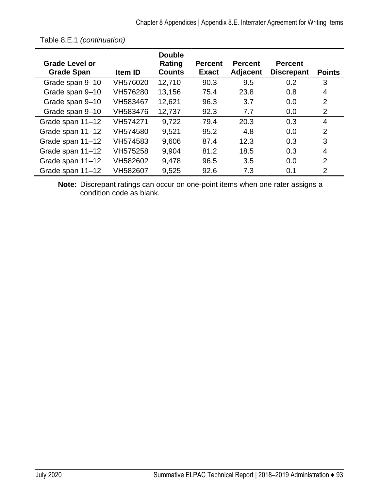| <b>Grade Level or</b><br><b>Grade Span</b> | <b>Item ID</b> | <b>Double</b><br>Rating<br><b>Counts</b> | <b>Percent</b><br><b>Exact</b> | <b>Percent</b><br><b>Adjacent</b> | <b>Percent</b><br><b>Discrepant</b> | <b>Points</b>  |
|--------------------------------------------|----------------|------------------------------------------|--------------------------------|-----------------------------------|-------------------------------------|----------------|
| Grade span 9-10                            | VH576020       | 12,710                                   | 90.3                           | 9.5                               | 0.2                                 | 3              |
| Grade span 9-10                            | VH576280       | 13,156                                   | 75.4                           | 23.8                              | 0.8                                 | 4              |
| Grade span 9-10                            | VH583467       | 12,621                                   | 96.3                           | 3.7                               | 0.0                                 | $\overline{2}$ |
| Grade span 9-10                            | VH583476       | 12,737                                   | 92.3                           | 7.7                               | 0.0                                 | 2              |
| Grade span 11-12                           | VH574271       | 9,722                                    | 79.4                           | 20.3                              | 0.3                                 | $\overline{4}$ |
| Grade span 11-12                           | VH574580       | 9,521                                    | 95.2                           | 4.8                               | 0.0                                 | $\overline{2}$ |
| Grade span 11-12                           | VH574583       | 9,606                                    | 87.4                           | 12.3                              | 0.3                                 | 3              |
| Grade span 11-12                           | VH575258       | 9,904                                    | 81.2                           | 18.5                              | 0.3                                 | 4              |
| Grade span 11-12                           | VH582602       | 9,478                                    | 96.5                           | 3.5                               | 0.0                                 | 2              |
| Grade span 11-12                           | VH582607       | 9,525                                    | 92.6                           | 7.3                               | 0.1                                 | 2              |

Table 8.E.1 *(continuation)* 

**Note:** Discrepant ratings can occur on one-point items when one rater assigns a condition code as blank.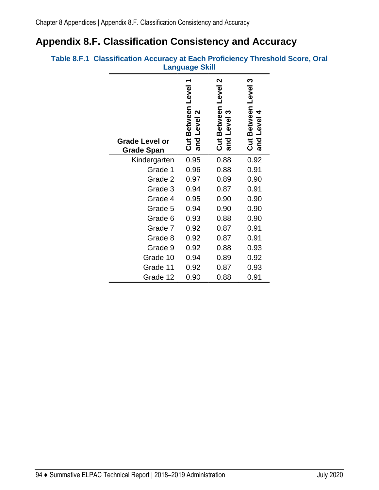# **Appendix 8.F. Classification Consistency and Accuracy**

|                                            | Language Skill                              |                                                                     |                                          |  |
|--------------------------------------------|---------------------------------------------|---------------------------------------------------------------------|------------------------------------------|--|
| <b>Grade Level or</b><br><b>Grade Span</b> | Cut Between Level 1<br>and Level 2<br>Level | $\boldsymbol{\mathsf{N}}$<br>Cut Between Level<br>S<br>Level<br>and | Cut Between Level 3<br>4<br>Level<br>and |  |
| Kindergarten                               | 0.95                                        | 0.88                                                                | 0.92                                     |  |
| Grade 1                                    | 0.96                                        | 0.88                                                                | 0.91                                     |  |
| Grade 2                                    | 0.97                                        | 0.89                                                                | 0.90                                     |  |
| Grade 3                                    | 0.94                                        | 0.87                                                                | 0.91                                     |  |
| Grade 4                                    | 0.95                                        | 0.90                                                                | 0.90                                     |  |
| Grade 5                                    | 0.94                                        | 0.90                                                                | 0.90                                     |  |
| Grade 6                                    | 0.93                                        | 0.88                                                                | 0.90                                     |  |
| Grade 7                                    | 0.92                                        | 0.87                                                                | 0.91                                     |  |
| Grade 8                                    | 0.92                                        | 0.87                                                                | 0.91                                     |  |
| Grade 9                                    | 0.92                                        | 0.88                                                                | 0.93                                     |  |
| Grade 10                                   | 0.94                                        | 0.89                                                                | 0.92                                     |  |
| Grade 11                                   | 0.92                                        | 0.87                                                                | 0.93                                     |  |
| Grade 12                                   | 0.90                                        | 0.88                                                                | 0.91                                     |  |

**Table 8.F.1 Classification Accuracy at Each Proficiency Threshold Score, Oral Language Skill**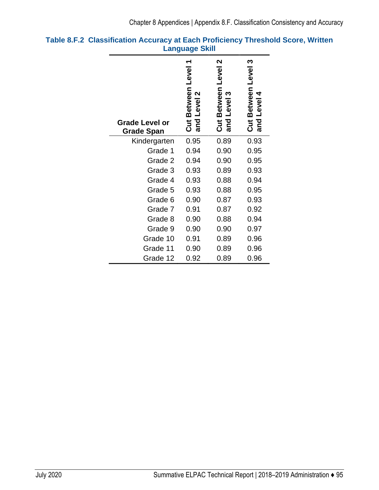| <b>Grade Level or</b><br><b>Grade Span</b> | Level<br>Between<br>2<br>Level<br><b>Öut</b><br>and | N<br>Between Level<br>Level <sub>3</sub><br><b>SE</b><br>Sepa | ო<br>Between Level<br>Level 4<br><b>SE</b><br>Sepa |
|--------------------------------------------|-----------------------------------------------------|---------------------------------------------------------------|----------------------------------------------------|
| Kindergarten                               | 0.95                                                | 0.89                                                          | 0.93                                               |
| Grade 1                                    | 0.94                                                | 0.90                                                          | 0.95                                               |
| Grade 2                                    | 0.94                                                | 0.90                                                          | 0.95                                               |
| Grade 3                                    | 0.93                                                | 0.89                                                          | 0.93                                               |
| Grade 4                                    | 0.93                                                | 0.88                                                          | 0.94                                               |
| Grade 5                                    | 0.93                                                | 0.88                                                          | 0.95                                               |
| Grade 6                                    | 0.90                                                | 0.87                                                          | 0.93                                               |
| Grade 7                                    | 0.91                                                | 0.87                                                          | 0.92                                               |
| Grade 8                                    | 0.90                                                | 0.88                                                          | 0.94                                               |
| Grade 9                                    | 0.90                                                | 0.90                                                          | 0.97                                               |
| Grade 10                                   | 0.91                                                | 0.89                                                          | 0.96                                               |
| Grade 11                                   | 0.90                                                | 0.89                                                          | 0.96                                               |
| Grade 12                                   | 0.92                                                | 0.89                                                          | 0.96                                               |

### **Table 8.F.2 Classification Accuracy at Each Proficiency Threshold Score, Written Language Skill**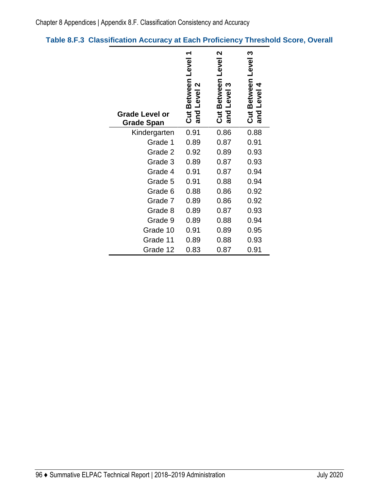## **Table 8.F.3 Classification Accuracy at Each Proficiency Threshold Score, Overall**

| <b>Grade Level or</b><br><b>Grade Span</b> | Between Level<br>2<br>Level<br><u>ដ</u><br>and | 2<br>Level<br>Between<br>ო<br>Level<br><b>Jid</b><br>and | ო<br>Level<br><b>Between</b><br>Level<br>Cut<br>and |
|--------------------------------------------|------------------------------------------------|----------------------------------------------------------|-----------------------------------------------------|
| Kindergarten                               | 0.91                                           | 0.86                                                     | 0.88                                                |
| Grade 1                                    | 0.89                                           | 0.87                                                     | 0.91                                                |
| Grade 2                                    | 0.92                                           | 0.89                                                     | 0.93                                                |
| Grade 3                                    | 0.89                                           | 0.87                                                     | 0.93                                                |
| Grade 4                                    | 0.91                                           | 0.87                                                     | 0.94                                                |
| Grade 5                                    | 0.91                                           | 0.88                                                     | 0.94                                                |
| Grade 6                                    | 0.88                                           | 0.86                                                     | 0.92                                                |
| Grade 7                                    | 0.89                                           | 0.86                                                     | 0.92                                                |
| Grade 8                                    | 0.89                                           | 0.87                                                     | 0.93                                                |
| Grade 9                                    | 0.89                                           | 0.88                                                     | 0.94                                                |
| Grade 10                                   | 0.91                                           | 0.89                                                     | 0.95                                                |
| Grade 11                                   | 0.89                                           | 0.88                                                     | 0.93                                                |
| Grade 12                                   | 0.83                                           | 0.87                                                     | 0.91                                                |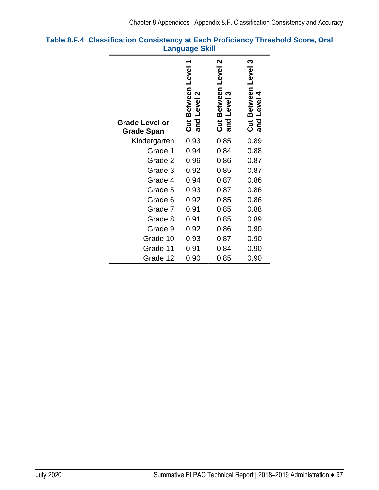| <b>Grade Level or</b><br><b>Grade Span</b> | Level<br>Between<br>2<br>Level<br><b>SE</b><br>and | N<br><b>Level</b><br>Between<br>Level 3<br><b>ភ្នាំ</b> | <u>က</u><br>Between Level<br>Level 4<br>and<br><u>ភ្ន</u> |
|--------------------------------------------|----------------------------------------------------|---------------------------------------------------------|-----------------------------------------------------------|
| Kindergarten                               | 0.93                                               | 0.85                                                    | 0.89                                                      |
| Grade 1                                    | 0.94                                               | 0.84                                                    | 0.88                                                      |
| Grade 2                                    | 0.96                                               | 0.86                                                    | 0.87                                                      |
| Grade 3                                    | 0.92                                               | 0.85                                                    | 0.87                                                      |
| Grade 4                                    | 0.94                                               | 0.87                                                    | 0.86                                                      |
| Grade 5                                    | 0.93                                               | 0.87                                                    | 0.86                                                      |
| Grade 6                                    | 0.92                                               | 0.85                                                    | 0.86                                                      |
| Grade 7                                    | 0.91                                               | 0.85                                                    | 0.88                                                      |
| Grade 8                                    | 0.91                                               | 0.85                                                    | 0.89                                                      |
| Grade 9                                    | 0.92                                               | 0.86                                                    | 0.90                                                      |
| Grade 10                                   | 0.93                                               | 0.87                                                    | 0.90                                                      |
| Grade 11                                   | 0.91                                               | 0.84                                                    | 0.90                                                      |
| Grade 12                                   | 0.90                                               | 0.85                                                    | 0.90                                                      |

### **Table 8.F.4 Classification Consistency at Each Proficiency Threshold Score, Oral Language Skill**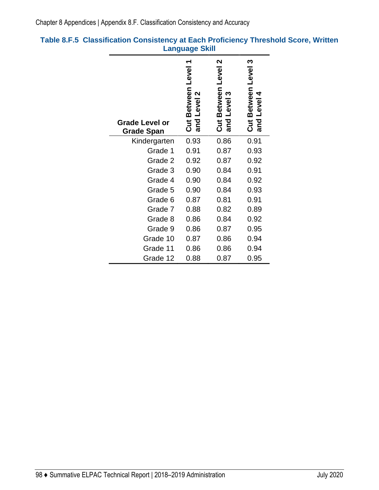| <b>Grade Level or</b><br><b>Grade Span</b> | Between Level<br>Level <sub>2</sub><br>$\frac{1}{\text{cm}}$ | N<br>Level<br>Between<br><b>Level</b><br><b>Ju</b><br>and | ო<br>Between Level<br>Level 4<br><b>SE</b><br>Sepa |
|--------------------------------------------|--------------------------------------------------------------|-----------------------------------------------------------|----------------------------------------------------|
| Kindergarten                               | 0.93                                                         | 0.86                                                      | 0.91                                               |
| Grade 1                                    | 0.91                                                         | 0.87                                                      | 0.93                                               |
| Grade 2                                    | 0.92                                                         | 0.87                                                      | 0.92                                               |
| Grade 3                                    | 0.90                                                         | 0.84                                                      | 0.91                                               |
| Grade 4                                    | 0.90                                                         | 0.84                                                      | 0.92                                               |
| Grade 5                                    | 0.90                                                         | 0.84                                                      | 0.93                                               |
| Grade 6                                    | 0.87                                                         | 0.81                                                      | 0.91                                               |
| Grade 7                                    | 0.88                                                         | 0.82                                                      | 0.89                                               |
| Grade 8                                    | 0.86                                                         | 0.84                                                      | 0.92                                               |
| Grade 9                                    | 0.86                                                         | 0.87                                                      | 0.95                                               |
| Grade 10                                   | 0.87                                                         | 0.86                                                      | 0.94                                               |
| Grade 11                                   | 0.86                                                         | 0.86                                                      | 0.94                                               |
| Grade 12                                   | 0.88                                                         | 0.87                                                      | 0.95                                               |

### **Table 8.F.5 Classification Consistency at Each Proficiency Threshold Score, Written Language Skill**